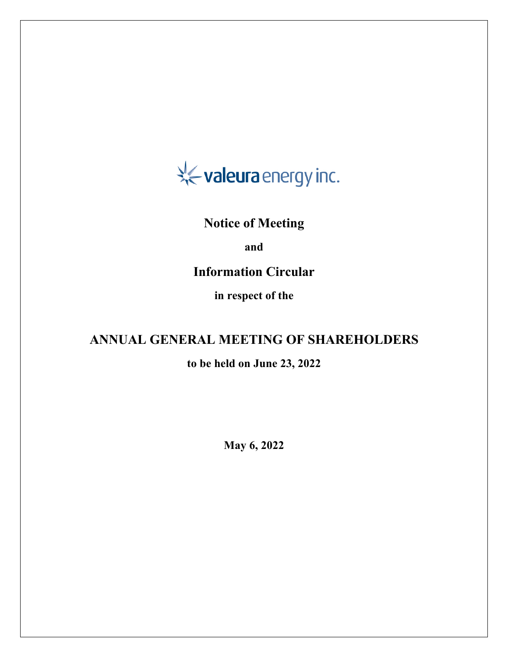

# **Notice of Meeting**

**and**

# **Information Circular**

**in respect of the**

# **ANNUAL GENERAL MEETING OF SHAREHOLDERS**

# **to be held on June 23, 2022**

**May 6, 2022**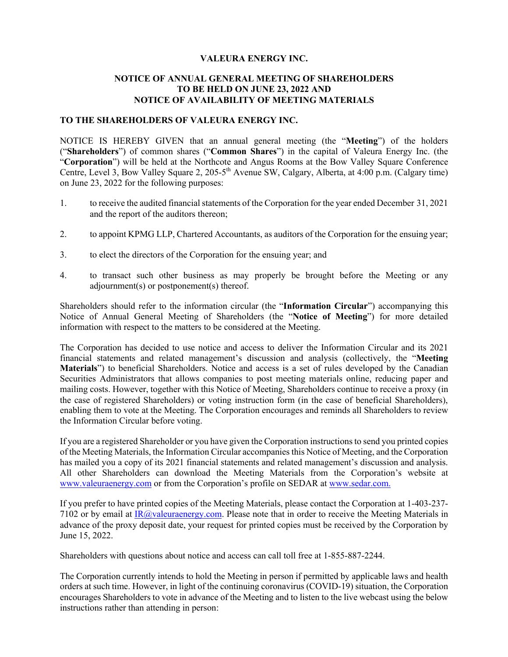#### **VALEURA ENERGY INC.**

#### **NOTICE OF ANNUAL GENERAL MEETING OF SHAREHOLDERS TO BE HELD ON JUNE 23, 2022 AND NOTICE OF AVAILABILITY OF MEETING MATERIALS**

#### **TO THE SHAREHOLDERS OF VALEURA ENERGY INC.**

NOTICE IS HEREBY GIVEN that an annual general meeting (the "**Meeting**") of the holders ("**Shareholders**") of common shares ("**Common Shares**") in the capital of Valeura Energy Inc. (the "**Corporation**") will be held at the Northcote and Angus Rooms at the Bow Valley Square Conference Centre, Level 3, Bow Valley Square 2, 205-5<sup>th</sup> Avenue SW, Calgary, Alberta, at 4:00 p.m. (Calgary time) on June 23, 2022 for the following purposes:

- 1. to receive the audited financial statements of the Corporation for the year ended December 31, 2021 and the report of the auditors thereon;
- 2. to appoint KPMG LLP, Chartered Accountants, as auditors of the Corporation for the ensuing year;
- 3. to elect the directors of the Corporation for the ensuing year; and
- 4. to transact such other business as may properly be brought before the Meeting or any adjournment(s) or postponement(s) thereof.

Shareholders should refer to the information circular (the "**Information Circular**") accompanying this Notice of Annual General Meeting of Shareholders (the "**Notice of Meeting**") for more detailed information with respect to the matters to be considered at the Meeting.

The Corporation has decided to use notice and access to deliver the Information Circular and its 2021 financial statements and related management's discussion and analysis (collectively, the "**Meeting Materials**") to beneficial Shareholders. Notice and access is a set of rules developed by the Canadian Securities Administrators that allows companies to post meeting materials online, reducing paper and mailing costs. However, together with this Notice of Meeting, Shareholders continue to receive a proxy (in the case of registered Shareholders) or voting instruction form (in the case of beneficial Shareholders), enabling them to vote at the Meeting. The Corporation encourages and reminds all Shareholders to review the Information Circular before voting.

If you are a registered Shareholder or you have given the Corporation instructions to send you printed copies of the Meeting Materials, the Information Circular accompanies this Notice of Meeting, and the Corporation has mailed you a copy of its 2021 financial statements and related management's discussion and analysis. All other Shareholders can download the Meeting Materials from the Corporation's website at www.valeuraenergy.com or from the Corporation's profile on SEDAR at www.sedar.com.

If you prefer to have printed copies of the Meeting Materials, please contact the Corporation at 1-403-237- 7102 or by email at  $\overline{IR}$  (@valeuraenergy.com. Please note that in order to receive the Meeting Materials in advance of the proxy deposit date, your request for printed copies must be received by the Corporation by June 15, 2022.

Shareholders with questions about notice and access can call toll free at 1-855-887-2244.

The Corporation currently intends to hold the Meeting in person if permitted by applicable laws and health orders at such time. However, in light of the continuing coronavirus (COVID-19) situation, the Corporation encourages Shareholders to vote in advance of the Meeting and to listen to the live webcast using the below instructions rather than attending in person: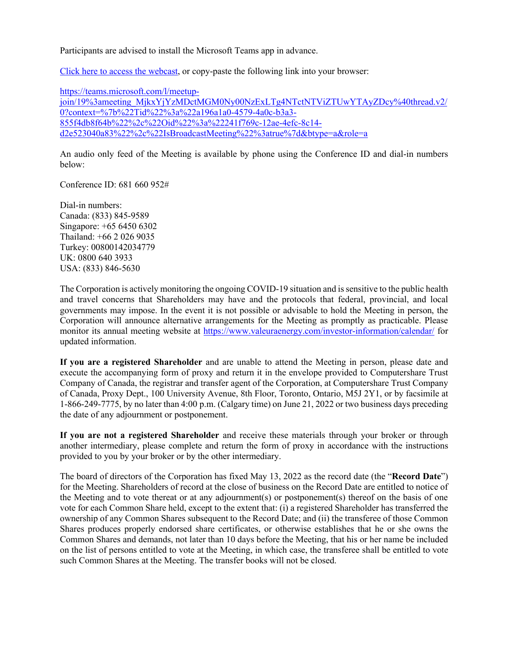Participants are advised to install the Microsoft Teams app in advance.

Click here to access the webcast, or copy-paste the following link into your browser:

https://teams.microsoft.com/l/meetup-

join/19%3ameeting\_MjkxYjYzMDctMGM0Ny00NzExLTg4NTctNTViZTUwYTAyZDcy%40thread.v2/ 0?context=%7b%22Tid%22%3a%22a196a1a0-4579-4a0c-b3a3- 855f4db8f64b%22%2c%22Oid%22%3a%22241f769c-12ae-4efc-8c14 d2e523040a83%22%2c%22IsBroadcastMeeting%22%3atrue%7d&btype=a&role=a

An audio only feed of the Meeting is available by phone using the Conference ID and dial-in numbers below:

Conference ID: 681 660 952#

Dial-in numbers: Canada: (833) 845-9589 Singapore: +65 6450 6302 Thailand: +66 2 026 9035 Turkey: 00800142034779 UK: 0800 640 3933 USA: (833) 846-5630

The Corporation is actively monitoring the ongoing COVID-19 situation and is sensitive to the public health and travel concerns that Shareholders may have and the protocols that federal, provincial, and local governments may impose. In the event it is not possible or advisable to hold the Meeting in person, the Corporation will announce alternative arrangements for the Meeting as promptly as practicable. Please monitor its annual meeting website at https://www.valeuraenergy.com/investor-information/calendar/ for updated information.

**If you are a registered Shareholder** and are unable to attend the Meeting in person, please date and execute the accompanying form of proxy and return it in the envelope provided to Computershare Trust Company of Canada, the registrar and transfer agent of the Corporation, at Computershare Trust Company of Canada, Proxy Dept., 100 University Avenue, 8th Floor, Toronto, Ontario, M5J 2Y1, or by facsimile at 1-866-249-7775, by no later than 4:00 p.m. (Calgary time) on June 21, 2022 or two business days preceding the date of any adjournment or postponement.

**If you are not a registered Shareholder** and receive these materials through your broker or through another intermediary, please complete and return the form of proxy in accordance with the instructions provided to you by your broker or by the other intermediary.

The board of directors of the Corporation has fixed May 13, 2022 as the record date (the "**Record Date**") for the Meeting. Shareholders of record at the close of business on the Record Date are entitled to notice of the Meeting and to vote thereat or at any adjournment(s) or postponement(s) thereof on the basis of one vote for each Common Share held, except to the extent that: (i) a registered Shareholder has transferred the ownership of any Common Shares subsequent to the Record Date; and (ii) the transferee of those Common Shares produces properly endorsed share certificates, or otherwise establishes that he or she owns the Common Shares and demands, not later than 10 days before the Meeting, that his or her name be included on the list of persons entitled to vote at the Meeting, in which case, the transferee shall be entitled to vote such Common Shares at the Meeting. The transfer books will not be closed.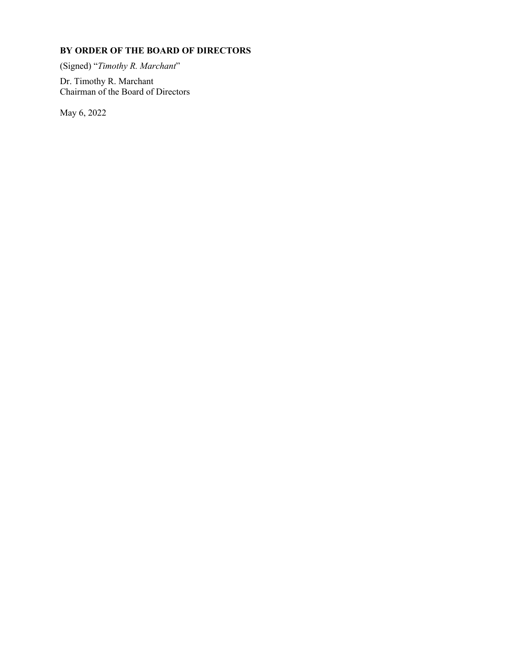# **BY ORDER OF THE BOARD OF DIRECTORS**

(Signed) "*Timothy R. Marchant*"

Dr. Timothy R. Marchant Chairman of the Board of Directors

May 6, 2022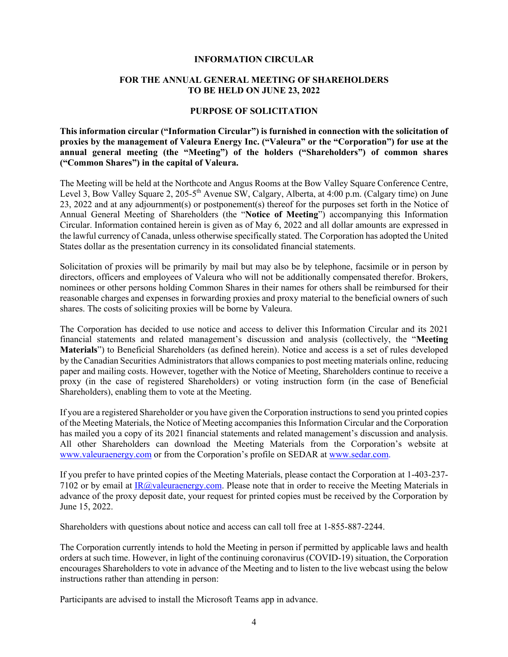#### **INFORMATION CIRCULAR**

#### **FOR THE ANNUAL GENERAL MEETING OF SHAREHOLDERS TO BE HELD ON JUNE 23, 2022**

#### **PURPOSE OF SOLICITATION**

**This information circular ("Information Circular") is furnished in connection with the solicitation of proxies by the management of Valeura Energy Inc. ("Valeura" or the "Corporation") for use at the annual general meeting (the "Meeting") of the holders ("Shareholders") of common shares ("Common Shares") in the capital of Valeura.**

The Meeting will be held at the Northcote and Angus Rooms at the Bow Valley Square Conference Centre, Level 3, Bow Valley Square 2, 205-5<sup>th</sup> Avenue SW, Calgary, Alberta, at 4:00 p.m. (Calgary time) on June 23, 2022 and at any adjournment(s) or postponement(s) thereof for the purposes set forth in the Notice of Annual General Meeting of Shareholders (the "**Notice of Meeting**") accompanying this Information Circular. Information contained herein is given as of May 6, 2022 and all dollar amounts are expressed in the lawful currency of Canada, unless otherwise specifically stated. The Corporation has adopted the United States dollar as the presentation currency in its consolidated financial statements.

Solicitation of proxies will be primarily by mail but may also be by telephone, facsimile or in person by directors, officers and employees of Valeura who will not be additionally compensated therefor. Brokers, nominees or other persons holding Common Shares in their names for others shall be reimbursed for their reasonable charges and expenses in forwarding proxies and proxy material to the beneficial owners of such shares. The costs of soliciting proxies will be borne by Valeura.

The Corporation has decided to use notice and access to deliver this Information Circular and its 2021 financial statements and related management's discussion and analysis (collectively, the "**Meeting Materials**") to Beneficial Shareholders (as defined herein). Notice and access is a set of rules developed by the Canadian Securities Administrators that allows companies to post meeting materials online, reducing paper and mailing costs. However, together with the Notice of Meeting, Shareholders continue to receive a proxy (in the case of registered Shareholders) or voting instruction form (in the case of Beneficial Shareholders), enabling them to vote at the Meeting.

If you are a registered Shareholder or you have given the Corporation instructions to send you printed copies of the Meeting Materials, the Notice of Meeting accompanies this Information Circular and the Corporation has mailed you a copy of its 2021 financial statements and related management's discussion and analysis. All other Shareholders can download the Meeting Materials from the Corporation's website at www.valeuraenergy.com or from the Corporation's profile on SEDAR at www.sedar.com.

If you prefer to have printed copies of the Meeting Materials, please contact the Corporation at 1-403-237- 7102 or by email at IR@valeuraenergy.com. Please note that in order to receive the Meeting Materials in advance of the proxy deposit date, your request for printed copies must be received by the Corporation by June 15, 2022.

Shareholders with questions about notice and access can call toll free at 1-855-887-2244.

The Corporation currently intends to hold the Meeting in person if permitted by applicable laws and health orders at such time. However, in light of the continuing coronavirus (COVID-19) situation, the Corporation encourages Shareholders to vote in advance of the Meeting and to listen to the live webcast using the below instructions rather than attending in person:

Participants are advised to install the Microsoft Teams app in advance.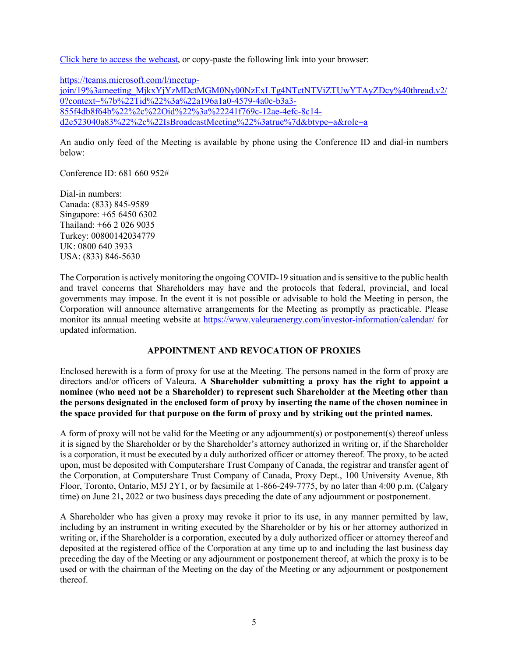Click here to access the webcast, or copy-paste the following link into your browser:

https://teams.microsoft.com/l/meetup-

join/19%3ameeting\_MjkxYjYzMDctMGM0Ny00NzExLTg4NTctNTViZTUwYTAyZDcy%40thread.v2/ 0?context=%7b%22Tid%22%3a%22a196a1a0-4579-4a0c-b3a3- 855f4db8f64b%22%2c%22Oid%22%3a%22241f769c-12ae-4efc-8c14 d2e523040a83%22%2c%22IsBroadcastMeeting%22%3atrue%7d&btype=a&role=a

An audio only feed of the Meeting is available by phone using the Conference ID and dial-in numbers below:

Conference ID: 681 660 952#

Dial-in numbers: Canada: (833) 845-9589 Singapore: +65 6450 6302 Thailand: +66 2 026 9035 Turkey: 00800142034779 UK: 0800 640 3933 USA: (833) 846-5630

The Corporation is actively monitoring the ongoing COVID-19 situation and is sensitive to the public health and travel concerns that Shareholders may have and the protocols that federal, provincial, and local governments may impose. In the event it is not possible or advisable to hold the Meeting in person, the Corporation will announce alternative arrangements for the Meeting as promptly as practicable. Please monitor its annual meeting website at https://www.valeuraenergy.com/investor-information/calendar/ for updated information.

# **APPOINTMENT AND REVOCATION OF PROXIES**

Enclosed herewith is a form of proxy for use at the Meeting. The persons named in the form of proxy are directors and/or officers of Valeura. **A Shareholder submitting a proxy has the right to appoint a nominee (who need not be a Shareholder) to represent such Shareholder at the Meeting other than the persons designated in the enclosed form of proxy by inserting the name of the chosen nominee in the space provided for that purpose on the form of proxy and by striking out the printed names.**

A form of proxy will not be valid for the Meeting or any adjournment(s) or postponement(s) thereof unless it is signed by the Shareholder or by the Shareholder's attorney authorized in writing or, if the Shareholder is a corporation, it must be executed by a duly authorized officer or attorney thereof. The proxy, to be acted upon, must be deposited with Computershare Trust Company of Canada, the registrar and transfer agent of the Corporation, at Computershare Trust Company of Canada, Proxy Dept., 100 University Avenue, 8th Floor, Toronto, Ontario, M5J 2Y1, or by facsimile at 1-866-249-7775, by no later than 4:00 p.m. (Calgary time) on June 21**,** 2022 or two business days preceding the date of any adjournment or postponement.

A Shareholder who has given a proxy may revoke it prior to its use, in any manner permitted by law, including by an instrument in writing executed by the Shareholder or by his or her attorney authorized in writing or, if the Shareholder is a corporation, executed by a duly authorized officer or attorney thereof and deposited at the registered office of the Corporation at any time up to and including the last business day preceding the day of the Meeting or any adjournment or postponement thereof, at which the proxy is to be used or with the chairman of the Meeting on the day of the Meeting or any adjournment or postponement thereof.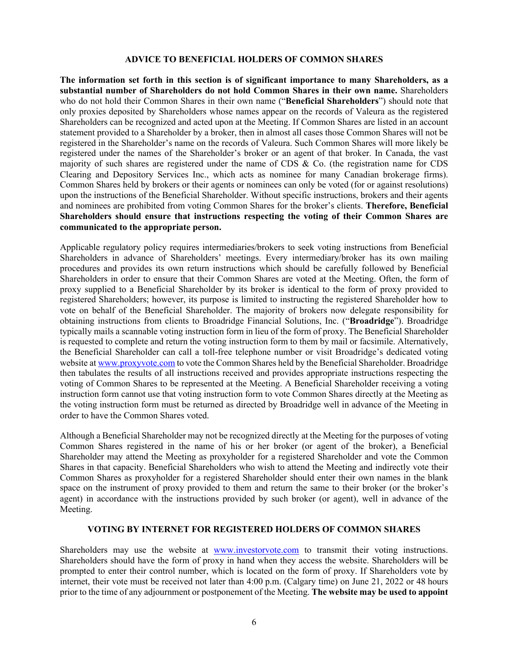#### **ADVICE TO BENEFICIAL HOLDERS OF COMMON SHARES**

**The information set forth in this section is of significant importance to many Shareholders, as a substantial number of Shareholders do not hold Common Shares in their own name.** Shareholders who do not hold their Common Shares in their own name ("**Beneficial Shareholders**") should note that only proxies deposited by Shareholders whose names appear on the records of Valeura as the registered Shareholders can be recognized and acted upon at the Meeting. If Common Shares are listed in an account statement provided to a Shareholder by a broker, then in almost all cases those Common Shares will not be registered in the Shareholder's name on the records of Valeura. Such Common Shares will more likely be registered under the names of the Shareholder's broker or an agent of that broker. In Canada, the vast majority of such shares are registered under the name of CDS & Co. (the registration name for CDS Clearing and Depository Services Inc., which acts as nominee for many Canadian brokerage firms). Common Shares held by brokers or their agents or nominees can only be voted (for or against resolutions) upon the instructions of the Beneficial Shareholder. Without specific instructions, brokers and their agents and nominees are prohibited from voting Common Shares for the broker's clients. **Therefore, Beneficial Shareholders should ensure that instructions respecting the voting of their Common Shares are communicated to the appropriate person.**

Applicable regulatory policy requires intermediaries/brokers to seek voting instructions from Beneficial Shareholders in advance of Shareholders' meetings. Every intermediary/broker has its own mailing procedures and provides its own return instructions which should be carefully followed by Beneficial Shareholders in order to ensure that their Common Shares are voted at the Meeting. Often, the form of proxy supplied to a Beneficial Shareholder by its broker is identical to the form of proxy provided to registered Shareholders; however, its purpose is limited to instructing the registered Shareholder how to vote on behalf of the Beneficial Shareholder. The majority of brokers now delegate responsibility for obtaining instructions from clients to Broadridge Financial Solutions, Inc. ("**Broadridge**"). Broadridge typically mails a scannable voting instruction form in lieu of the form of proxy. The Beneficial Shareholder is requested to complete and return the voting instruction form to them by mail or facsimile. Alternatively, the Beneficial Shareholder can call a toll-free telephone number or visit Broadridge's dedicated voting website at www.proxyvote.com to vote the Common Shares held by the Beneficial Shareholder. Broadridge then tabulates the results of all instructions received and provides appropriate instructions respecting the voting of Common Shares to be represented at the Meeting. A Beneficial Shareholder receiving a voting instruction form cannot use that voting instruction form to vote Common Shares directly at the Meeting as the voting instruction form must be returned as directed by Broadridge well in advance of the Meeting in order to have the Common Shares voted.

Although a Beneficial Shareholder may not be recognized directly at the Meeting for the purposes of voting Common Shares registered in the name of his or her broker (or agent of the broker), a Beneficial Shareholder may attend the Meeting as proxyholder for a registered Shareholder and vote the Common Shares in that capacity. Beneficial Shareholders who wish to attend the Meeting and indirectly vote their Common Shares as proxyholder for a registered Shareholder should enter their own names in the blank space on the instrument of proxy provided to them and return the same to their broker (or the broker's agent) in accordance with the instructions provided by such broker (or agent), well in advance of the Meeting.

# **VOTING BY INTERNET FOR REGISTERED HOLDERS OF COMMON SHARES**

Shareholders may use the website at www.investorvote.com to transmit their voting instructions. Shareholders should have the form of proxy in hand when they access the website. Shareholders will be prompted to enter their control number, which is located on the form of proxy. If Shareholders vote by internet, their vote must be received not later than 4:00 p.m. (Calgary time) on June 21, 2022 or 48 hours prior to the time of any adjournment or postponement of the Meeting. **The website may be used to appoint**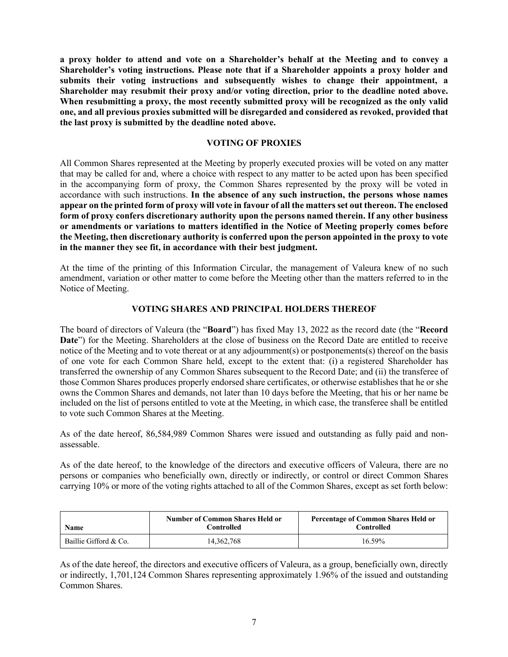**a proxy holder to attend and vote on a Shareholder's behalf at the Meeting and to convey a Shareholder's voting instructions. Please note that if a Shareholder appoints a proxy holder and submits their voting instructions and subsequently wishes to change their appointment, a Shareholder may resubmit their proxy and/or voting direction, prior to the deadline noted above. When resubmitting a proxy, the most recently submitted proxy will be recognized as the only valid one, and all previous proxies submitted will be disregarded and considered as revoked, provided that the last proxy is submitted by the deadline noted above.**

#### **VOTING OF PROXIES**

All Common Shares represented at the Meeting by properly executed proxies will be voted on any matter that may be called for and, where a choice with respect to any matter to be acted upon has been specified in the accompanying form of proxy, the Common Shares represented by the proxy will be voted in accordance with such instructions. **In the absence of any such instruction, the persons whose names appear on the printed form of proxy will vote in favour of all the matters set out thereon. The enclosed form of proxy confers discretionary authority upon the persons named therein. If any other business or amendments or variations to matters identified in the Notice of Meeting properly comes before the Meeting, then discretionary authority is conferred upon the person appointed in the proxy to vote in the manner they see fit, in accordance with their best judgment.**

At the time of the printing of this Information Circular, the management of Valeura knew of no such amendment, variation or other matter to come before the Meeting other than the matters referred to in the Notice of Meeting.

#### **VOTING SHARES AND PRINCIPAL HOLDERS THEREOF**

The board of directors of Valeura (the "**Board**") has fixed May 13, 2022 as the record date (the "**Record Date**") for the Meeting. Shareholders at the close of business on the Record Date are entitled to receive notice of the Meeting and to vote thereat or at any adjournment(s) or postponements(s) thereof on the basis of one vote for each Common Share held, except to the extent that: (i) a registered Shareholder has transferred the ownership of any Common Shares subsequent to the Record Date; and (ii) the transferee of those Common Shares produces properly endorsed share certificates, or otherwise establishes that he or she owns the Common Shares and demands, not later than 10 days before the Meeting, that his or her name be included on the list of persons entitled to vote at the Meeting, in which case, the transferee shall be entitled to vote such Common Shares at the Meeting.

As of the date hereof, 86,584,989 Common Shares were issued and outstanding as fully paid and nonassessable.

As of the date hereof, to the knowledge of the directors and executive officers of Valeura, there are no persons or companies who beneficially own, directly or indirectly, or control or direct Common Shares carrying 10% or more of the voting rights attached to all of the Common Shares, except as set forth below:

| <b>Name</b>           | <b>Number of Common Shares Held or</b><br>Controlled | <b>Percentage of Common Shares Held or</b><br><b>Controlled</b> |
|-----------------------|------------------------------------------------------|-----------------------------------------------------------------|
| Baillie Gifford & Co. | 14, 362, 768                                         | 16.59%                                                          |

As of the date hereof, the directors and executive officers of Valeura, as a group, beneficially own, directly or indirectly, 1,701,124 Common Shares representing approximately 1.96% of the issued and outstanding Common Shares.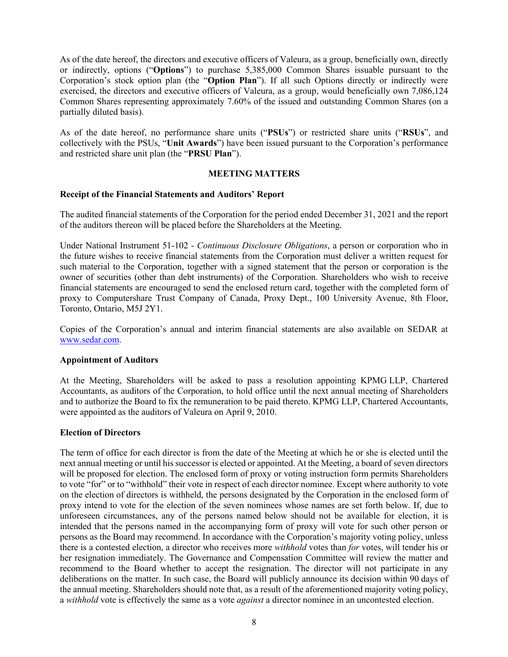As of the date hereof, the directors and executive officers of Valeura, as a group, beneficially own, directly or indirectly, options ("**Options**") to purchase 5,385,000 Common Shares issuable pursuant to the Corporation's stock option plan (the "**Option Plan**"). If all such Options directly or indirectly were exercised, the directors and executive officers of Valeura, as a group, would beneficially own 7,086,124 Common Shares representing approximately 7.60% of the issued and outstanding Common Shares (on a partially diluted basis).

As of the date hereof, no performance share units ("**PSUs**") or restricted share units ("**RSUs**", and collectively with the PSUs, "**Unit Awards**") have been issued pursuant to the Corporation's performance and restricted share unit plan (the "**PRSU Plan**").

#### **MEETING MATTERS**

#### **Receipt of the Financial Statements and Auditors' Report**

The audited financial statements of the Corporation for the period ended December 31, 2021 and the report of the auditors thereon will be placed before the Shareholders at the Meeting.

Under National Instrument 51-102 - *Continuous Disclosure Obligations*, a person or corporation who in the future wishes to receive financial statements from the Corporation must deliver a written request for such material to the Corporation, together with a signed statement that the person or corporation is the owner of securities (other than debt instruments) of the Corporation. Shareholders who wish to receive financial statements are encouraged to send the enclosed return card, together with the completed form of proxy to Computershare Trust Company of Canada, Proxy Dept., 100 University Avenue, 8th Floor, Toronto, Ontario, M5J 2Y1.

Copies of the Corporation's annual and interim financial statements are also available on SEDAR at www.sedar.com.

#### **Appointment of Auditors**

At the Meeting, Shareholders will be asked to pass a resolution appointing KPMG LLP, Chartered Accountants, as auditors of the Corporation, to hold office until the next annual meeting of Shareholders and to authorize the Board to fix the remuneration to be paid thereto. KPMG LLP, Chartered Accountants, were appointed as the auditors of Valeura on April 9, 2010.

#### **Election of Directors**

The term of office for each director is from the date of the Meeting at which he or she is elected until the next annual meeting or until hissuccessor is elected or appointed. At the Meeting, a board of seven directors will be proposed for election. The enclosed form of proxy or voting instruction form permits Shareholders to vote "for" or to "withhold" their vote in respect of each director nominee. Except where authority to vote on the election of directors is withheld, the persons designated by the Corporation in the enclosed form of proxy intend to vote for the election of the seven nominees whose names are set forth below. If, due to unforeseen circumstances, any of the persons named below should not be available for election, it is intended that the persons named in the accompanying form of proxy will vote for such other person or persons as the Board may recommend. In accordance with the Corporation's majority voting policy, unless there is a contested election, a director who receives more *withhold* votes than *for* votes, will tender his or her resignation immediately. The Governance and Compensation Committee will review the matter and recommend to the Board whether to accept the resignation. The director will not participate in any deliberations on the matter. In such case, the Board will publicly announce its decision within 90 days of the annual meeting. Shareholders should note that, as a result of the aforementioned majority voting policy, a *withhold* vote is effectively the same as a vote *against* a director nominee in an uncontested election.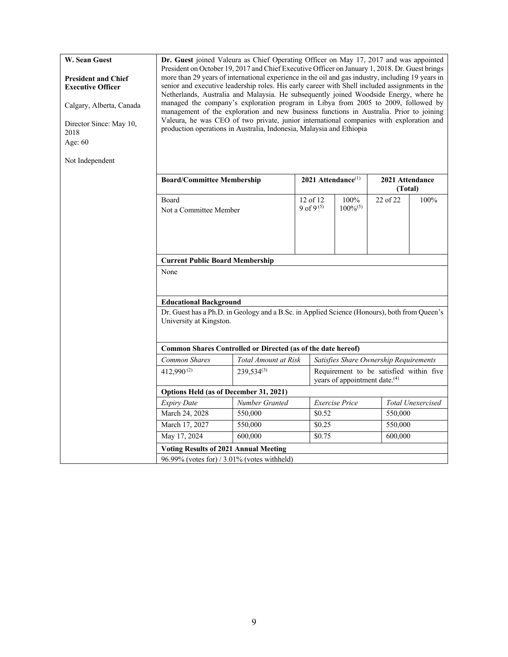| W. Sean Guest<br><b>President and Chief</b><br><b>Executive Officer</b><br>Calgary, Alberta, Canada<br>Director Since: May 10,<br>2018<br>Age: 60<br>Not Independent | Dr. Guest joined Valeura as Chief Operating Officer on May 17, 2017 and was appointed<br>President on October 19, 2017 and Chief Executive Officer on January 1, 2018. Dr. Guest brings<br>more than 29 years of international experience in the oil and gas industry, including 19 years in<br>senior and executive leadership roles. His early career with Shell included assignments in the<br>Netherlands, Australia and Malaysia. He subsequently joined Woodside Energy, where he<br>managed the company's exploration program in Libya from 2005 to 2009, followed by<br>management of the exploration and new business functions in Australia. Prior to joining<br>Valeura, he was CEO of two private, junior international companies with exploration and<br>production operations in Australia, Indonesia, Malaysia and Ethiopia |                                                                                              |                                |                                           |                                         |                            |  |  |  |
|----------------------------------------------------------------------------------------------------------------------------------------------------------------------|--------------------------------------------------------------------------------------------------------------------------------------------------------------------------------------------------------------------------------------------------------------------------------------------------------------------------------------------------------------------------------------------------------------------------------------------------------------------------------------------------------------------------------------------------------------------------------------------------------------------------------------------------------------------------------------------------------------------------------------------------------------------------------------------------------------------------------------------|----------------------------------------------------------------------------------------------|--------------------------------|-------------------------------------------|-----------------------------------------|----------------------------|--|--|--|
|                                                                                                                                                                      | <b>Board/Committee Membership</b>                                                                                                                                                                                                                                                                                                                                                                                                                                                                                                                                                                                                                                                                                                                                                                                                          |                                                                                              | 2021 Attendance <sup>(1)</sup> |                                           |                                         | 2021 Attendance<br>(Total) |  |  |  |
|                                                                                                                                                                      | <b>Board</b><br>Not a Committee Member                                                                                                                                                                                                                                                                                                                                                                                                                                                                                                                                                                                                                                                                                                                                                                                                     |                                                                                              | 12 of 12<br>9 of 9(5)          | 100%<br>$100\%^{(5)}$                     | 22 of 22                                | 100%                       |  |  |  |
|                                                                                                                                                                      |                                                                                                                                                                                                                                                                                                                                                                                                                                                                                                                                                                                                                                                                                                                                                                                                                                            |                                                                                              |                                |                                           |                                         |                            |  |  |  |
|                                                                                                                                                                      | <b>Current Public Board Membership</b>                                                                                                                                                                                                                                                                                                                                                                                                                                                                                                                                                                                                                                                                                                                                                                                                     |                                                                                              |                                |                                           |                                         |                            |  |  |  |
|                                                                                                                                                                      | None                                                                                                                                                                                                                                                                                                                                                                                                                                                                                                                                                                                                                                                                                                                                                                                                                                       |                                                                                              |                                |                                           |                                         |                            |  |  |  |
|                                                                                                                                                                      | <b>Educational Background</b>                                                                                                                                                                                                                                                                                                                                                                                                                                                                                                                                                                                                                                                                                                                                                                                                              |                                                                                              |                                |                                           |                                         |                            |  |  |  |
|                                                                                                                                                                      | University at Kingston.                                                                                                                                                                                                                                                                                                                                                                                                                                                                                                                                                                                                                                                                                                                                                                                                                    | Dr. Guest has a Ph.D. in Geology and a B.Sc. in Applied Science (Honours), both from Queen's |                                |                                           |                                         |                            |  |  |  |
|                                                                                                                                                                      |                                                                                                                                                                                                                                                                                                                                                                                                                                                                                                                                                                                                                                                                                                                                                                                                                                            | Common Shares Controlled or Directed (as of the date hereof)                                 |                                |                                           |                                         |                            |  |  |  |
|                                                                                                                                                                      | <b>Common Shares</b>                                                                                                                                                                                                                                                                                                                                                                                                                                                                                                                                                                                                                                                                                                                                                                                                                       | Total Amount at Risk                                                                         |                                |                                           | Satisfies Share Ownership Requirements  |                            |  |  |  |
|                                                                                                                                                                      | 412,990 $(2)$                                                                                                                                                                                                                                                                                                                                                                                                                                                                                                                                                                                                                                                                                                                                                                                                                              | $239,534^{(3)}$                                                                              |                                | years of appointment date. <sup>(4)</sup> | Requirement to be satisfied within five |                            |  |  |  |
|                                                                                                                                                                      | Options Held (as of December 31, 2021)                                                                                                                                                                                                                                                                                                                                                                                                                                                                                                                                                                                                                                                                                                                                                                                                     |                                                                                              |                                |                                           |                                         |                            |  |  |  |
|                                                                                                                                                                      | <b>Expiry Date</b>                                                                                                                                                                                                                                                                                                                                                                                                                                                                                                                                                                                                                                                                                                                                                                                                                         | Number Granted                                                                               |                                | <b>Exercise Price</b>                     |                                         | Total Unexercised          |  |  |  |
|                                                                                                                                                                      | March 24, 2028                                                                                                                                                                                                                                                                                                                                                                                                                                                                                                                                                                                                                                                                                                                                                                                                                             | 550,000                                                                                      | \$0.52                         |                                           | 550,000                                 |                            |  |  |  |
|                                                                                                                                                                      | March 17, 2027                                                                                                                                                                                                                                                                                                                                                                                                                                                                                                                                                                                                                                                                                                                                                                                                                             | 550,000                                                                                      | \$0.25                         |                                           | 550,000                                 |                            |  |  |  |
|                                                                                                                                                                      | May 17, 2024                                                                                                                                                                                                                                                                                                                                                                                                                                                                                                                                                                                                                                                                                                                                                                                                                               | 600,000                                                                                      | \$0.75                         |                                           | 600,000                                 |                            |  |  |  |
|                                                                                                                                                                      | <b>Voting Results of 2021 Annual Meeting</b>                                                                                                                                                                                                                                                                                                                                                                                                                                                                                                                                                                                                                                                                                                                                                                                               |                                                                                              |                                |                                           |                                         |                            |  |  |  |
|                                                                                                                                                                      |                                                                                                                                                                                                                                                                                                                                                                                                                                                                                                                                                                                                                                                                                                                                                                                                                                            | 96.99% (votes for) / 3.01% (votes withheld)                                                  |                                |                                           |                                         |                            |  |  |  |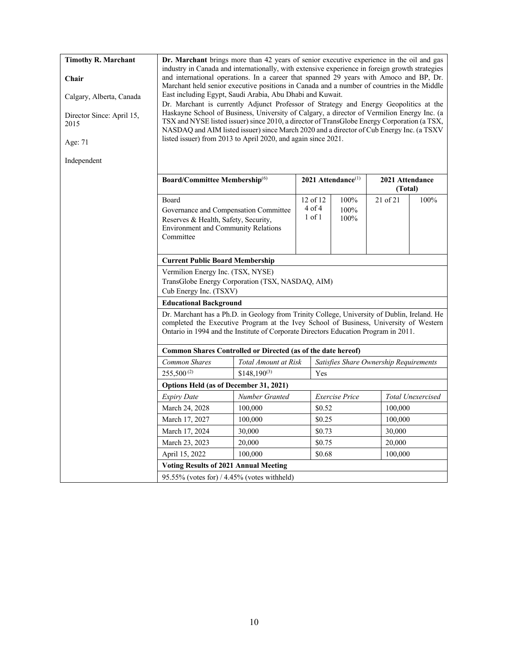| <b>Timothy R. Marchant</b><br>Chair<br>Calgary, Alberta, Canada<br>Director Since: April 15,<br>2015<br>Age: 71<br>Independent | Dr. Marchant brings more than 42 years of senior executive experience in the oil and gas<br>industry in Canada and internationally, with extensive experience in foreign growth strategies<br>and international operations. In a career that spanned 29 years with Amoco and BP, Dr.<br>Marchant held senior executive positions in Canada and a number of countries in the Middle<br>East including Egypt, Saudi Arabia, Abu Dhabi and Kuwait.<br>Dr. Marchant is currently Adjunct Professor of Strategy and Energy Geopolitics at the<br>Haskayne School of Business, University of Calgary, a director of Vermilion Energy Inc. (a<br>TSX and NYSE listed issuer) since 2010, a director of TransGlobe Energy Corporation (a TSX,<br>NASDAQ and AIM listed issuer) since March 2020 and a director of Cub Energy Inc. (a TSXV<br>listed issuer) from 2013 to April 2020, and again since 2021. |                      |  |                                      |                                  |                                        |                   |  |  |
|--------------------------------------------------------------------------------------------------------------------------------|----------------------------------------------------------------------------------------------------------------------------------------------------------------------------------------------------------------------------------------------------------------------------------------------------------------------------------------------------------------------------------------------------------------------------------------------------------------------------------------------------------------------------------------------------------------------------------------------------------------------------------------------------------------------------------------------------------------------------------------------------------------------------------------------------------------------------------------------------------------------------------------------------|----------------------|--|--------------------------------------|----------------------------------|----------------------------------------|-------------------|--|--|
|                                                                                                                                | Board/Committee Membership <sup>(6)</sup>                                                                                                                                                                                                                                                                                                                                                                                                                                                                                                                                                                                                                                                                                                                                                                                                                                                          |                      |  |                                      | $2021$ Attendance <sup>(1)</sup> | 2021 Attendance                        |                   |  |  |
|                                                                                                                                |                                                                                                                                                                                                                                                                                                                                                                                                                                                                                                                                                                                                                                                                                                                                                                                                                                                                                                    |                      |  |                                      |                                  | (Total)                                |                   |  |  |
|                                                                                                                                | Board<br>Governance and Compensation Committee<br>Reserves & Health, Safety, Security,<br><b>Environment and Community Relations</b><br>Committee                                                                                                                                                                                                                                                                                                                                                                                                                                                                                                                                                                                                                                                                                                                                                  |                      |  | 12 of 12<br>$4$ of $4$<br>$1$ of $1$ | 100%<br>100%<br>100%             | 21 of 21                               | 100%              |  |  |
|                                                                                                                                | <b>Current Public Board Membership</b>                                                                                                                                                                                                                                                                                                                                                                                                                                                                                                                                                                                                                                                                                                                                                                                                                                                             |                      |  |                                      |                                  |                                        |                   |  |  |
|                                                                                                                                | Vermilion Energy Inc. (TSX, NYSE)<br>TransGlobe Energy Corporation (TSX, NASDAQ, AIM)<br>Cub Energy Inc. (TSXV)                                                                                                                                                                                                                                                                                                                                                                                                                                                                                                                                                                                                                                                                                                                                                                                    |                      |  |                                      |                                  |                                        |                   |  |  |
|                                                                                                                                | <b>Educational Background</b>                                                                                                                                                                                                                                                                                                                                                                                                                                                                                                                                                                                                                                                                                                                                                                                                                                                                      |                      |  |                                      |                                  |                                        |                   |  |  |
|                                                                                                                                | Dr. Marchant has a Ph.D. in Geology from Trinity College, University of Dublin, Ireland. He<br>completed the Executive Program at the Ivey School of Business, University of Western<br>Ontario in 1994 and the Institute of Corporate Directors Education Program in 2011.                                                                                                                                                                                                                                                                                                                                                                                                                                                                                                                                                                                                                        |                      |  |                                      |                                  |                                        |                   |  |  |
|                                                                                                                                | Common Shares Controlled or Directed (as of the date hereof)                                                                                                                                                                                                                                                                                                                                                                                                                                                                                                                                                                                                                                                                                                                                                                                                                                       |                      |  |                                      |                                  |                                        |                   |  |  |
|                                                                                                                                | Common Shares                                                                                                                                                                                                                                                                                                                                                                                                                                                                                                                                                                                                                                                                                                                                                                                                                                                                                      | Total Amount at Risk |  |                                      |                                  | Satisfies Share Ownership Requirements |                   |  |  |
|                                                                                                                                | $255,500^{(2)}$                                                                                                                                                                                                                                                                                                                                                                                                                                                                                                                                                                                                                                                                                                                                                                                                                                                                                    | $$148,190^{(3)}$     |  | Yes                                  |                                  |                                        |                   |  |  |
|                                                                                                                                | Options Held (as of December 31, 2021)                                                                                                                                                                                                                                                                                                                                                                                                                                                                                                                                                                                                                                                                                                                                                                                                                                                             |                      |  |                                      |                                  |                                        |                   |  |  |
|                                                                                                                                | <b>Expiry Date</b>                                                                                                                                                                                                                                                                                                                                                                                                                                                                                                                                                                                                                                                                                                                                                                                                                                                                                 | Number Granted       |  |                                      | <b>Exercise</b> Price            |                                        | Total Unexercised |  |  |
|                                                                                                                                | March 24, 2028                                                                                                                                                                                                                                                                                                                                                                                                                                                                                                                                                                                                                                                                                                                                                                                                                                                                                     | 100,000              |  | \$0.52                               |                                  | 100,000                                |                   |  |  |
|                                                                                                                                | March 17, 2027<br>100,000<br>\$0.25<br>100,000                                                                                                                                                                                                                                                                                                                                                                                                                                                                                                                                                                                                                                                                                                                                                                                                                                                     |                      |  |                                      |                                  |                                        |                   |  |  |
|                                                                                                                                | March 17, 2024<br>30,000<br>\$0.73<br>30,000                                                                                                                                                                                                                                                                                                                                                                                                                                                                                                                                                                                                                                                                                                                                                                                                                                                       |                      |  |                                      |                                  |                                        |                   |  |  |
|                                                                                                                                | March 23, 2023                                                                                                                                                                                                                                                                                                                                                                                                                                                                                                                                                                                                                                                                                                                                                                                                                                                                                     | 20,000               |  | \$0.75                               |                                  | 20,000                                 |                   |  |  |
|                                                                                                                                | April 15, 2022                                                                                                                                                                                                                                                                                                                                                                                                                                                                                                                                                                                                                                                                                                                                                                                                                                                                                     | 100,000              |  | \$0.68                               |                                  | 100,000                                |                   |  |  |
|                                                                                                                                | <b>Voting Results of 2021 Annual Meeting</b>                                                                                                                                                                                                                                                                                                                                                                                                                                                                                                                                                                                                                                                                                                                                                                                                                                                       |                      |  |                                      |                                  |                                        |                   |  |  |
|                                                                                                                                | $95.55\%$ (votes for) / 4.45% (votes withheld)                                                                                                                                                                                                                                                                                                                                                                                                                                                                                                                                                                                                                                                                                                                                                                                                                                                     |                      |  |                                      |                                  |                                        |                   |  |  |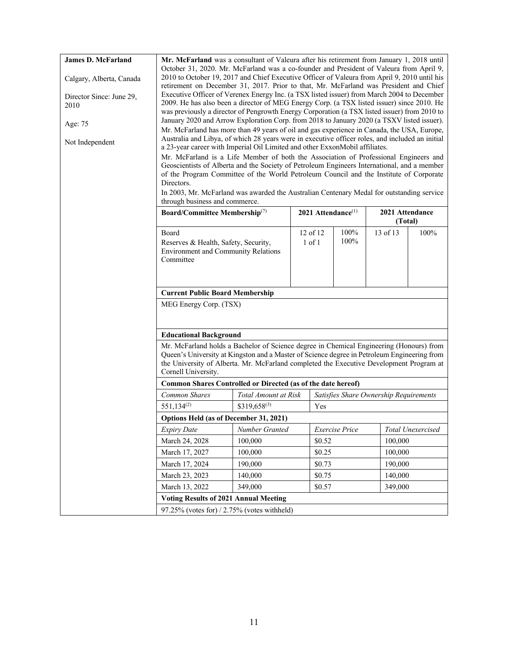| <b>James D. McFarland</b>        |                                                                                                                                                                                            | Mr. McFarland was a consultant of Valeura after his retirement from January 1, 2018 until<br>October 31, 2020. Mr. McFarland was a co-founder and President of Valeura from April 9, |            |        |                          |                                        |                   |  |
|----------------------------------|--------------------------------------------------------------------------------------------------------------------------------------------------------------------------------------------|--------------------------------------------------------------------------------------------------------------------------------------------------------------------------------------|------------|--------|--------------------------|----------------------------------------|-------------------|--|
| Calgary, Alberta, Canada         | 2010 to October 19, 2017 and Chief Executive Officer of Valeura from April 9, 2010 until his<br>retirement on December 31, 2017. Prior to that, Mr. McFarland was President and Chief      |                                                                                                                                                                                      |            |        |                          |                                        |                   |  |
|                                  | Executive Officer of Verenex Energy Inc. (a TSX listed issuer) from March 2004 to December                                                                                                 |                                                                                                                                                                                      |            |        |                          |                                        |                   |  |
| Director Since: June 29,<br>2010 | 2009. He has also been a director of MEG Energy Corp. (a TSX listed issuer) since 2010. He<br>was previously a director of Pengrowth Energy Corporation (a TSX listed issuer) from 2010 to |                                                                                                                                                                                      |            |        |                          |                                        |                   |  |
| Age: 75                          | January 2020 and Arrow Exploration Corp. from 2018 to January 2020 (a TSXV listed issuer).                                                                                                 |                                                                                                                                                                                      |            |        |                          |                                        |                   |  |
|                                  | Mr. McFarland has more than 49 years of oil and gas experience in Canada, the USA, Europe,                                                                                                 |                                                                                                                                                                                      |            |        |                          |                                        |                   |  |
| Not Independent                  | Australia and Libya, of which 28 years were in executive officer roles, and included an initial<br>a 23-year career with Imperial Oil Limited and other ExxonMobil affiliates.             |                                                                                                                                                                                      |            |        |                          |                                        |                   |  |
|                                  | Mr. McFarland is a Life Member of both the Association of Professional Engineers and<br>Geoscientists of Alberta and the Society of Petroleum Engineers International, and a member        |                                                                                                                                                                                      |            |        |                          |                                        |                   |  |
|                                  | of the Program Committee of the World Petroleum Council and the Institute of Corporate                                                                                                     |                                                                                                                                                                                      |            |        |                          |                                        |                   |  |
|                                  | Directors.                                                                                                                                                                                 |                                                                                                                                                                                      |            |        |                          |                                        |                   |  |
|                                  | In 2003, Mr. McFarland was awarded the Australian Centenary Medal for outstanding service<br>through business and commerce.                                                                |                                                                                                                                                                                      |            |        |                          |                                        |                   |  |
|                                  | Board/Committee Membership <sup>(7)</sup>                                                                                                                                                  |                                                                                                                                                                                      |            |        | 2021 Attendance $^{(1)}$ | 2021 Attendance                        |                   |  |
|                                  |                                                                                                                                                                                            |                                                                                                                                                                                      |            |        |                          | (Total)                                |                   |  |
|                                  | Board                                                                                                                                                                                      |                                                                                                                                                                                      | 12 of 12   |        | 100%                     | 13 of 13                               | 100%              |  |
|                                  | Reserves & Health, Safety, Security,<br><b>Environment and Community Relations</b>                                                                                                         |                                                                                                                                                                                      | $1$ of $1$ |        | 100%                     |                                        |                   |  |
|                                  | Committee                                                                                                                                                                                  |                                                                                                                                                                                      |            |        |                          |                                        |                   |  |
|                                  |                                                                                                                                                                                            |                                                                                                                                                                                      |            |        |                          |                                        |                   |  |
|                                  |                                                                                                                                                                                            |                                                                                                                                                                                      |            |        |                          |                                        |                   |  |
|                                  | <b>Current Public Board Membership</b>                                                                                                                                                     |                                                                                                                                                                                      |            |        |                          |                                        |                   |  |
|                                  | MEG Energy Corp. (TSX)                                                                                                                                                                     |                                                                                                                                                                                      |            |        |                          |                                        |                   |  |
|                                  |                                                                                                                                                                                            |                                                                                                                                                                                      |            |        |                          |                                        |                   |  |
|                                  | <b>Educational Background</b>                                                                                                                                                              |                                                                                                                                                                                      |            |        |                          |                                        |                   |  |
|                                  | Mr. McFarland holds a Bachelor of Science degree in Chemical Engineering (Honours) from                                                                                                    |                                                                                                                                                                                      |            |        |                          |                                        |                   |  |
|                                  | Queen's University at Kingston and a Master of Science degree in Petroleum Engineering from<br>the University of Alberta. Mr. McFarland completed the Executive Development Program at     |                                                                                                                                                                                      |            |        |                          |                                        |                   |  |
|                                  | Cornell University.                                                                                                                                                                        |                                                                                                                                                                                      |            |        |                          |                                        |                   |  |
|                                  | Common Shares Controlled or Directed (as of the date hereof)                                                                                                                               |                                                                                                                                                                                      |            |        |                          |                                        |                   |  |
|                                  | Common Shares                                                                                                                                                                              | Total Amount at Risk                                                                                                                                                                 |            |        |                          | Satisfies Share Ownership Requirements |                   |  |
|                                  | 551,134 <sup>(2)</sup>                                                                                                                                                                     | $$319,658^{(3)}$                                                                                                                                                                     |            | Yes    |                          |                                        |                   |  |
|                                  | Options Held (as of December 31, 2021)                                                                                                                                                     |                                                                                                                                                                                      |            |        |                          |                                        |                   |  |
|                                  | <b>Expiry Date</b>                                                                                                                                                                         | Number Granted                                                                                                                                                                       |            |        | <b>Exercise</b> Price    |                                        | Total Unexercised |  |
|                                  | March 24, 2028                                                                                                                                                                             | 100,000                                                                                                                                                                              |            | \$0.52 |                          | 100,000                                |                   |  |
|                                  | March 17, 2027                                                                                                                                                                             | 100,000                                                                                                                                                                              |            | \$0.25 |                          | 100,000                                |                   |  |
|                                  | March 17, 2024                                                                                                                                                                             | 190,000                                                                                                                                                                              |            | \$0.73 |                          | 190,000                                |                   |  |
|                                  | March 23, 2023                                                                                                                                                                             | 140,000                                                                                                                                                                              |            | \$0.75 |                          | 140,000                                |                   |  |
|                                  | March 13, 2022                                                                                                                                                                             | 349,000                                                                                                                                                                              |            | \$0.57 |                          | 349,000                                |                   |  |
|                                  | <b>Voting Results of 2021 Annual Meeting</b>                                                                                                                                               |                                                                                                                                                                                      |            |        |                          |                                        |                   |  |
|                                  | 97.25% (votes for) / 2.75% (votes withheld)                                                                                                                                                |                                                                                                                                                                                      |            |        |                          |                                        |                   |  |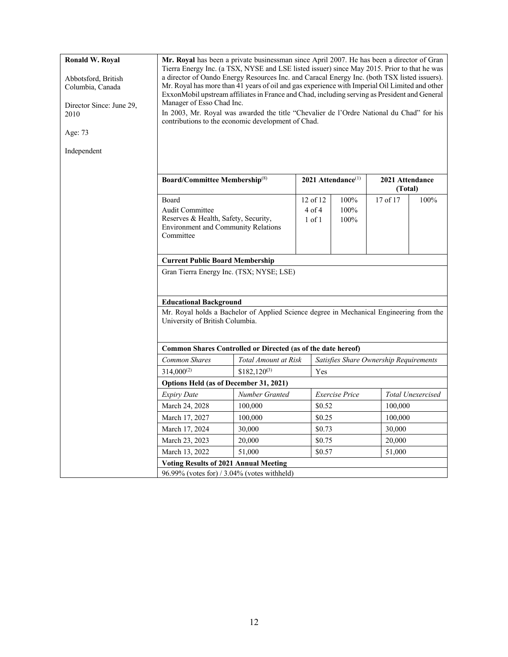| Ronald W. Royal          | Mr. Royal has been a private businessman since April 2007. He has been a director of Gran<br>Tierra Energy Inc. (a TSX, NYSE and LSE listed issuer) since May 2015. Prior to that he was        |                      |            |                                        |                                             |                          |  |  |  |  |  |  |
|--------------------------|-------------------------------------------------------------------------------------------------------------------------------------------------------------------------------------------------|----------------------|------------|----------------------------------------|---------------------------------------------|--------------------------|--|--|--|--|--|--|
| Abbotsford, British      | a director of Oando Energy Resources Inc. and Caracal Energy Inc. (both TSX listed issuers).                                                                                                    |                      |            |                                        |                                             |                          |  |  |  |  |  |  |
| Columbia, Canada         | Mr. Royal has more than 41 years of oil and gas experience with Imperial Oil Limited and other<br>ExxonMobil upstream affiliates in France and Chad, including serving as President and General |                      |            |                                        |                                             |                          |  |  |  |  |  |  |
| Director Since: June 29, | Manager of Esso Chad Inc.                                                                                                                                                                       |                      |            |                                        |                                             |                          |  |  |  |  |  |  |
| 2010                     | In 2003, Mr. Royal was awarded the title "Chevalier de l'Ordre National du Chad" for his<br>contributions to the economic development of Chad.                                                  |                      |            |                                        |                                             |                          |  |  |  |  |  |  |
| Age: 73                  |                                                                                                                                                                                                 |                      |            |                                        |                                             |                          |  |  |  |  |  |  |
| Independent              |                                                                                                                                                                                                 |                      |            |                                        |                                             |                          |  |  |  |  |  |  |
|                          |                                                                                                                                                                                                 |                      |            |                                        |                                             |                          |  |  |  |  |  |  |
|                          | <b>Board/Committee Membership</b> <sup>(8)</sup>                                                                                                                                                |                      |            | $2021$ Attendance <sup>(1)</sup>       | 2021 Attendance<br>(Total)                  |                          |  |  |  |  |  |  |
|                          | <b>Board</b>                                                                                                                                                                                    |                      | 12 of 12   | 100%                                   | 17 of 17                                    | 100%                     |  |  |  |  |  |  |
|                          | <b>Audit Committee</b>                                                                                                                                                                          |                      | $4$ of $4$ | 100%                                   |                                             |                          |  |  |  |  |  |  |
|                          | Reserves & Health, Safety, Security,                                                                                                                                                            |                      | $1$ of $1$ | 100%                                   |                                             |                          |  |  |  |  |  |  |
|                          | <b>Environment and Community Relations</b><br>Committee                                                                                                                                         |                      |            |                                        |                                             |                          |  |  |  |  |  |  |
|                          |                                                                                                                                                                                                 |                      |            |                                        |                                             |                          |  |  |  |  |  |  |
|                          | <b>Current Public Board Membership</b>                                                                                                                                                          |                      |            |                                        |                                             |                          |  |  |  |  |  |  |
|                          | Gran Tierra Energy Inc. (TSX; NYSE; LSE)                                                                                                                                                        |                      |            |                                        |                                             |                          |  |  |  |  |  |  |
|                          | <b>Educational Background</b>                                                                                                                                                                   |                      |            |                                        |                                             |                          |  |  |  |  |  |  |
|                          | Mr. Royal holds a Bachelor of Applied Science degree in Mechanical Engineering from the                                                                                                         |                      |            |                                        |                                             |                          |  |  |  |  |  |  |
|                          | University of British Columbia.                                                                                                                                                                 |                      |            |                                        |                                             |                          |  |  |  |  |  |  |
|                          |                                                                                                                                                                                                 |                      |            |                                        |                                             |                          |  |  |  |  |  |  |
|                          | Common Shares Controlled or Directed (as of the date hereof)                                                                                                                                    |                      |            |                                        |                                             |                          |  |  |  |  |  |  |
|                          | <b>Common Shares</b>                                                                                                                                                                            | Total Amount at Risk |            | Satisfies Share Ownership Requirements |                                             |                          |  |  |  |  |  |  |
|                          | $314,000^{(2)}$                                                                                                                                                                                 | $$182,120^{(3)}$     | Yes        |                                        |                                             |                          |  |  |  |  |  |  |
|                          | Options Held (as of December 31, 2021)                                                                                                                                                          |                      |            |                                        |                                             |                          |  |  |  |  |  |  |
|                          | <b>Expiry Date</b>                                                                                                                                                                              | Number Granted       |            | <b>Exercise</b> Price                  |                                             | <b>Total Unexercised</b> |  |  |  |  |  |  |
|                          | March 24, 2028                                                                                                                                                                                  | 100,000              |            | \$0.52                                 | 100,000                                     |                          |  |  |  |  |  |  |
|                          | March 17, 2027                                                                                                                                                                                  | 100,000              |            | \$0.25                                 | 100,000                                     |                          |  |  |  |  |  |  |
|                          | March 17, 2024                                                                                                                                                                                  | 30,000               |            | \$0.73                                 | 30,000                                      |                          |  |  |  |  |  |  |
|                          | March 23, 2023                                                                                                                                                                                  | 20,000               |            | \$0.75                                 | 20,000                                      |                          |  |  |  |  |  |  |
|                          | March 13, 2022                                                                                                                                                                                  | 51,000               |            | \$0.57                                 | 51,000                                      |                          |  |  |  |  |  |  |
|                          | <b>Voting Results of 2021 Annual Meeting</b>                                                                                                                                                    |                      |            |                                        |                                             |                          |  |  |  |  |  |  |
|                          |                                                                                                                                                                                                 |                      |            |                                        | 96.99% (votes for) / 3.04% (votes withheld) |                          |  |  |  |  |  |  |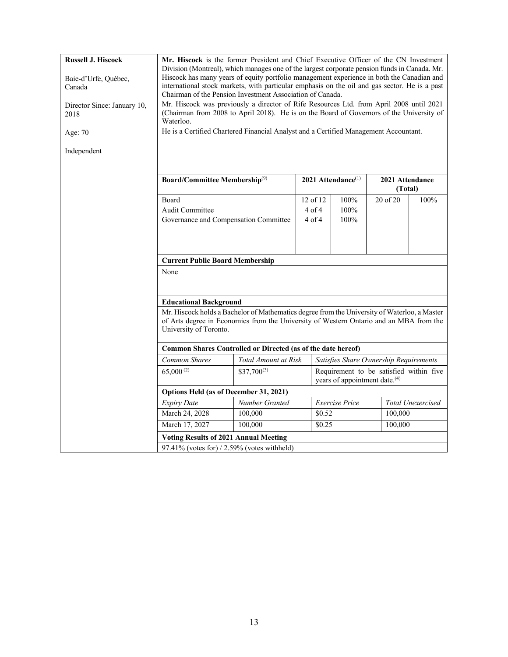| <b>Russell J. Hiscock</b>           | Mr. Hiscock is the former President and Chief Executive Officer of the CN Investment<br>Division (Montreal), which manages one of the largest corporate pension funds in Canada. Mr.                                                                    |                      |            |                                |                                        |                          |  |  |
|-------------------------------------|---------------------------------------------------------------------------------------------------------------------------------------------------------------------------------------------------------------------------------------------------------|----------------------|------------|--------------------------------|----------------------------------------|--------------------------|--|--|
| Baie-d'Urfe, Québec,<br>Canada      | Hiscock has many years of equity portfolio management experience in both the Canadian and<br>international stock markets, with particular emphasis on the oil and gas sector. He is a past<br>Chairman of the Pension Investment Association of Canada. |                      |            |                                |                                        |                          |  |  |
| Director Since: January 10,<br>2018 | Mr. Hiscock was previously a director of Rife Resources Ltd. from April 2008 until 2021<br>(Chairman from 2008 to April 2018). He is on the Board of Governors of the University of<br>Waterloo.                                                        |                      |            |                                |                                        |                          |  |  |
| Age: 70                             | He is a Certified Chartered Financial Analyst and a Certified Management Accountant.                                                                                                                                                                    |                      |            |                                |                                        |                          |  |  |
| Independent                         |                                                                                                                                                                                                                                                         |                      |            |                                |                                        |                          |  |  |
|                                     | <b>Board/Committee Membership(9)</b>                                                                                                                                                                                                                    |                      |            | 2021 Attendance <sup>(1)</sup> | 2021 Attendance<br>(Total)             |                          |  |  |
|                                     | Board                                                                                                                                                                                                                                                   |                      | 12 of 12   | 100%                           | $20$ of $20$                           | 100%                     |  |  |
|                                     | Audit Committee                                                                                                                                                                                                                                         |                      | $4$ of $4$ | 100%                           |                                        |                          |  |  |
|                                     | Governance and Compensation Committee                                                                                                                                                                                                                   |                      | $4$ of $4$ | 100%                           |                                        |                          |  |  |
|                                     | <b>Current Public Board Membership</b>                                                                                                                                                                                                                  |                      |            |                                |                                        |                          |  |  |
|                                     | None                                                                                                                                                                                                                                                    |                      |            |                                |                                        |                          |  |  |
|                                     | <b>Educational Background</b>                                                                                                                                                                                                                           |                      |            |                                |                                        |                          |  |  |
|                                     | Mr. Hiscock holds a Bachelor of Mathematics degree from the University of Waterloo, a Master<br>of Arts degree in Economics from the University of Western Ontario and an MBA from the<br>University of Toronto.                                        |                      |            |                                |                                        |                          |  |  |
|                                     | Common Shares Controlled or Directed (as of the date hereof)                                                                                                                                                                                            |                      |            |                                |                                        |                          |  |  |
|                                     | <b>Common Shares</b>                                                                                                                                                                                                                                    | Total Amount at Risk |            |                                | Satisfies Share Ownership Requirements |                          |  |  |
|                                     | $65,000^{(2)}$<br>$$37,700^{(3)}$<br>Requirement to be satisfied within five<br>years of appointment date. <sup>(4)</sup>                                                                                                                               |                      |            |                                |                                        |                          |  |  |
|                                     | Options Held (as of December 31, 2021)                                                                                                                                                                                                                  |                      |            |                                |                                        |                          |  |  |
|                                     | <b>Expiry Date</b>                                                                                                                                                                                                                                      | Number Granted       |            | Exercise Price                 |                                        | <b>Total Unexercised</b> |  |  |
|                                     | March 24, 2028                                                                                                                                                                                                                                          | 100,000              | \$0.52     |                                | 100,000                                |                          |  |  |
|                                     | March 17, 2027                                                                                                                                                                                                                                          | 100,000              | \$0.25     |                                | 100,000                                |                          |  |  |
|                                     | <b>Voting Results of 2021 Annual Meeting</b>                                                                                                                                                                                                            |                      |            |                                |                                        |                          |  |  |
|                                     | $97.41\%$ (votes for) / 2.59% (votes withheld)                                                                                                                                                                                                          |                      |            |                                |                                        |                          |  |  |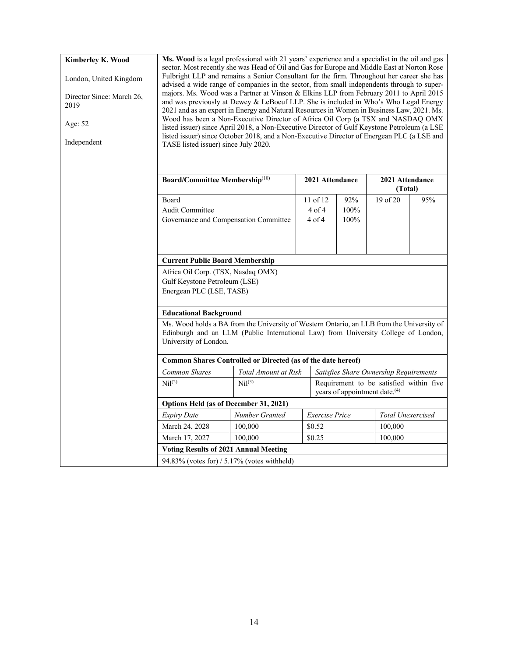#### **Kimberley K. Wood**

London, United Kingdom

Director Since: March 26, 2019

Age: 52

Independent

**Ms. Wood** is a legal professional with 21 years' experience and a specialist in the oil and gas sector. Most recently she was Head of Oil and Gas for Europe and Middle East at Norton Rose Fulbright LLP and remains a Senior Consultant for the firm. Throughout her career she has advised a wide range of companies in the sector, from small independents through to supermajors. Ms. Wood was a Partner at Vinson & Elkins LLP from February 2011 to April 2015 and was previously at Dewey & LeBoeuf LLP. She is included in Who's Who Legal Energy 2021 and as an expert in Energy and Natural Resources in Women in Business Law, 2021. Ms. Wood has been a Non‐Executive Director of Africa Oil Corp (a TSX and NASDAQ OMX listed issuer) since April 2018, a Non‐Executive Director of Gulf Keystone Petroleum (a LSE listed issuer) since October 2018, and a Non‐Executive Director of Energean PLC (a LSE and TASE listed issuer) since July 2020.

|                                                                                                                                                                                                          | Board/Committee Membership <sup>(10)</sup><br>2021 Attendance |                       |                                           |                                         |     |  | 2021 Attendance<br>(Total) |  |
|----------------------------------------------------------------------------------------------------------------------------------------------------------------------------------------------------------|---------------------------------------------------------------|-----------------------|-------------------------------------------|-----------------------------------------|-----|--|----------------------------|--|
| <b>Board</b>                                                                                                                                                                                             |                                                               | $11$ of 12            | 92%                                       | 19 of 20                                | 95% |  |                            |  |
| Audit Committee                                                                                                                                                                                          |                                                               | $4$ of $4$            | 100%                                      |                                         |     |  |                            |  |
| Governance and Compensation Committee                                                                                                                                                                    |                                                               | $4$ of $4$            | 100%                                      |                                         |     |  |                            |  |
|                                                                                                                                                                                                          |                                                               |                       |                                           |                                         |     |  |                            |  |
| <b>Current Public Board Membership</b>                                                                                                                                                                   |                                                               |                       |                                           |                                         |     |  |                            |  |
| Africa Oil Corp. (TSX, Nasdaq OMX)                                                                                                                                                                       |                                                               |                       |                                           |                                         |     |  |                            |  |
| Gulf Keystone Petroleum (LSE)                                                                                                                                                                            |                                                               |                       |                                           |                                         |     |  |                            |  |
| Energean PLC (LSE, TASE)                                                                                                                                                                                 |                                                               |                       |                                           |                                         |     |  |                            |  |
| <b>Educational Background</b>                                                                                                                                                                            |                                                               |                       |                                           |                                         |     |  |                            |  |
| Ms. Wood holds a BA from the University of Western Ontario, an LLB from the University of<br>Edinburgh and an LLM (Public International Law) from University College of London,<br>University of London. |                                                               |                       |                                           |                                         |     |  |                            |  |
| Common Shares Controlled or Directed (as of the date hereof)                                                                                                                                             |                                                               |                       |                                           |                                         |     |  |                            |  |
| <b>Common Shares</b>                                                                                                                                                                                     | Total Amount at Risk                                          |                       |                                           | Satisfies Share Ownership Requirements  |     |  |                            |  |
| Ni(2)                                                                                                                                                                                                    | Ni <sup>(3)</sup>                                             |                       | years of appointment date. <sup>(4)</sup> | Requirement to be satisfied within five |     |  |                            |  |
| <b>Options Held (as of December 31, 2021)</b>                                                                                                                                                            |                                                               |                       |                                           |                                         |     |  |                            |  |
| <b>Expiry Date</b>                                                                                                                                                                                       | Number Granted                                                | <b>Exercise</b> Price |                                           | <b>Total Unexercised</b>                |     |  |                            |  |
| March 24, 2028                                                                                                                                                                                           | 100,000                                                       | \$0.52<br>100,000     |                                           |                                         |     |  |                            |  |

March 17, 2027 100,000 \ \$0.25 100,000

**Voting Results of 2021 Annual Meeting** 94.83% (votes for) / 5.17% (votes withheld)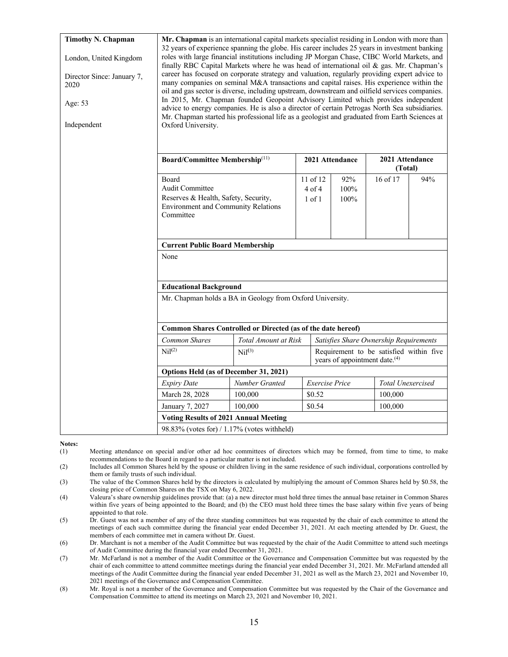| <b>Timothy N. Chapman</b><br>London, United Kingdom<br>Director Since: January 7,<br>2020<br>Age: 53<br>Independent | Mr. Chapman is an international capital markets specialist residing in London with more than<br>32 years of experience spanning the globe. His career includes 25 years in investment banking<br>roles with large financial institutions including JP Morgan Chase, CIBC World Markets, and<br>finally RBC Capital Markets where he was head of international oil $\&$ gas. Mr. Chapman's<br>career has focused on corporate strategy and valuation, regularly providing expert advice to<br>many companies on seminal M&A transactions and capital raises. His experience within the<br>oil and gas sector is diverse, including upstream, downstream and oilfield services companies.<br>In 2015, Mr. Chapman founded Geopoint Advisory Limited which provides independent<br>advice to energy companies. He is also a director of certain Petrogas North Sea subsidiaries.<br>Mr. Chapman started his professional life as a geologist and graduated from Earth Sciences at<br>Oxford University. |                                                              |                                        |                     |                                        |     |  |  |  |
|---------------------------------------------------------------------------------------------------------------------|------------------------------------------------------------------------------------------------------------------------------------------------------------------------------------------------------------------------------------------------------------------------------------------------------------------------------------------------------------------------------------------------------------------------------------------------------------------------------------------------------------------------------------------------------------------------------------------------------------------------------------------------------------------------------------------------------------------------------------------------------------------------------------------------------------------------------------------------------------------------------------------------------------------------------------------------------------------------------------------------------|--------------------------------------------------------------|----------------------------------------|---------------------|----------------------------------------|-----|--|--|--|
|                                                                                                                     | Board/Committee Membership <sup>(11)</sup>                                                                                                                                                                                                                                                                                                                                                                                                                                                                                                                                                                                                                                                                                                                                                                                                                                                                                                                                                           |                                                              |                                        | 2021 Attendance     | 2021 Attendance<br>(Total)             |     |  |  |  |
|                                                                                                                     | Board<br>Audit Committee<br>Reserves & Health, Safety, Security,<br><b>Environment and Community Relations</b><br>Committee                                                                                                                                                                                                                                                                                                                                                                                                                                                                                                                                                                                                                                                                                                                                                                                                                                                                          |                                                              | 11 of $12$<br>$4$ of $4$<br>$1$ of $1$ | 92%<br>100%<br>100% | $16$ of $17$                           | 94% |  |  |  |
|                                                                                                                     | <b>Current Public Board Membership</b>                                                                                                                                                                                                                                                                                                                                                                                                                                                                                                                                                                                                                                                                                                                                                                                                                                                                                                                                                               |                                                              |                                        |                     |                                        |     |  |  |  |
|                                                                                                                     | None                                                                                                                                                                                                                                                                                                                                                                                                                                                                                                                                                                                                                                                                                                                                                                                                                                                                                                                                                                                                 |                                                              |                                        |                     |                                        |     |  |  |  |
|                                                                                                                     | <b>Educational Background</b>                                                                                                                                                                                                                                                                                                                                                                                                                                                                                                                                                                                                                                                                                                                                                                                                                                                                                                                                                                        |                                                              |                                        |                     |                                        |     |  |  |  |
|                                                                                                                     |                                                                                                                                                                                                                                                                                                                                                                                                                                                                                                                                                                                                                                                                                                                                                                                                                                                                                                                                                                                                      | Mr. Chapman holds a BA in Geology from Oxford University.    |                                        |                     |                                        |     |  |  |  |
|                                                                                                                     |                                                                                                                                                                                                                                                                                                                                                                                                                                                                                                                                                                                                                                                                                                                                                                                                                                                                                                                                                                                                      | Common Shares Controlled or Directed (as of the date hereof) |                                        |                     |                                        |     |  |  |  |
|                                                                                                                     | Common Shares                                                                                                                                                                                                                                                                                                                                                                                                                                                                                                                                                                                                                                                                                                                                                                                                                                                                                                                                                                                        | Total Amount at Risk                                         |                                        |                     | Satisfies Share Ownership Requirements |     |  |  |  |
|                                                                                                                     | Nil <sup>(2)</sup><br>Nil <sup>(3)</sup><br>Requirement to be satisfied within five<br>years of appointment date. <sup>(4)</sup>                                                                                                                                                                                                                                                                                                                                                                                                                                                                                                                                                                                                                                                                                                                                                                                                                                                                     |                                                              |                                        |                     |                                        |     |  |  |  |
|                                                                                                                     |                                                                                                                                                                                                                                                                                                                                                                                                                                                                                                                                                                                                                                                                                                                                                                                                                                                                                                                                                                                                      | Options Held (as of December 31, 2021)                       |                                        |                     |                                        |     |  |  |  |
|                                                                                                                     | <b>Expiry Date</b>                                                                                                                                                                                                                                                                                                                                                                                                                                                                                                                                                                                                                                                                                                                                                                                                                                                                                                                                                                                   | Number Granted                                               | Exercise Price                         |                     | <b>Total Unexercised</b>               |     |  |  |  |
|                                                                                                                     | March 28, 2028                                                                                                                                                                                                                                                                                                                                                                                                                                                                                                                                                                                                                                                                                                                                                                                                                                                                                                                                                                                       | 100,000                                                      | \$0.52                                 |                     | 100,000                                |     |  |  |  |
|                                                                                                                     | January 7, 2027                                                                                                                                                                                                                                                                                                                                                                                                                                                                                                                                                                                                                                                                                                                                                                                                                                                                                                                                                                                      | 100,000                                                      | \$0.54                                 |                     | 100,000                                |     |  |  |  |
|                                                                                                                     |                                                                                                                                                                                                                                                                                                                                                                                                                                                                                                                                                                                                                                                                                                                                                                                                                                                                                                                                                                                                      | <b>Voting Results of 2021 Annual Meeting</b>                 |                                        |                     |                                        |     |  |  |  |
|                                                                                                                     | $98.83\%$ (votes for) / 1.17% (votes withheld)                                                                                                                                                                                                                                                                                                                                                                                                                                                                                                                                                                                                                                                                                                                                                                                                                                                                                                                                                       |                                                              |                                        |                     |                                        |     |  |  |  |

#### **Notes:**

- (1) Meeting attendance on special and/or other ad hoc committees of directors which may be formed, from time to time, to make recommendations to the Board in regard to a particular matter is not included.
- (2) Includes all Common Shares held by the spouse or children living in the same residence of such individual, corporations controlled by them or family trusts of such individual.
- (3) The value of the Common Shares held by the directors is calculated by multiplying the amount of Common Shares held by \$0.58, the closing price of Common Shares on the TSX on May 6, 2022.
- (4) Valeura's share ownership guidelines provide that: (a) a new director must hold three times the annual base retainer in Common Shares within five years of being appointed to the Board; and (b) the CEO must hold three times the base salary within five years of being appointed to that role.
- (5) Dr. Guest was not a member of any of the three standing committees but was requested by the chair of each committee to attend the meetings of each such committee during the financial year ended December 31, 2021. At each meeting attended by Dr. Guest, the members of each committee met in camera without Dr. Guest.
- (6) Dr. Marchant is not a member of the Audit Committee but was requested by the chair of the Audit Committee to attend such meetings of Audit Committee during the financial year ended December 31, 2021.
- (7) Mr. McFarland is not a member of the Audit Committee or the Governance and Compensation Committee but was requested by the chair of each committee to attend committee meetings during the financial year ended December 31, 2021. Mr. McFarland attended all meetings of the Audit Committee during the financial year ended December 31, 2021 as well as the March 23, 2021 and November 10, 2021 meetings of the Governance and Compensation Committee.
- (8) Mr. Royal is not a member of the Governance and Compensation Committee but was requested by the Chair of the Governance and Compensation Committee to attend its meetings on March 23, 2021 and November 10, 2021.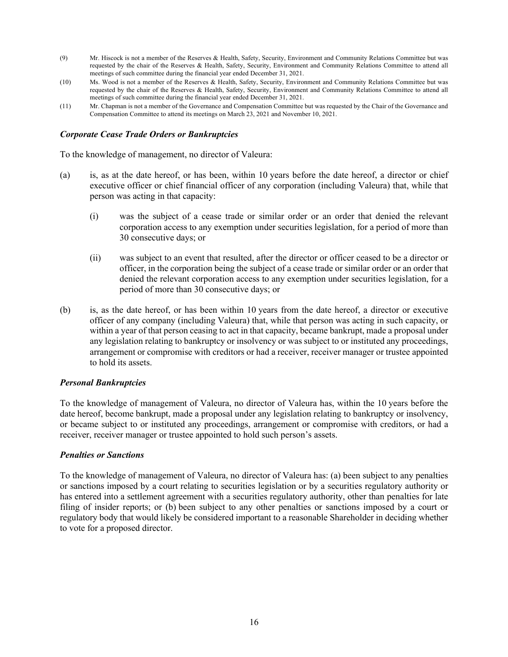- (9) Mr. Hiscock is not a member of the Reserves & Health, Safety, Security, Environment and Community Relations Committee but was requested by the chair of the Reserves & Health, Safety, Security, Environment and Community Relations Committee to attend all meetings of such committee during the financial year ended December 31, 2021.
- (10) Ms. Wood is not a member of the Reserves & Health, Safety, Security, Environment and Community Relations Committee but was requested by the chair of the Reserves & Health, Safety, Security, Environment and Community Relations Committee to attend all meetings of such committee during the financial year ended December 31, 2021.
- (11) Mr. Chapman is not a member of the Governance and Compensation Committee but was requested by the Chair of the Governance and Compensation Committee to attend its meetings on March 23, 2021 and November 10, 2021.

#### *Corporate Cease Trade Orders or Bankruptcies*

To the knowledge of management, no director of Valeura:

- (a) is, as at the date hereof, or has been, within 10 years before the date hereof, a director or chief executive officer or chief financial officer of any corporation (including Valeura) that, while that person was acting in that capacity:
	- (i) was the subject of a cease trade or similar order or an order that denied the relevant corporation access to any exemption under securities legislation, for a period of more than 30 consecutive days; or
	- (ii) was subject to an event that resulted, after the director or officer ceased to be a director or officer, in the corporation being the subject of a cease trade or similar order or an order that denied the relevant corporation access to any exemption under securities legislation, for a period of more than 30 consecutive days; or
- (b) is, as the date hereof, or has been within 10 years from the date hereof, a director or executive officer of any company (including Valeura) that, while that person was acting in such capacity, or within a year of that person ceasing to act in that capacity, became bankrupt, made a proposal under any legislation relating to bankruptcy or insolvency or was subject to or instituted any proceedings, arrangement or compromise with creditors or had a receiver, receiver manager or trustee appointed to hold its assets.

#### *Personal Bankruptcies*

To the knowledge of management of Valeura, no director of Valeura has, within the 10 years before the date hereof, become bankrupt, made a proposal under any legislation relating to bankruptcy or insolvency, or became subject to or instituted any proceedings, arrangement or compromise with creditors, or had a receiver, receiver manager or trustee appointed to hold such person's assets.

#### *Penalties or Sanctions*

To the knowledge of management of Valeura, no director of Valeura has: (a) been subject to any penalties or sanctions imposed by a court relating to securities legislation or by a securities regulatory authority or has entered into a settlement agreement with a securities regulatory authority, other than penalties for late filing of insider reports; or (b) been subject to any other penalties or sanctions imposed by a court or regulatory body that would likely be considered important to a reasonable Shareholder in deciding whether to vote for a proposed director.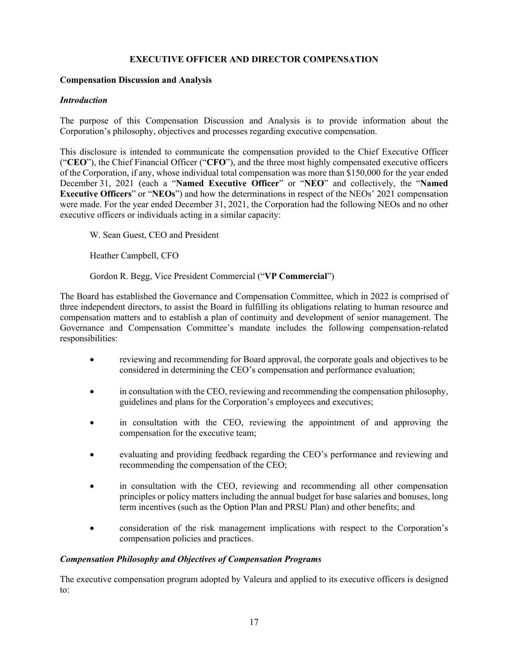# **EXECUTIVE OFFICER AND DIRECTOR COMPENSATION**

#### **Compensation Discussion and Analysis**

#### *Introduction*

The purpose of this Compensation Discussion and Analysis is to provide information about the Corporation's philosophy, objectives and processes regarding executive compensation.

This disclosure is intended to communicate the compensation provided to the Chief Executive Officer ("**CEO**"), the Chief Financial Officer ("**CFO**"), and the three most highly compensated executive officers of the Corporation, if any, whose individual total compensation was more than \$150,000 for the year ended December 31, 2021 (each a "**Named Executive Officer**" or "**NEO**" and collectively, the "**Named Executive Officers**" or "**NEOs**") and how the determinations in respect of the NEOs' 2021 compensation were made. For the year ended December 31, 2021, the Corporation had the following NEOs and no other executive officers or individuals acting in a similar capacity:

W. Sean Guest, CEO and President

Heather Campbell, CFO

Gordon R. Begg, Vice President Commercial ("**VP Commercial**")

The Board has established the Governance and Compensation Committee, which in 2022 is comprised of three independent directors, to assist the Board in fulfilling its obligations relating to human resource and compensation matters and to establish a plan of continuity and development of senior management. The Governance and Compensation Committee's mandate includes the following compensation-related responsibilities:

- reviewing and recommending for Board approval, the corporate goals and objectives to be considered in determining the CEO's compensation and performance evaluation;
- in consultation with the CEO, reviewing and recommending the compensation philosophy, guidelines and plans for the Corporation's employees and executives;
- in consultation with the CEO, reviewing the appointment of and approving the compensation for the executive team;
- evaluating and providing feedback regarding the CEO's performance and reviewing and recommending the compensation of the CEO;
- in consultation with the CEO, reviewing and recommending all other compensation principles or policy matters including the annual budget for base salaries and bonuses, long term incentives (such as the Option Plan and PRSU Plan) and other benefits; and
- consideration of the risk management implications with respect to the Corporation's compensation policies and practices.

#### *Compensation Philosophy and Objectives of Compensation Programs*

The executive compensation program adopted by Valeura and applied to its executive officers is designed to: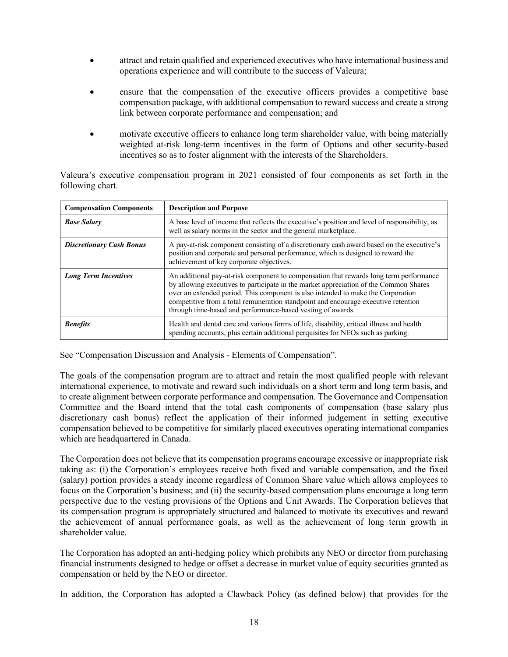- attract and retain qualified and experienced executives who have international business and operations experience and will contribute to the success of Valeura;
- ensure that the compensation of the executive officers provides a competitive base compensation package, with additional compensation to reward success and create a strong link between corporate performance and compensation; and
- motivate executive officers to enhance long term shareholder value, with being materially weighted at-risk long-term incentives in the form of Options and other security-based incentives so as to foster alignment with the interests of the Shareholders.

Valeura's executive compensation program in 2021 consisted of four components as set forth in the following chart.

| <b>Compensation Components</b>  | <b>Description and Purpose</b>                                                                                                                                                                                                                                                                                                                                                                                           |
|---------------------------------|--------------------------------------------------------------------------------------------------------------------------------------------------------------------------------------------------------------------------------------------------------------------------------------------------------------------------------------------------------------------------------------------------------------------------|
| <b>Base Salary</b>              | A base level of income that reflects the executive's position and level of responsibility, as<br>well as salary norms in the sector and the general marketplace.                                                                                                                                                                                                                                                         |
| <b>Discretionary Cash Bonus</b> | A pay-at-risk component consisting of a discretionary cash award based on the executive's<br>position and corporate and personal performance, which is designed to reward the<br>achievement of key corporate objectives.                                                                                                                                                                                                |
| <b>Long Term Incentives</b>     | An additional pay-at-risk component to compensation that rewards long term performance<br>by allowing executives to participate in the market appreciation of the Common Shares<br>over an extended period. This component is also intended to make the Corporation<br>competitive from a total remuneration standpoint and encourage executive retention<br>through time-based and performance-based vesting of awards. |
| <b>Benefits</b>                 | Health and dental care and various forms of life, disability, critical illness and health<br>spending accounts, plus certain additional perquisites for NEOs such as parking.                                                                                                                                                                                                                                            |

See "Compensation Discussion and Analysis - Elements of Compensation".

The goals of the compensation program are to attract and retain the most qualified people with relevant international experience, to motivate and reward such individuals on a short term and long term basis, and to create alignment between corporate performance and compensation. The Governance and Compensation Committee and the Board intend that the total cash components of compensation (base salary plus discretionary cash bonus) reflect the application of their informed judgement in setting executive compensation believed to be competitive for similarly placed executives operating international companies which are headquartered in Canada.

The Corporation does not believe that its compensation programs encourage excessive or inappropriate risk taking as: (i) the Corporation's employees receive both fixed and variable compensation, and the fixed (salary) portion provides a steady income regardless of Common Share value which allows employees to focus on the Corporation's business; and (ii) the security-based compensation plans encourage a long term perspective due to the vesting provisions of the Options and Unit Awards. The Corporation believes that its compensation program is appropriately structured and balanced to motivate its executives and reward the achievement of annual performance goals, as well as the achievement of long term growth in shareholder value.

The Corporation has adopted an anti-hedging policy which prohibits any NEO or director from purchasing financial instruments designed to hedge or offset a decrease in market value of equity securities granted as compensation or held by the NEO or director.

In addition, the Corporation has adopted a Clawback Policy (as defined below) that provides for the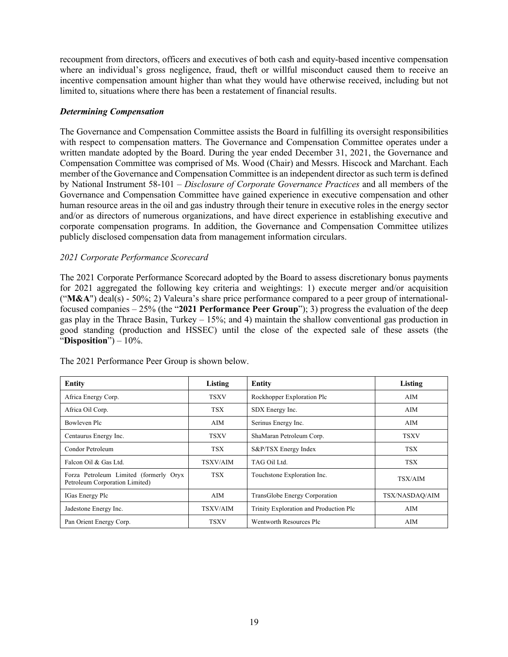recoupment from directors, officers and executives of both cash and equity-based incentive compensation where an individual's gross negligence, fraud, theft or willful misconduct caused them to receive an incentive compensation amount higher than what they would have otherwise received, including but not limited to, situations where there has been a restatement of financial results.

#### *Determining Compensation*

The Governance and Compensation Committee assists the Board in fulfilling its oversight responsibilities with respect to compensation matters. The Governance and Compensation Committee operates under a written mandate adopted by the Board. During the year ended December 31, 2021, the Governance and Compensation Committee was comprised of Ms. Wood (Chair) and Messrs. Hiscock and Marchant. Each member of the Governance and Compensation Committee is an independent director as such term is defined by National Instrument 58-101 – *Disclosure of Corporate Governance Practices* and all members of the Governance and Compensation Committee have gained experience in executive compensation and other human resource areas in the oil and gas industry through their tenure in executive roles in the energy sector and/or as directors of numerous organizations, and have direct experience in establishing executive and corporate compensation programs. In addition, the Governance and Compensation Committee utilizes publicly disclosed compensation data from management information circulars.

#### *2021 Corporate Performance Scorecard*

The 2021 Corporate Performance Scorecard adopted by the Board to assess discretionary bonus payments for 2021 aggregated the following key criteria and weightings: 1) execute merger and/or acquisition ("**M&A**") deal(s) - 50%; 2) Valeura's share price performance compared to a peer group of internationalfocused companies – 25% (the "**2021 Performance Peer Group**"); 3) progress the evaluation of the deep gas play in the Thrace Basin, Turkey  $-15\%$ ; and 4) maintain the shallow conventional gas production in good standing (production and HSSEC) until the close of the expected sale of these assets (the "**Disposition**") – 10%.

| Entity                                                                   | Listing     | Entity                                 | Listing        |
|--------------------------------------------------------------------------|-------------|----------------------------------------|----------------|
| Africa Energy Corp.                                                      | <b>TSXV</b> | Rockhopper Exploration Plc             | AIM            |
| Africa Oil Corp.                                                         | <b>TSX</b>  | SDX Energy Inc.                        | AIM            |
| Bowleven Plc                                                             | AIM         | Serinus Energy Inc.                    | AIM            |
| Centaurus Energy Inc.                                                    | <b>TSXV</b> | ShaMaran Petroleum Corp.               | <b>TSXV</b>    |
| Condor Petroleum                                                         | <b>TSX</b>  | S&P/TSX Energy Index                   | TSX            |
| Falcon Oil & Gas Ltd.                                                    | TSXV/AIM    | TAG Oil Ltd.                           | <b>TSX</b>     |
| Forza Petroleum Limited (formerly Oryx<br>Petroleum Corporation Limited) | <b>TSX</b>  | Touchstone Exploration Inc.            | TSX/AIM        |
| IGas Energy Plc                                                          | AIM         | TransGlobe Energy Corporation          | TSX/NASDAQ/AIM |
| Jadestone Energy Inc.                                                    | TSXV/AIM    | Trinity Exploration and Production Plc | AIM            |
| Pan Orient Energy Corp.                                                  | TSXV        | Wentworth Resources Plc                | AIM            |

The 2021 Performance Peer Group is shown below.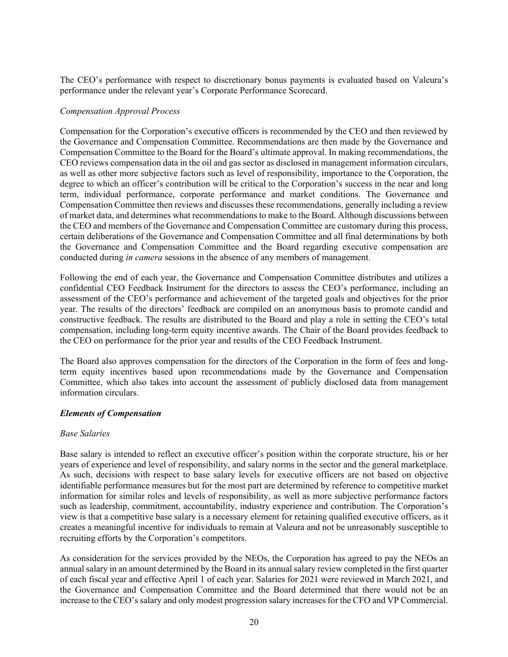The CEO's performance with respect to discretionary bonus payments is evaluated based on Valeura's performance under the relevant year's Corporate Performance Scorecard.

#### *Compensation Approval Process*

Compensation for the Corporation's executive officers is recommended by the CEO and then reviewed by the Governance and Compensation Committee. Recommendations are then made by the Governance and Compensation Committee to the Board for the Board's ultimate approval. In making recommendations, the CEO reviews compensation data in the oil and gas sector as disclosed in management information circulars, as well as other more subjective factors such as level of responsibility, importance to the Corporation, the degree to which an officer's contribution will be critical to the Corporation's success in the near and long term, individual performance, corporate performance and market conditions. The Governance and Compensation Committee then reviews and discusses these recommendations, generally including a review of market data, and determines what recommendations to make to the Board. Although discussions between the CEO and members of the Governance and Compensation Committee are customary during this process, certain deliberations of the Governance and Compensation Committee and all final determinations by both the Governance and Compensation Committee and the Board regarding executive compensation are conducted during *in camera* sessions in the absence of any members of management.

Following the end of each year, the Governance and Compensation Committee distributes and utilizes a confidential CEO Feedback Instrument for the directors to assess the CEO's performance, including an assessment of the CEO's performance and achievement of the targeted goals and objectives for the prior year. The results of the directors' feedback are compiled on an anonymous basis to promote candid and constructive feedback. The results are distributed to the Board and play a role in setting the CEO's total compensation, including long-term equity incentive awards. The Chair of the Board provides feedback to the CEO on performance for the prior year and results of the CEO Feedback Instrument.

The Board also approves compensation for the directors of the Corporation in the form of fees and longterm equity incentives based upon recommendations made by the Governance and Compensation Committee, which also takes into account the assessment of publicly disclosed data from management information circulars.

#### *Elements of Compensation*

#### *Base Salaries*

Base salary is intended to reflect an executive officer's position within the corporate structure, his or her years of experience and level of responsibility, and salary norms in the sector and the general marketplace. As such, decisions with respect to base salary levels for executive officers are not based on objective identifiable performance measures but for the most part are determined by reference to competitive market information for similar roles and levels of responsibility, as well as more subjective performance factors such as leadership, commitment, accountability, industry experience and contribution. The Corporation's view is that a competitive base salary is a necessary element for retaining qualified executive officers, as it creates a meaningful incentive for individuals to remain at Valeura and not be unreasonably susceptible to recruiting efforts by the Corporation's competitors.

As consideration for the services provided by the NEOs, the Corporation has agreed to pay the NEOs an annual salary in an amount determined by the Board in its annual salary review completed in the first quarter of each fiscal year and effective April 1 of each year. Salaries for 2021 were reviewed in March 2021, and the Governance and Compensation Committee and the Board determined that there would not be an increase to the CEO's salary and only modest progression salary increases for the CFO and VP Commercial.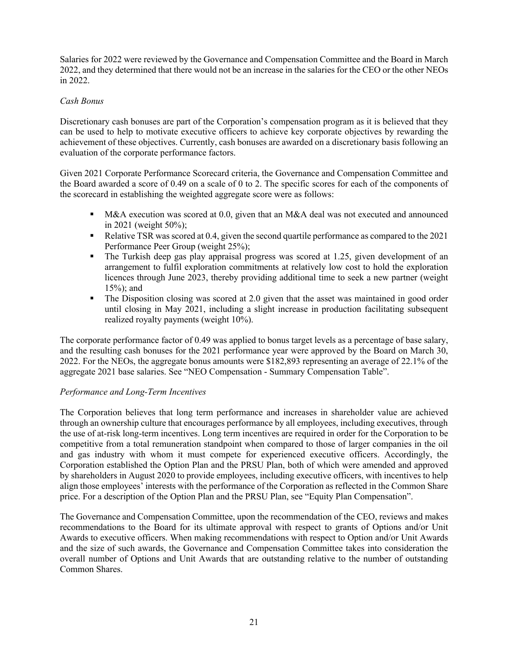Salaries for 2022 were reviewed by the Governance and Compensation Committee and the Board in March 2022, and they determined that there would not be an increase in the salaries for the CEO or the other NEOs in 2022.

#### *Cash Bonus*

Discretionary cash bonuses are part of the Corporation's compensation program as it is believed that they can be used to help to motivate executive officers to achieve key corporate objectives by rewarding the achievement of these objectives. Currently, cash bonuses are awarded on a discretionary basis following an evaluation of the corporate performance factors.

Given 2021 Corporate Performance Scorecard criteria, the Governance and Compensation Committee and the Board awarded a score of 0.49 on a scale of 0 to 2. The specific scores for each of the components of the scorecard in establishing the weighted aggregate score were as follows:

- ! M&A execution was scored at 0.0, given that an M&A deal was not executed and announced in 2021 (weight 50%);
- Relative TSR was scored at 0.4, given the second quartile performance as compared to the 2021 Performance Peer Group (weight 25%);
- ! The Turkish deep gas play appraisal progress was scored at 1.25, given development of an arrangement to fulfil exploration commitments at relatively low cost to hold the exploration licences through June 2023, thereby providing additional time to seek a new partner (weight 15%); and
- The Disposition closing was scored at 2.0 given that the asset was maintained in good order until closing in May 2021, including a slight increase in production facilitating subsequent realized royalty payments (weight 10%).

The corporate performance factor of 0.49 was applied to bonus target levels as a percentage of base salary, and the resulting cash bonuses for the 2021 performance year were approved by the Board on March 30, 2022. For the NEOs, the aggregate bonus amounts were \$182,893 representing an average of 22.1% of the aggregate 2021 base salaries. See "NEO Compensation - Summary Compensation Table".

#### *Performance and Long-Term Incentives*

The Corporation believes that long term performance and increases in shareholder value are achieved through an ownership culture that encourages performance by all employees, including executives, through the use of at-risk long-term incentives. Long term incentives are required in order for the Corporation to be competitive from a total remuneration standpoint when compared to those of larger companies in the oil and gas industry with whom it must compete for experienced executive officers. Accordingly, the Corporation established the Option Plan and the PRSU Plan, both of which were amended and approved by shareholders in August 2020 to provide employees, including executive officers, with incentives to help align those employees' interests with the performance of the Corporation as reflected in the Common Share price. For a description of the Option Plan and the PRSU Plan, see "Equity Plan Compensation".

The Governance and Compensation Committee, upon the recommendation of the CEO, reviews and makes recommendations to the Board for its ultimate approval with respect to grants of Options and/or Unit Awards to executive officers. When making recommendations with respect to Option and/or Unit Awards and the size of such awards, the Governance and Compensation Committee takes into consideration the overall number of Options and Unit Awards that are outstanding relative to the number of outstanding Common Shares.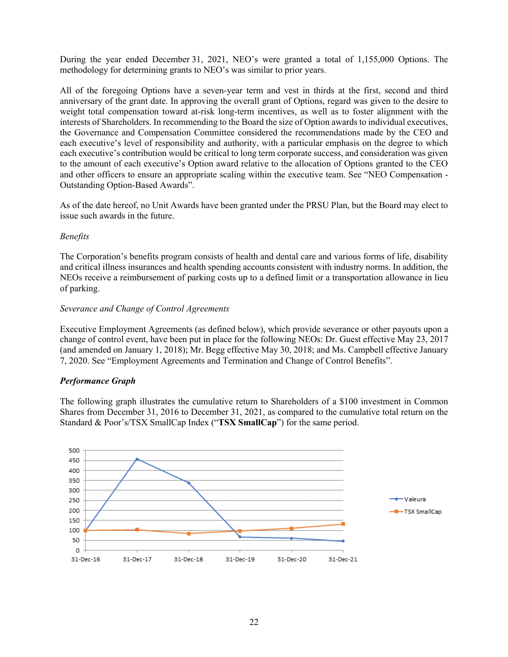During the year ended December 31, 2021, NEO's were granted a total of 1,155,000 Options. The methodology for determining grants to NEO's was similar to prior years.

All of the foregoing Options have a seven-year term and vest in thirds at the first, second and third anniversary of the grant date. In approving the overall grant of Options, regard was given to the desire to weight total compensation toward at-risk long-term incentives, as well as to foster alignment with the interests of Shareholders. In recommending to the Board the size of Option awards to individual executives, the Governance and Compensation Committee considered the recommendations made by the CEO and each executive's level of responsibility and authority, with a particular emphasis on the degree to which each executive's contribution would be critical to long term corporate success, and consideration was given to the amount of each executive's Option award relative to the allocation of Options granted to the CEO and other officers to ensure an appropriate scaling within the executive team. See "NEO Compensation - Outstanding Option-Based Awards".

As of the date hereof, no Unit Awards have been granted under the PRSU Plan, but the Board may elect to issue such awards in the future.

#### *Benefits*

The Corporation's benefits program consists of health and dental care and various forms of life, disability and critical illness insurances and health spending accounts consistent with industry norms. In addition, the NEOs receive a reimbursement of parking costs up to a defined limit or a transportation allowance in lieu of parking.

#### *Severance and Change of Control Agreements*

Executive Employment Agreements (as defined below), which provide severance or other payouts upon a change of control event, have been put in place for the following NEOs: Dr. Guest effective May 23, 2017 (and amended on January 1, 2018); Mr. Begg effective May 30, 2018; and Ms. Campbell effective January 7, 2020. See "Employment Agreements and Termination and Change of Control Benefits".

# *Performance Graph*

The following graph illustrates the cumulative return to Shareholders of a \$100 investment in Common Shares from December 31, 2016 to December 31, 2021, as compared to the cumulative total return on the Standard & Poor's/TSX SmallCap Index ("**TSX SmallCap**") for the same period.

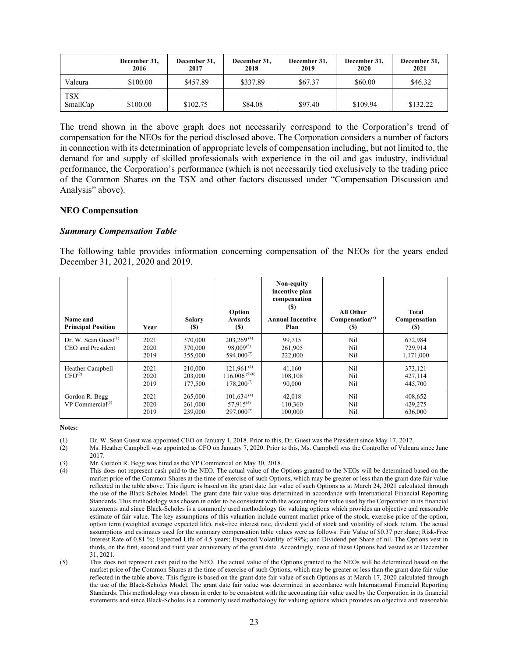|                        | December 31,<br>2016 | December 31,<br>2017 | December 31,<br>2018 | December 31,<br>2019 | December 31,<br>2020 | December 31,<br>2021 |
|------------------------|----------------------|----------------------|----------------------|----------------------|----------------------|----------------------|
| Valeura                | \$100.00             | \$457.89             | \$337.89             | \$67.37              | \$60.00              | \$46.32              |
| <b>TSX</b><br>SmallCap | \$100.00             | \$102.75             | \$84.08              | \$97.40              | \$109.94             | \$132.22             |

The trend shown in the above graph does not necessarily correspond to the Corporation's trend of compensation for the NEOs for the period disclosed above. The Corporation considers a number of factors in connection with its determination of appropriate levels of compensation including, but not limited to, the demand for and supply of skilled professionals with experience in the oil and gas industry, individual performance, the Corporation's performance (which is not necessarily tied exclusively to the trading price of the Common Shares on the TSX and other factors discussed under "Compensation Discussion and Analysis" above).

#### **NEO Compensation**

#### *Summary Compensation Table*

The following table provides information concerning compensation of the NEOs for the years ended December 31, 2021, 2020 and 2019.

| Name and<br><b>Principal Position</b>        | Year                 | <b>Salary</b><br>(S)          | Option<br><b>Awards</b><br><b>(S)</b>                    | Non-equity<br>incentive plan<br>compensation<br>(S)<br><b>Annual Incentive</b><br>Plan | <b>All Other</b><br>Compensation <sup>(8)</sup><br>(S) | Total<br>Compensation<br><b>(S)</b> |
|----------------------------------------------|----------------------|-------------------------------|----------------------------------------------------------|----------------------------------------------------------------------------------------|--------------------------------------------------------|-------------------------------------|
| Dr. W. Sean Guest $(1)$<br>CEO and President | 2021<br>2020<br>2019 | 370,000<br>370,000<br>355,000 | $203.269^{(4)}$<br>$98.009^{(5)}$<br>$594,000^{(7)}$     | 99,715<br>261,905<br>222,000                                                           | Nil<br>Nil<br>Nil                                      | 672,984<br>729.914<br>1,171,000     |
| Heather Campbell<br>CFO <sup>(2)</sup>       | 2021<br>2020<br>2019 | 210,000<br>203,000<br>177,500 | $121,961^{(4)}$<br>$116,006^{(5)(6)}$<br>$178.200^{(7)}$ | 41,160<br>108,108<br>90,000                                                            | Nil<br>Nil<br>Nil                                      | 373,121<br>427,114<br>445,700       |
| Gordon R. Begg<br>VP Commercial $^{(3)}$     | 2021<br>2020<br>2019 | 265,000<br>261,000<br>239,000 | $101.634^{(4)}$<br>$57.915^{(5)}$<br>$297,000^{(7)}$     | 42,018<br>110,360<br>100,000                                                           | Nil<br>Nil<br>Nil                                      | 408,652<br>429,275<br>636,000       |

**Notes:**

- (1) Dr. W. Sean Guest was appointed CEO on January 1, 2018. Prior to this, Dr. Guest was the President since May 17, 2017.
- (2) Ms. Heather Campbell was appointed as CFO on January 7, 2020. Prior to this, Ms. Campbell was the Controller of Valeura since June 2017.
- (3) Mr. Gordon R. Begg was hired as the VP Commercial on May 30, 2018.

(5) This does not represent cash paid to the NEO. The actual value of the Options granted to the NEOs will be determined based on the market price of the Common Shares at the time of exercise of such Options, which may be greater or less than the grant date fair value reflected in the table above. This figure is based on the grant date fair value of such Options as at March 17, 2020 calculated through the use of the Black-Scholes Model. The grant date fair value was determined in accordance with International Financial Reporting Standards. This methodology was chosen in order to be consistent with the accounting fair value used by the Corporation in its financial statements and since Black-Scholes is a commonly used methodology for valuing options which provides an objective and reasonable

<sup>(4)</sup> This does not represent cash paid to the NEO. The actual value of the Options granted to the NEOs will be determined based on the market price of the Common Shares at the time of exercise of such Options, which may be greater or less than the grant date fair value reflected in the table above. This figure is based on the grant date fair value of such Options as at March 24**,** 2021 calculated through the use of the Black-Scholes Model. The grant date fair value was determined in accordance with International Financial Reporting Standards. This methodology was chosen in order to be consistent with the accounting fair value used by the Corporation in its financial statements and since Black-Scholes is a commonly used methodology for valuing options which provides an objective and reasonable estimate of fair value. The key assumptions of this valuation include current market price of the stock, exercise price of the option, option term (weighted average expected life), risk-free interest rate, dividend yield of stock and volatility of stock return. The actual assumptions and estimates used for the summary compensation table values were as follows: Fair Value of \$0.37 per share; Risk-Free Interest Rate of 0.81 %; Expected Life of 4.5 years; Expected Volatility of 99%; and Dividend per Share of nil. The Options vest in thirds, on the first, second and third year anniversary of the grant date. Accordingly, none of these Options had vested as at December 31, 2021.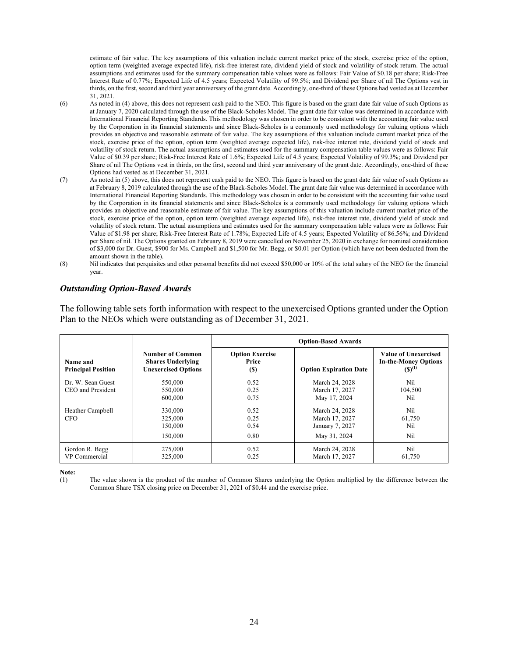estimate of fair value. The key assumptions of this valuation include current market price of the stock, exercise price of the option, option term (weighted average expected life), risk-free interest rate, dividend yield of stock and volatility of stock return. The actual assumptions and estimates used for the summary compensation table values were as follows: Fair Value of \$0.18 per share; Risk-Free Interest Rate of 0.77%; Expected Life of 4.5 years; Expected Volatility of 99.5%; and Dividend per Share of nil The Options vest in thirds, on the first, second and third year anniversary of the grant date. Accordingly, one-third of these Options had vested as at December 31, 2021.

- (6) As noted in (4) above, this does not represent cash paid to the NEO. This figure is based on the grant date fair value of such Options as at January 7, 2020 calculated through the use of the Black-Scholes Model. The grant date fair value was determined in accordance with International Financial Reporting Standards. This methodology was chosen in order to be consistent with the accounting fair value used by the Corporation in its financial statements and since Black-Scholes is a commonly used methodology for valuing options which provides an objective and reasonable estimate of fair value. The key assumptions of this valuation include current market price of the stock, exercise price of the option, option term (weighted average expected life), risk-free interest rate, dividend yield of stock and volatility of stock return. The actual assumptions and estimates used for the summary compensation table values were as follows: Fair Value of \$0.39 per share; Risk-Free Interest Rate of 1.6%; Expected Life of 4.5 years; Expected Volatility of 99.3%; and Dividend per Share of nil The Options vest in thirds, on the first, second and third year anniversary of the grant date. Accordingly, one-third of these Options had vested as at December 31, 2021.
- (7) As noted in (5) above, this does not represent cash paid to the NEO. This figure is based on the grant date fair value of such Options as at February 8, 2019 calculated through the use of the Black-Scholes Model. The grant date fair value was determined in accordance with International Financial Reporting Standards. This methodology was chosen in order to be consistent with the accounting fair value used by the Corporation in its financial statements and since Black-Scholes is a commonly used methodology for valuing options which provides an objective and reasonable estimate of fair value. The key assumptions of this valuation include current market price of the stock, exercise price of the option, option term (weighted average expected life), risk-free interest rate, dividend yield of stock and volatility of stock return. The actual assumptions and estimates used for the summary compensation table values were as follows: Fair Value of \$1.98 per share; Risk-Free Interest Rate of 1.78%; Expected Life of 4.5 years; Expected Volatility of 86.56%; and Dividend per Share of nil. The Options granted on February 8, 2019 were cancelled on November 25, 2020 in exchange for nominal consideration of \$3,000 for Dr. Guest, \$900 for Ms. Campbell and \$1,500 for Mr. Begg, or \$0.01 per Option (which have not been deducted from the amount shown in the table).
- (8) Nil indicates that perquisites and other personal benefits did not exceed \$50,000 or 10% of the total salary of the NEO for the financial year.

#### *Outstanding Option-Based Awards*

The following table sets forth information with respect to the unexercised Options granted under the Option Plan to the NEOs which were outstanding as of December 31, 2021.

|                                        |                                                                                   | <b>Option-Based Awards</b>             |                                                                     |                                                                           |
|----------------------------------------|-----------------------------------------------------------------------------------|----------------------------------------|---------------------------------------------------------------------|---------------------------------------------------------------------------|
| Name and<br><b>Principal Position</b>  | <b>Number of Common</b><br><b>Shares Underlying</b><br><b>Unexercised Options</b> | <b>Option Exercise</b><br>Price<br>(S) | <b>Option Expiration Date</b>                                       | <b>Value of Unexercised</b><br><b>In-the-Money Options</b><br>$(S)^{(1)}$ |
| Dr. W. Sean Guest<br>CEO and President | 550,000<br>550,000<br>600,000                                                     | 0.52<br>0.25<br>0.75                   | March 24, 2028<br>March 17, 2027<br>May 17, 2024                    | Nil<br>104,500<br>Nil                                                     |
| Heather Campbell<br><b>CFO</b>         | 330,000<br>325,000<br>150,000<br>150,000                                          | 0.52<br>0.25<br>0.54<br>0.80           | March 24, 2028<br>March 17, 2027<br>January 7, 2027<br>May 31, 2024 | Nil<br>61,750<br>Nil<br>Nil                                               |
| Gordon R. Begg<br>VP Commercial        | 275,000<br>325,000                                                                | 0.52<br>0.25                           | March 24, 2028<br>March 17, 2027                                    | Nil<br>61,750                                                             |

**Note:**

(1) The value shown is the product of the number of Common Shares underlying the Option multiplied by the difference between the Common Share TSX closing price on December 31, 2021 of \$0.44 and the exercise price.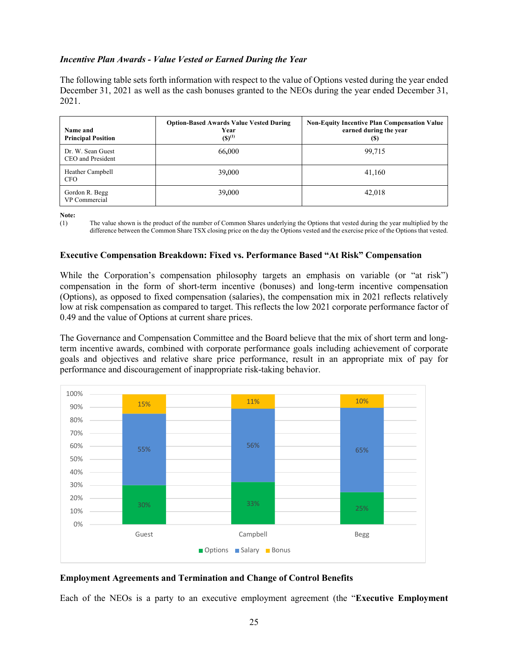#### *Incentive Plan Awards - Value Vested or Earned During the Year*

The following table sets forth information with respect to the value of Options vested during the year ended December 31, 2021 as well as the cash bonuses granted to the NEOs during the year ended December 31, 2021.

| Name and<br><b>Principal Position</b>  | <b>Option-Based Awards Value Vested During</b><br>Year<br>$(S)^{(1)}$ | <b>Non-Equity Incentive Plan Compensation Value</b><br>earned during the year<br>(S) |
|----------------------------------------|-----------------------------------------------------------------------|--------------------------------------------------------------------------------------|
| Dr. W. Sean Guest<br>CEO and President | 66,000                                                                | 99,715                                                                               |
| Heather Campbell<br><b>CFO</b>         | 39,000                                                                | 41.160                                                                               |
| Gordon R. Begg<br>VP Commercial        | 39,000                                                                | 42,018                                                                               |

**Note:**

#### **Executive Compensation Breakdown: Fixed vs. Performance Based "At Risk" Compensation**

While the Corporation's compensation philosophy targets an emphasis on variable (or "at risk") compensation in the form of short-term incentive (bonuses) and long-term incentive compensation (Options), as opposed to fixed compensation (salaries), the compensation mix in 2021 reflects relatively low at risk compensation as compared to target. This reflects the low 2021 corporate performance factor of 0.49 and the value of Options at current share prices.

The Governance and Compensation Committee and the Board believe that the mix of short term and longterm incentive awards, combined with corporate performance goals including achievement of corporate goals and objectives and relative share price performance, result in an appropriate mix of pay for performance and discouragement of inappropriate risk-taking behavior.



#### **Employment Agreements and Termination and Change of Control Benefits**

Each of the NEOs is a party to an executive employment agreement (the "**Executive Employment** 

<sup>(1)</sup> The value shown is the product of the number of Common Shares underlying the Options that vested during the year multiplied by the difference between the Common Share TSX closing price on the day the Options vested and the exercise price of the Options that vested.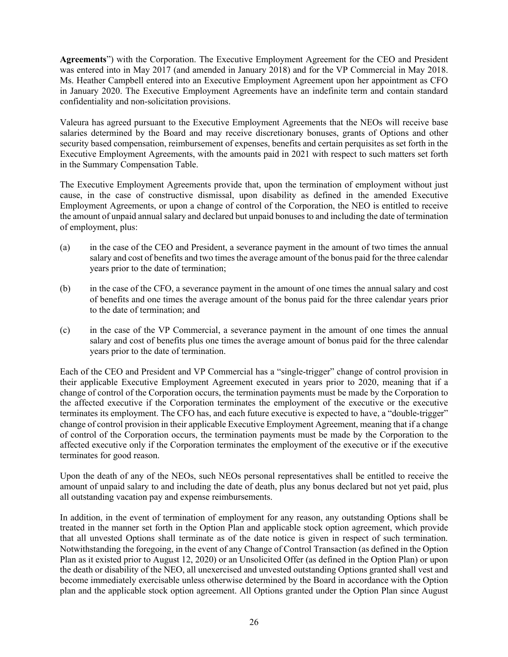**Agreements**") with the Corporation. The Executive Employment Agreement for the CEO and President was entered into in May 2017 (and amended in January 2018) and for the VP Commercial in May 2018. Ms. Heather Campbell entered into an Executive Employment Agreement upon her appointment as CFO in January 2020. The Executive Employment Agreements have an indefinite term and contain standard confidentiality and non-solicitation provisions.

Valeura has agreed pursuant to the Executive Employment Agreements that the NEOs will receive base salaries determined by the Board and may receive discretionary bonuses, grants of Options and other security based compensation, reimbursement of expenses, benefits and certain perquisites as set forth in the Executive Employment Agreements, with the amounts paid in 2021 with respect to such matters set forth in the Summary Compensation Table.

The Executive Employment Agreements provide that, upon the termination of employment without just cause, in the case of constructive dismissal, upon disability as defined in the amended Executive Employment Agreements, or upon a change of control of the Corporation, the NEO is entitled to receive the amount of unpaid annual salary and declared but unpaid bonuses to and including the date of termination of employment, plus:

- (a) in the case of the CEO and President, a severance payment in the amount of two times the annual salary and cost of benefits and two times the average amount of the bonus paid for the three calendar years prior to the date of termination;
- (b) in the case of the CFO, a severance payment in the amount of one times the annual salary and cost of benefits and one times the average amount of the bonus paid for the three calendar years prior to the date of termination; and
- (c) in the case of the VP Commercial, a severance payment in the amount of one times the annual salary and cost of benefits plus one times the average amount of bonus paid for the three calendar years prior to the date of termination.

Each of the CEO and President and VP Commercial has a "single-trigger" change of control provision in their applicable Executive Employment Agreement executed in years prior to 2020, meaning that if a change of control of the Corporation occurs, the termination payments must be made by the Corporation to the affected executive if the Corporation terminates the employment of the executive or the executive terminates its employment. The CFO has, and each future executive is expected to have, a "double-trigger" change of control provision in their applicable Executive Employment Agreement, meaning that if a change of control of the Corporation occurs, the termination payments must be made by the Corporation to the affected executive only if the Corporation terminates the employment of the executive or if the executive terminates for good reason.

Upon the death of any of the NEOs, such NEOs personal representatives shall be entitled to receive the amount of unpaid salary to and including the date of death, plus any bonus declared but not yet paid, plus all outstanding vacation pay and expense reimbursements.

In addition, in the event of termination of employment for any reason, any outstanding Options shall be treated in the manner set forth in the Option Plan and applicable stock option agreement, which provide that all unvested Options shall terminate as of the date notice is given in respect of such termination. Notwithstanding the foregoing, in the event of any Change of Control Transaction (as defined in the Option Plan as it existed prior to August 12, 2020) or an Unsolicited Offer (as defined in the Option Plan) or upon the death or disability of the NEO, all unexercised and unvested outstanding Options granted shall vest and become immediately exercisable unless otherwise determined by the Board in accordance with the Option plan and the applicable stock option agreement. All Options granted under the Option Plan since August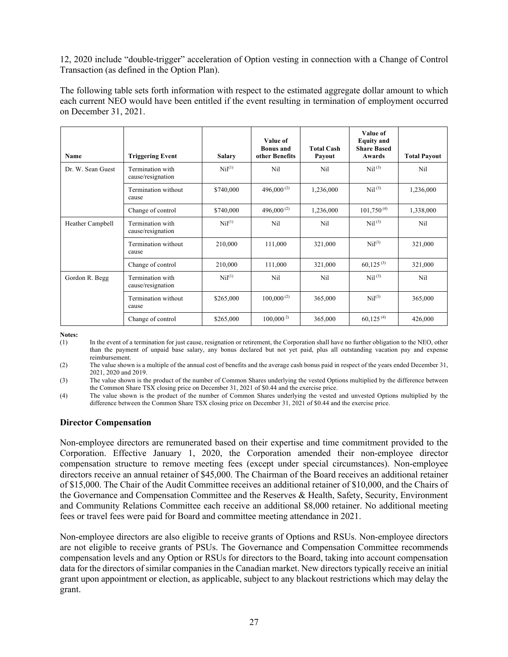12, 2020 include "double-trigger" acceleration of Option vesting in connection with a Change of Control Transaction (as defined in the Option Plan).

The following table sets forth information with respect to the estimated aggregate dollar amount to which each current NEO would have been entitled if the event resulting in termination of employment occurred on December 31, 2021.

| Name              | <b>Triggering Event</b>               | <b>Salary</b>        | Value of<br><b>Bonus</b> and<br>other Benefits | <b>Total Cash</b><br>Payout | Value of<br><b>Equity</b> and<br><b>Share Based</b><br>Awards | <b>Total Payout</b> |
|-------------------|---------------------------------------|----------------------|------------------------------------------------|-----------------------------|---------------------------------------------------------------|---------------------|
| Dr. W. Sean Guest | Termination with<br>cause/resignation | Nil <sup>(1)</sup>   | Nil                                            | Nil                         | Nil <sup>(3)</sup>                                            | Nil                 |
|                   | Termination without<br>cause          | \$740,000            | 496,000 <sup>(2)</sup>                         | 1,236,000                   | Ni <sup>(3)</sup>                                             | 1,236,000           |
|                   | Change of control                     | \$740,000            | 496,000 <sup>(2)</sup>                         | 1,236,000                   | $101,750^{(4)}$                                               | 1,338,000           |
| Heather Campbell  | Termination with<br>cause/resignation | $\mathrm{Nil}^{(1)}$ | Nil                                            | Nil                         | $\mathrm{Nil}^{(3)}$                                          | Nil                 |
|                   | Termination without<br>cause          | 210,000              | 111,000                                        | 321,000                     | Nil <sup>(3)</sup>                                            | 321,000             |
|                   | Change of control                     | 210,000              | 111,000                                        | 321,000                     | $60,125^{(3)}$                                                | 321,000             |
| Gordon R. Begg    | Termination with<br>cause/resignation | $\mathrm{Nil}^{(1)}$ | Nil                                            | Nil                         | $\mathrm{Nil}^{(3)}$                                          | Nil                 |
|                   | Termination without<br>cause          | \$265,000            | $100,000^{(2)}$                                | 365,000                     | Nil <sup>(3)</sup>                                            | 365,000             |
|                   | Change of control                     | \$265,000            | $100,000^{2}$                                  | 365,000                     | $60.125^{(4)}$                                                | 426,000             |

**Notes:**

(1) In the event of a termination for just cause, resignation or retirement, the Corporation shall have no further obligation to the NEO, other than the payment of unpaid base salary, any bonus declared but not yet paid, plus all outstanding vacation pay and expense reimbursement.

(2) The value shown is a multiple of the annual cost of benefits and the average cash bonus paid in respect of the years ended December 31, 2021, 2020 and 2019.

(3) The value shown is the product of the number of Common Shares underlying the vested Options multiplied by the difference between the Common Share TSX closing price on December 31, 2021 of \$0.44 and the exercise price.

(4) The value shown is the product of the number of Common Shares underlying the vested and unvested Options multiplied by the difference between the Common Share TSX closing price on December 31, 2021 of \$0.44 and the exercise price.

#### **Director Compensation**

Non-employee directors are remunerated based on their expertise and time commitment provided to the Corporation. Effective January 1, 2020, the Corporation amended their non-employee director compensation structure to remove meeting fees (except under special circumstances). Non-employee directors receive an annual retainer of \$45,000. The Chairman of the Board receives an additional retainer of \$15,000. The Chair of the Audit Committee receives an additional retainer of \$10,000, and the Chairs of the Governance and Compensation Committee and the Reserves & Health, Safety, Security, Environment and Community Relations Committee each receive an additional \$8,000 retainer. No additional meeting fees or travel fees were paid for Board and committee meeting attendance in 2021.

Non-employee directors are also eligible to receive grants of Options and RSUs. Non-employee directors are not eligible to receive grants of PSUs. The Governance and Compensation Committee recommends compensation levels and any Option or RSUs for directors to the Board, taking into account compensation data for the directors of similar companies in the Canadian market. New directors typically receive an initial grant upon appointment or election, as applicable, subject to any blackout restrictions which may delay the grant.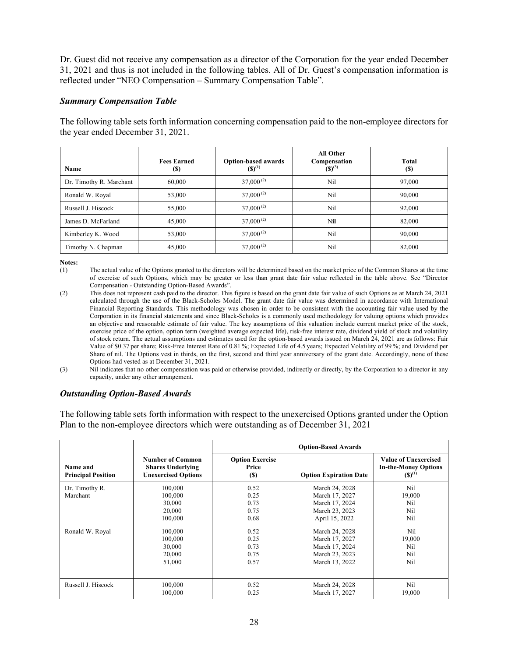Dr. Guest did not receive any compensation as a director of the Corporation for the year ended December 31, 2021 and thus is not included in the following tables. All of Dr. Guest's compensation information is reflected under "NEO Compensation – Summary Compensation Table".

#### *Summary Compensation Table*

The following table sets forth information concerning compensation paid to the non-employee directors for the year ended December 31, 2021.

| Name                    | <b>Fees Earned</b><br><b>(\$)</b> | <b>Option-based awards</b><br>$(S)^{(1)}$ | <b>All Other</b><br>Compensation<br>$(S)^{(3)}$ | <b>Total</b><br><b>(\$)</b> |
|-------------------------|-----------------------------------|-------------------------------------------|-------------------------------------------------|-----------------------------|
| Dr. Timothy R. Marchant | 60,000                            | $37,000^{(2)}$                            | Nil                                             | 97,000                      |
| Ronald W. Royal         | 53,000                            | $37,000^{(2)}$                            | Nil                                             | 90,000                      |
| Russell J. Hiscock      | 55,000                            | $37,000^{(2)}$                            | Nil                                             | 92,000                      |
| James D. McFarland      | 45,000                            | $37,000^{(2)}$                            | Nil                                             | 82,000                      |
| Kimberley K. Wood       | 53,000                            | $37,000^{(2)}$                            | Nil                                             | 90,000                      |
| Timothy N. Chapman      | 45,000                            | $37,000^{(2)}$                            | Nil                                             | 82,000                      |

**Notes:**

- (1) The actual value of the Options granted to the directors will be determined based on the market price of the Common Shares at the time of exercise of such Options, which may be greater or less than grant date fair value reflected in the table above. See "Director Compensation - Outstanding Option-Based Awards".
- (2) This does not represent cash paid to the director. This figure is based on the grant date fair value of such Options as at March 24, 2021 calculated through the use of the Black-Scholes Model. The grant date fair value was determined in accordance with International Financial Reporting Standards*.* This methodology was chosen in order to be consistent with the accounting fair value used by the Corporation in its financial statements and since Black-Scholes is a commonly used methodology for valuing options which provides an objective and reasonable estimate of fair value. The key assumptions of this valuation include current market price of the stock, exercise price of the option, option term (weighted average expected life), risk-free interest rate, dividend yield of stock and volatility of stock return. The actual assumptions and estimates used for the option-based awards issued on March 24, 2021 are as follows: Fair Value of \$0.37 per share; Risk-Free Interest Rate of 0.81 %; Expected Life of 4.5 years; Expected Volatility of 99 %; and Dividend per Share of nil. The Options vest in thirds, on the first, second and third year anniversary of the grant date. Accordingly, none of these Options had vested as at December 31, 2021.

(3) Nil indicates that no other compensation was paid or otherwise provided, indirectly or directly, by the Corporation to a director in any capacity, under any other arrangement.

#### *Outstanding Option-Based Awards*

The following table sets forth information with respect to the unexercised Options granted under the Option Plan to the non-employee directors which were outstanding as of December 31, 2021

|                                       |                                                                                   | <b>Option-Based Awards</b>              |                                                                                        |                                                                    |
|---------------------------------------|-----------------------------------------------------------------------------------|-----------------------------------------|----------------------------------------------------------------------------------------|--------------------------------------------------------------------|
| Name and<br><b>Principal Position</b> | <b>Number of Common</b><br><b>Shares Underlying</b><br><b>Unexercised Options</b> | <b>Option Exercise</b><br>Price<br>(\$) | <b>Option Expiration Date</b>                                                          | Value of Unexercised<br><b>In-the-Money Options</b><br>$(S)^{(1)}$ |
| Dr. Timothy R.<br>Marchant            | 100,000<br>100,000<br>30,000<br>20,000<br>100,000                                 | 0.52<br>0.25<br>0.73<br>0.75<br>0.68    | March 24, 2028<br>March 17, 2027<br>March 17, 2024<br>March 23, 2023<br>April 15, 2022 | Nil<br>19,000<br>Nil<br>Nil<br>Nil                                 |
| Ronald W. Royal                       | 100,000<br>100,000<br>30,000<br>20,000<br>51,000                                  | 0.52<br>0.25<br>0.73<br>0.75<br>0.57    | March 24, 2028<br>March 17, 2027<br>March 17, 2024<br>March 23, 2023<br>March 13, 2022 | Nil<br>19,000<br>Nil<br>Nil<br>Nil                                 |
| Russell J. Hiscock                    | 100,000<br>100,000                                                                | 0.52<br>0.25                            | March 24, 2028<br>March 17, 2027                                                       | Nil.<br>19,000                                                     |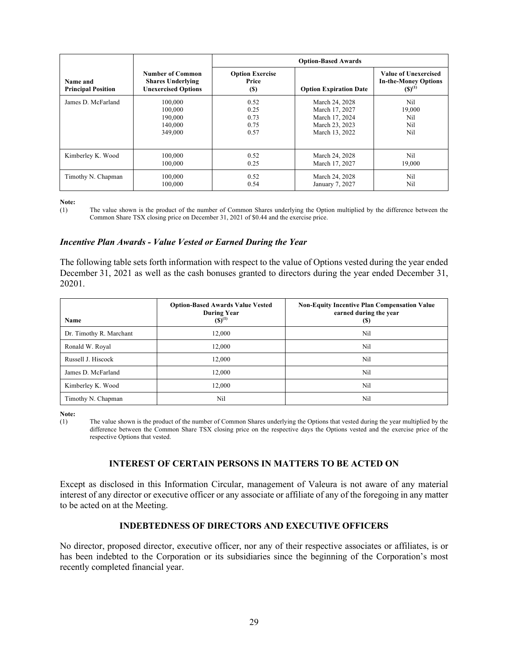|                                       |                                                                                   | <b>Option-Based Awards</b>              |                               |                                                                           |  |
|---------------------------------------|-----------------------------------------------------------------------------------|-----------------------------------------|-------------------------------|---------------------------------------------------------------------------|--|
| Name and<br><b>Principal Position</b> | <b>Number of Common</b><br><b>Shares Underlying</b><br><b>Unexercised Options</b> | <b>Option Exercise</b><br>Price<br>(\$) | <b>Option Expiration Date</b> | <b>Value of Unexercised</b><br><b>In-the-Money Options</b><br>$(S)^{(1)}$ |  |
| James D. McFarland                    | 100,000                                                                           | 0.52                                    | March 24, 2028                | Nil                                                                       |  |
|                                       | 100,000                                                                           | 0.25                                    | March 17, 2027                | 19,000                                                                    |  |
|                                       | 190,000                                                                           | 0.73                                    | March 17, 2024                | Nil                                                                       |  |
|                                       | 140,000                                                                           | 0.75                                    | March 23, 2023                | Nil                                                                       |  |
|                                       | 349,000                                                                           | 0.57                                    | March 13, 2022                | Nil                                                                       |  |
| Kimberley K. Wood                     | 100,000                                                                           | 0.52                                    | March 24, 2028                | Nil                                                                       |  |
|                                       | 100,000                                                                           | 0.25                                    | March 17, 2027                | 19,000                                                                    |  |
| Timothy N. Chapman                    | 100,000                                                                           | 0.52                                    | March 24, 2028                | Nil                                                                       |  |
|                                       | 100,000                                                                           | 0.54                                    | January 7, 2027               | Nil                                                                       |  |

**Note:**

(1) The value shown is the product of the number of Common Shares underlying the Option multiplied by the difference between the Common Share TSX closing price on December 31, 2021 of \$0.44 and the exercise price.

#### *Incentive Plan Awards - Value Vested or Earned During the Year*

The following table sets forth information with respect to the value of Options vested during the year ended December 31, 2021 as well as the cash bonuses granted to directors during the year ended December 31, 20201.

| Name                    | <b>Option-Based Awards Value Vested</b><br><b>During Year</b><br>$(S)^{(1)}$ | <b>Non-Equity Incentive Plan Compensation Value</b><br>earned during the year<br>(S) |
|-------------------------|------------------------------------------------------------------------------|--------------------------------------------------------------------------------------|
| Dr. Timothy R. Marchant | 12,000                                                                       | Nil                                                                                  |
| Ronald W. Royal         | 12,000                                                                       | Nil                                                                                  |
| Russell J. Hiscock      | 12,000                                                                       | Nil                                                                                  |
| James D. McFarland      | 12,000                                                                       | Nil                                                                                  |
| Kimberley K. Wood       | 12,000                                                                       | Nil                                                                                  |
| Timothy N. Chapman      | Nil                                                                          | Nil                                                                                  |

**Note:**

(1) The value shown is the product of the number of Common Shares underlying the Options that vested during the year multiplied by the difference between the Common Share TSX closing price on the respective days the Options vested and the exercise price of the respective Options that vested.

#### **INTEREST OF CERTAIN PERSONS IN MATTERS TO BE ACTED ON**

Except as disclosed in this Information Circular, management of Valeura is not aware of any material interest of any director or executive officer or any associate or affiliate of any of the foregoing in any matter to be acted on at the Meeting.

#### **INDEBTEDNESS OF DIRECTORS AND EXECUTIVE OFFICERS**

No director, proposed director, executive officer, nor any of their respective associates or affiliates, is or has been indebted to the Corporation or its subsidiaries since the beginning of the Corporation's most recently completed financial year.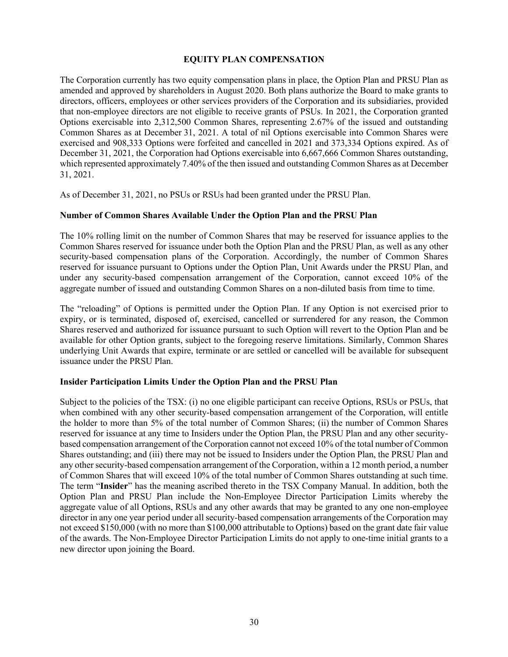#### **EQUITY PLAN COMPENSATION**

The Corporation currently has two equity compensation plans in place, the Option Plan and PRSU Plan as amended and approved by shareholders in August 2020. Both plans authorize the Board to make grants to directors, officers, employees or other services providers of the Corporation and its subsidiaries, provided that non-employee directors are not eligible to receive grants of PSUs. In 2021, the Corporation granted Options exercisable into 2,312,500 Common Shares, representing 2.67% of the issued and outstanding Common Shares as at December 31, 2021. A total of nil Options exercisable into Common Shares were exercised and 908,333 Options were forfeited and cancelled in 2021 and 373,334 Options expired. As of December 31, 2021, the Corporation had Options exercisable into 6,667,666 Common Shares outstanding, which represented approximately 7.40% of the then issued and outstanding Common Shares as at December 31, 2021.

As of December 31, 2021, no PSUs or RSUs had been granted under the PRSU Plan.

#### **Number of Common Shares Available Under the Option Plan and the PRSU Plan**

The 10% rolling limit on the number of Common Shares that may be reserved for issuance applies to the Common Shares reserved for issuance under both the Option Plan and the PRSU Plan, as well as any other security-based compensation plans of the Corporation. Accordingly, the number of Common Shares reserved for issuance pursuant to Options under the Option Plan, Unit Awards under the PRSU Plan, and under any security-based compensation arrangement of the Corporation, cannot exceed 10% of the aggregate number of issued and outstanding Common Shares on a non-diluted basis from time to time.

The "reloading" of Options is permitted under the Option Plan. If any Option is not exercised prior to expiry, or is terminated, disposed of, exercised, cancelled or surrendered for any reason, the Common Shares reserved and authorized for issuance pursuant to such Option will revert to the Option Plan and be available for other Option grants, subject to the foregoing reserve limitations. Similarly, Common Shares underlying Unit Awards that expire, terminate or are settled or cancelled will be available for subsequent issuance under the PRSU Plan.

#### **Insider Participation Limits Under the Option Plan and the PRSU Plan**

Subject to the policies of the TSX: (i) no one eligible participant can receive Options, RSUs or PSUs, that when combined with any other security-based compensation arrangement of the Corporation, will entitle the holder to more than 5% of the total number of Common Shares; (ii) the number of Common Shares reserved for issuance at any time to Insiders under the Option Plan, the PRSU Plan and any other securitybased compensation arrangement of the Corporation cannot not exceed 10% of the total number of Common Shares outstanding; and (iii) there may not be issued to Insiders under the Option Plan, the PRSU Plan and any other security-based compensation arrangement of the Corporation, within a 12 month period, a number of Common Shares that will exceed 10% of the total number of Common Shares outstanding at such time. The term "**Insider**" has the meaning ascribed thereto in the TSX Company Manual. In addition, both the Option Plan and PRSU Plan include the Non-Employee Director Participation Limits whereby the aggregate value of all Options, RSUs and any other awards that may be granted to any one non-employee director in any one year period under all security-based compensation arrangements of the Corporation may not exceed \$150,000 (with no more than \$100,000 attributable to Options) based on the grant date fair value of the awards. The Non-Employee Director Participation Limits do not apply to one-time initial grants to a new director upon joining the Board.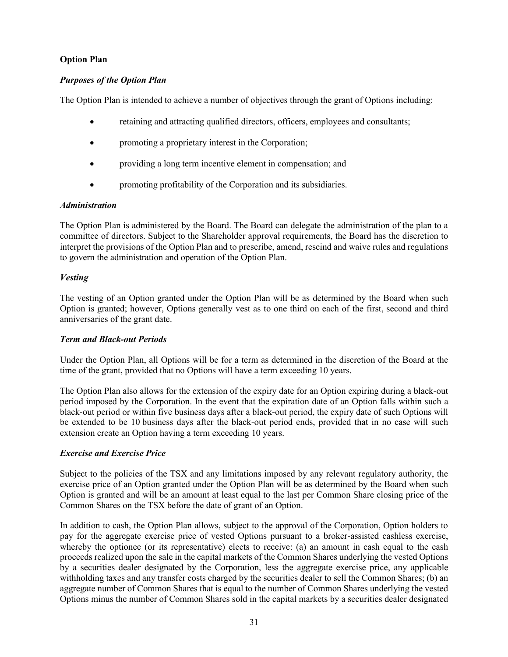# **Option Plan**

#### *Purposes of the Option Plan*

The Option Plan is intended to achieve a number of objectives through the grant of Options including:

- retaining and attracting qualified directors, officers, employees and consultants;
- promoting a proprietary interest in the Corporation;
- providing a long term incentive element in compensation; and
- promoting profitability of the Corporation and its subsidiaries.

#### *Administration*

The Option Plan is administered by the Board. The Board can delegate the administration of the plan to a committee of directors. Subject to the Shareholder approval requirements, the Board has the discretion to interpret the provisions of the Option Plan and to prescribe, amend, rescind and waive rules and regulations to govern the administration and operation of the Option Plan.

#### *Vesting*

The vesting of an Option granted under the Option Plan will be as determined by the Board when such Option is granted; however, Options generally vest as to one third on each of the first, second and third anniversaries of the grant date.

#### *Term and Black-out Periods*

Under the Option Plan, all Options will be for a term as determined in the discretion of the Board at the time of the grant, provided that no Options will have a term exceeding 10 years.

The Option Plan also allows for the extension of the expiry date for an Option expiring during a black-out period imposed by the Corporation. In the event that the expiration date of an Option falls within such a black-out period or within five business days after a black-out period, the expiry date of such Options will be extended to be 10 business days after the black-out period ends, provided that in no case will such extension create an Option having a term exceeding 10 years.

#### *Exercise and Exercise Price*

Subject to the policies of the TSX and any limitations imposed by any relevant regulatory authority, the exercise price of an Option granted under the Option Plan will be as determined by the Board when such Option is granted and will be an amount at least equal to the last per Common Share closing price of the Common Shares on the TSX before the date of grant of an Option.

In addition to cash, the Option Plan allows, subject to the approval of the Corporation, Option holders to pay for the aggregate exercise price of vested Options pursuant to a broker-assisted cashless exercise, whereby the optionee (or its representative) elects to receive: (a) an amount in cash equal to the cash proceeds realized upon the sale in the capital markets of the Common Shares underlying the vested Options by a securities dealer designated by the Corporation, less the aggregate exercise price, any applicable withholding taxes and any transfer costs charged by the securities dealer to sell the Common Shares; (b) an aggregate number of Common Shares that is equal to the number of Common Shares underlying the vested Options minus the number of Common Shares sold in the capital markets by a securities dealer designated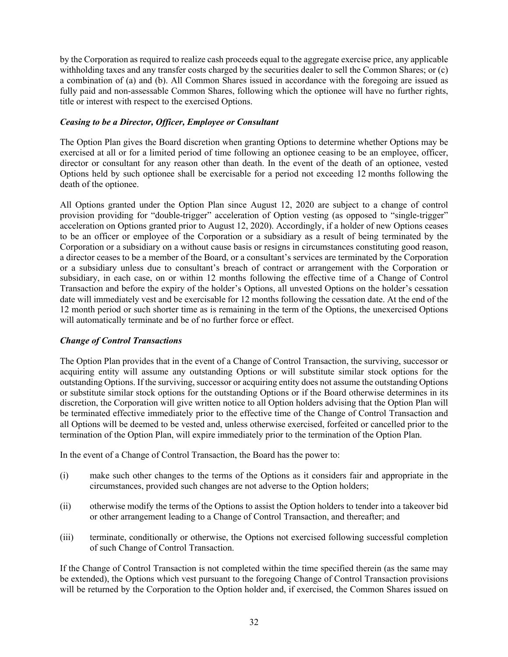by the Corporation as required to realize cash proceeds equal to the aggregate exercise price, any applicable withholding taxes and any transfer costs charged by the securities dealer to sell the Common Shares; or (c) a combination of (a) and (b). All Common Shares issued in accordance with the foregoing are issued as fully paid and non-assessable Common Shares, following which the optionee will have no further rights, title or interest with respect to the exercised Options.

#### *Ceasing to be a Director, Officer, Employee or Consultant*

The Option Plan gives the Board discretion when granting Options to determine whether Options may be exercised at all or for a limited period of time following an optionee ceasing to be an employee, officer, director or consultant for any reason other than death. In the event of the death of an optionee, vested Options held by such optionee shall be exercisable for a period not exceeding 12 months following the death of the optionee.

All Options granted under the Option Plan since August 12, 2020 are subject to a change of control provision providing for "double-trigger" acceleration of Option vesting (as opposed to "single-trigger" acceleration on Options granted prior to August 12, 2020). Accordingly, if a holder of new Options ceases to be an officer or employee of the Corporation or a subsidiary as a result of being terminated by the Corporation or a subsidiary on a without cause basis or resigns in circumstances constituting good reason, a director ceases to be a member of the Board, or a consultant's services are terminated by the Corporation or a subsidiary unless due to consultant's breach of contract or arrangement with the Corporation or subsidiary, in each case, on or within 12 months following the effective time of a Change of Control Transaction and before the expiry of the holder's Options, all unvested Options on the holder's cessation date will immediately vest and be exercisable for 12 months following the cessation date. At the end of the 12 month period or such shorter time as is remaining in the term of the Options, the unexercised Options will automatically terminate and be of no further force or effect.

# *Change of Control Transactions*

The Option Plan provides that in the event of a Change of Control Transaction, the surviving, successor or acquiring entity will assume any outstanding Options or will substitute similar stock options for the outstanding Options. If the surviving, successor or acquiring entity does not assume the outstanding Options or substitute similar stock options for the outstanding Options or if the Board otherwise determines in its discretion, the Corporation will give written notice to all Option holders advising that the Option Plan will be terminated effective immediately prior to the effective time of the Change of Control Transaction and all Options will be deemed to be vested and, unless otherwise exercised, forfeited or cancelled prior to the termination of the Option Plan, will expire immediately prior to the termination of the Option Plan.

In the event of a Change of Control Transaction, the Board has the power to:

- (i) make such other changes to the terms of the Options as it considers fair and appropriate in the circumstances, provided such changes are not adverse to the Option holders;
- (ii) otherwise modify the terms of the Options to assist the Option holders to tender into a takeover bid or other arrangement leading to a Change of Control Transaction, and thereafter; and
- (iii) terminate, conditionally or otherwise, the Options not exercised following successful completion of such Change of Control Transaction.

If the Change of Control Transaction is not completed within the time specified therein (as the same may be extended), the Options which vest pursuant to the foregoing Change of Control Transaction provisions will be returned by the Corporation to the Option holder and, if exercised, the Common Shares issued on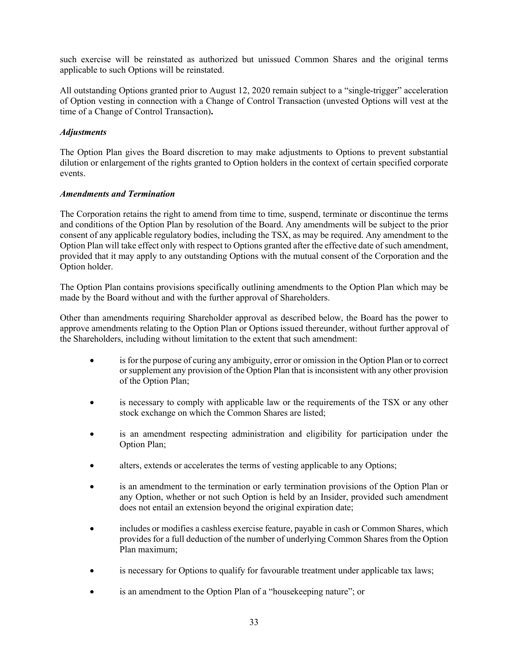such exercise will be reinstated as authorized but unissued Common Shares and the original terms applicable to such Options will be reinstated.

All outstanding Options granted prior to August 12, 2020 remain subject to a "single-trigger" acceleration of Option vesting in connection with a Change of Control Transaction (unvested Options will vest at the time of a Change of Control Transaction)**.**

#### *Adjustments*

The Option Plan gives the Board discretion to may make adjustments to Options to prevent substantial dilution or enlargement of the rights granted to Option holders in the context of certain specified corporate events.

#### *Amendments and Termination*

The Corporation retains the right to amend from time to time, suspend, terminate or discontinue the terms and conditions of the Option Plan by resolution of the Board. Any amendments will be subject to the prior consent of any applicable regulatory bodies, including the TSX, as may be required. Any amendment to the Option Plan will take effect only with respect to Options granted after the effective date of such amendment, provided that it may apply to any outstanding Options with the mutual consent of the Corporation and the Option holder.

The Option Plan contains provisions specifically outlining amendments to the Option Plan which may be made by the Board without and with the further approval of Shareholders.

Other than amendments requiring Shareholder approval as described below, the Board has the power to approve amendments relating to the Option Plan or Options issued thereunder, without further approval of the Shareholders, including without limitation to the extent that such amendment:

- is for the purpose of curing any ambiguity, error or omission in the Option Plan or to correct or supplement any provision of the Option Plan that is inconsistent with any other provision of the Option Plan;
- is necessary to comply with applicable law or the requirements of the TSX or any other stock exchange on which the Common Shares are listed;
- is an amendment respecting administration and eligibility for participation under the Option Plan;
- alters, extends or accelerates the terms of vesting applicable to any Options;
- is an amendment to the termination or early termination provisions of the Option Plan or any Option, whether or not such Option is held by an Insider, provided such amendment does not entail an extension beyond the original expiration date;
- includes or modifies a cashless exercise feature, payable in cash or Common Shares, which provides for a full deduction of the number of underlying Common Shares from the Option Plan maximum;
- is necessary for Options to qualify for favourable treatment under applicable tax laws;
- is an amendment to the Option Plan of a "housekeeping nature"; or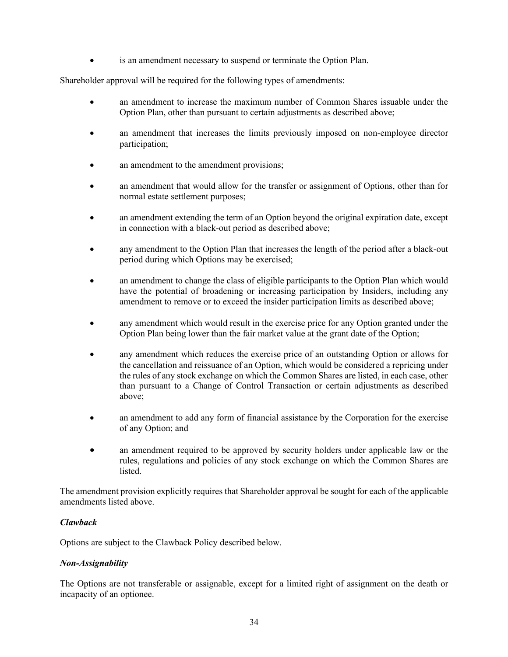• is an amendment necessary to suspend or terminate the Option Plan.

Shareholder approval will be required for the following types of amendments:

- an amendment to increase the maximum number of Common Shares issuable under the Option Plan, other than pursuant to certain adjustments as described above;
- an amendment that increases the limits previously imposed on non-employee director participation;
- an amendment to the amendment provisions;
- an amendment that would allow for the transfer or assignment of Options, other than for normal estate settlement purposes;
- an amendment extending the term of an Option beyond the original expiration date, except in connection with a black-out period as described above;
- any amendment to the Option Plan that increases the length of the period after a black-out period during which Options may be exercised;
- an amendment to change the class of eligible participants to the Option Plan which would have the potential of broadening or increasing participation by Insiders, including any amendment to remove or to exceed the insider participation limits as described above;
- any amendment which would result in the exercise price for any Option granted under the Option Plan being lower than the fair market value at the grant date of the Option;
- any amendment which reduces the exercise price of an outstanding Option or allows for the cancellation and reissuance of an Option, which would be considered a repricing under the rules of any stock exchange on which the Common Shares are listed, in each case, other than pursuant to a Change of Control Transaction or certain adjustments as described above;
- an amendment to add any form of financial assistance by the Corporation for the exercise of any Option; and
- an amendment required to be approved by security holders under applicable law or the rules, regulations and policies of any stock exchange on which the Common Shares are listed.

The amendment provision explicitly requires that Shareholder approval be sought for each of the applicable amendments listed above.

# *Clawback*

Options are subject to the Clawback Policy described below.

#### *Non-Assignability*

The Options are not transferable or assignable, except for a limited right of assignment on the death or incapacity of an optionee.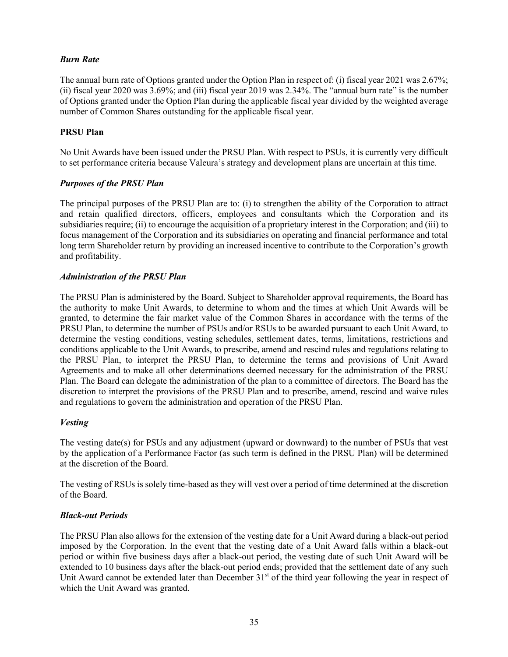# *Burn Rate*

The annual burn rate of Options granted under the Option Plan in respect of: (i) fiscal year 2021 was 2.67%; (ii) fiscal year 2020 was 3.69%; and (iii) fiscal year 2019 was 2.34%. The "annual burn rate" is the number of Options granted under the Option Plan during the applicable fiscal year divided by the weighted average number of Common Shares outstanding for the applicable fiscal year.

# **PRSU Plan**

No Unit Awards have been issued under the PRSU Plan. With respect to PSUs, it is currently very difficult to set performance criteria because Valeura's strategy and development plans are uncertain at this time.

#### *Purposes of the PRSU Plan*

The principal purposes of the PRSU Plan are to: (i) to strengthen the ability of the Corporation to attract and retain qualified directors, officers, employees and consultants which the Corporation and its subsidiaries require; (ii) to encourage the acquisition of a proprietary interest in the Corporation; and (iii) to focus management of the Corporation and its subsidiaries on operating and financial performance and total long term Shareholder return by providing an increased incentive to contribute to the Corporation's growth and profitability.

#### *Administration of the PRSU Plan*

The PRSU Plan is administered by the Board. Subject to Shareholder approval requirements, the Board has the authority to make Unit Awards, to determine to whom and the times at which Unit Awards will be granted, to determine the fair market value of the Common Shares in accordance with the terms of the PRSU Plan, to determine the number of PSUs and/or RSUs to be awarded pursuant to each Unit Award, to determine the vesting conditions, vesting schedules, settlement dates, terms, limitations, restrictions and conditions applicable to the Unit Awards, to prescribe, amend and rescind rules and regulations relating to the PRSU Plan, to interpret the PRSU Plan, to determine the terms and provisions of Unit Award Agreements and to make all other determinations deemed necessary for the administration of the PRSU Plan. The Board can delegate the administration of the plan to a committee of directors. The Board has the discretion to interpret the provisions of the PRSU Plan and to prescribe, amend, rescind and waive rules and regulations to govern the administration and operation of the PRSU Plan.

#### *Vesting*

The vesting date(s) for PSUs and any adjustment (upward or downward) to the number of PSUs that vest by the application of a Performance Factor (as such term is defined in the PRSU Plan) will be determined at the discretion of the Board.

The vesting of RSUs is solely time-based as they will vest over a period of time determined at the discretion of the Board.

#### *Black-out Periods*

The PRSU Plan also allows for the extension of the vesting date for a Unit Award during a black-out period imposed by the Corporation. In the event that the vesting date of a Unit Award falls within a black-out period or within five business days after a black-out period, the vesting date of such Unit Award will be extended to 10 business days after the black-out period ends; provided that the settlement date of any such Unit Award cannot be extended later than December 31<sup>st</sup> of the third year following the year in respect of which the Unit Award was granted.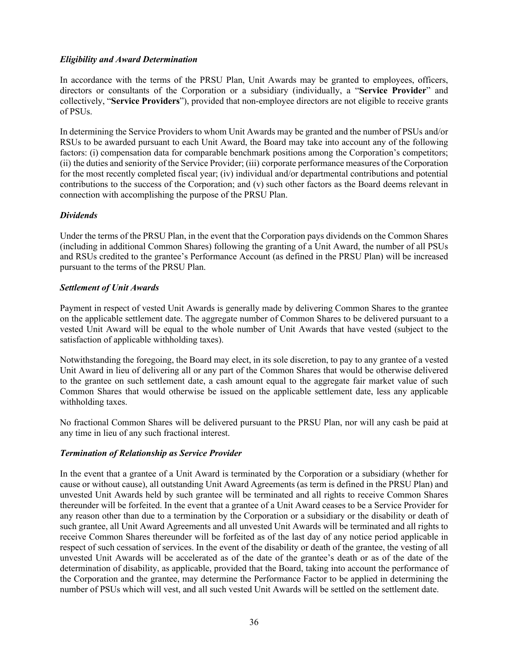#### *Eligibility and Award Determination*

In accordance with the terms of the PRSU Plan, Unit Awards may be granted to employees, officers, directors or consultants of the Corporation or a subsidiary (individually, a "**Service Provider**" and collectively, "**Service Providers**"), provided that non-employee directors are not eligible to receive grants of PSUs.

In determining the Service Providers to whom Unit Awards may be granted and the number of PSUs and/or RSUs to be awarded pursuant to each Unit Award, the Board may take into account any of the following factors: (i) compensation data for comparable benchmark positions among the Corporation's competitors; (ii) the duties and seniority of the Service Provider; (iii) corporate performance measures of the Corporation for the most recently completed fiscal year; (iv) individual and/or departmental contributions and potential contributions to the success of the Corporation; and (v) such other factors as the Board deems relevant in connection with accomplishing the purpose of the PRSU Plan.

#### *Dividends*

Under the terms of the PRSU Plan, in the event that the Corporation pays dividends on the Common Shares (including in additional Common Shares) following the granting of a Unit Award, the number of all PSUs and RSUs credited to the grantee's Performance Account (as defined in the PRSU Plan) will be increased pursuant to the terms of the PRSU Plan.

#### *Settlement of Unit Awards*

Payment in respect of vested Unit Awards is generally made by delivering Common Shares to the grantee on the applicable settlement date. The aggregate number of Common Shares to be delivered pursuant to a vested Unit Award will be equal to the whole number of Unit Awards that have vested (subject to the satisfaction of applicable withholding taxes).

Notwithstanding the foregoing, the Board may elect, in its sole discretion, to pay to any grantee of a vested Unit Award in lieu of delivering all or any part of the Common Shares that would be otherwise delivered to the grantee on such settlement date, a cash amount equal to the aggregate fair market value of such Common Shares that would otherwise be issued on the applicable settlement date, less any applicable withholding taxes.

No fractional Common Shares will be delivered pursuant to the PRSU Plan, nor will any cash be paid at any time in lieu of any such fractional interest.

# *Termination of Relationship as Service Provider*

In the event that a grantee of a Unit Award is terminated by the Corporation or a subsidiary (whether for cause or without cause), all outstanding Unit Award Agreements (as term is defined in the PRSU Plan) and unvested Unit Awards held by such grantee will be terminated and all rights to receive Common Shares thereunder will be forfeited. In the event that a grantee of a Unit Award ceases to be a Service Provider for any reason other than due to a termination by the Corporation or a subsidiary or the disability or death of such grantee, all Unit Award Agreements and all unvested Unit Awards will be terminated and all rights to receive Common Shares thereunder will be forfeited as of the last day of any notice period applicable in respect of such cessation of services. In the event of the disability or death of the grantee, the vesting of all unvested Unit Awards will be accelerated as of the date of the grantee's death or as of the date of the determination of disability, as applicable, provided that the Board, taking into account the performance of the Corporation and the grantee, may determine the Performance Factor to be applied in determining the number of PSUs which will vest, and all such vested Unit Awards will be settled on the settlement date.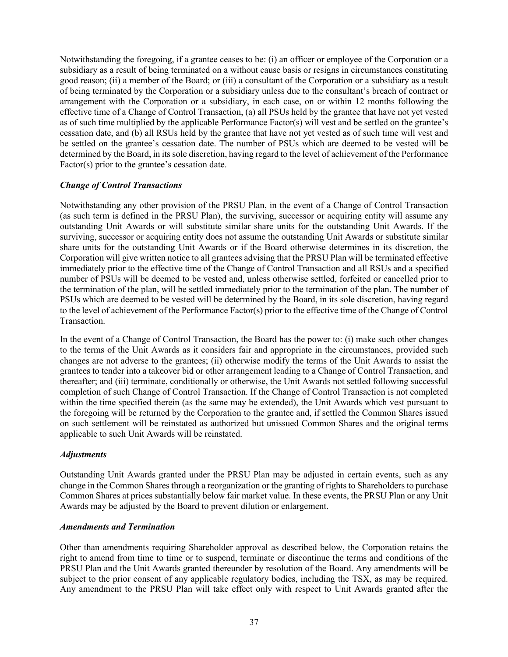Notwithstanding the foregoing, if a grantee ceases to be: (i) an officer or employee of the Corporation or a subsidiary as a result of being terminated on a without cause basis or resigns in circumstances constituting good reason; (ii) a member of the Board; or (iii) a consultant of the Corporation or a subsidiary as a result of being terminated by the Corporation or a subsidiary unless due to the consultant's breach of contract or arrangement with the Corporation or a subsidiary, in each case, on or within 12 months following the effective time of a Change of Control Transaction, (a) all PSUs held by the grantee that have not yet vested as of such time multiplied by the applicable Performance Factor(s) will vest and be settled on the grantee's cessation date, and (b) all RSUs held by the grantee that have not yet vested as of such time will vest and be settled on the grantee's cessation date. The number of PSUs which are deemed to be vested will be determined by the Board, in its sole discretion, having regard to the level of achievement of the Performance Factor(s) prior to the grantee's cessation date.

#### *Change of Control Transactions*

Notwithstanding any other provision of the PRSU Plan, in the event of a Change of Control Transaction (as such term is defined in the PRSU Plan), the surviving, successor or acquiring entity will assume any outstanding Unit Awards or will substitute similar share units for the outstanding Unit Awards. If the surviving, successor or acquiring entity does not assume the outstanding Unit Awards or substitute similar share units for the outstanding Unit Awards or if the Board otherwise determines in its discretion, the Corporation will give written notice to all grantees advising that the PRSU Plan will be terminated effective immediately prior to the effective time of the Change of Control Transaction and all RSUs and a specified number of PSUs will be deemed to be vested and, unless otherwise settled, forfeited or cancelled prior to the termination of the plan, will be settled immediately prior to the termination of the plan. The number of PSUs which are deemed to be vested will be determined by the Board, in its sole discretion, having regard to the level of achievement of the Performance Factor(s) prior to the effective time of the Change of Control Transaction.

In the event of a Change of Control Transaction, the Board has the power to: (i) make such other changes to the terms of the Unit Awards as it considers fair and appropriate in the circumstances, provided such changes are not adverse to the grantees; (ii) otherwise modify the terms of the Unit Awards to assist the grantees to tender into a takeover bid or other arrangement leading to a Change of Control Transaction, and thereafter; and (iii) terminate, conditionally or otherwise, the Unit Awards not settled following successful completion of such Change of Control Transaction. If the Change of Control Transaction is not completed within the time specified therein (as the same may be extended), the Unit Awards which vest pursuant to the foregoing will be returned by the Corporation to the grantee and, if settled the Common Shares issued on such settlement will be reinstated as authorized but unissued Common Shares and the original terms applicable to such Unit Awards will be reinstated.

#### *Adjustments*

Outstanding Unit Awards granted under the PRSU Plan may be adjusted in certain events, such as any change in the Common Shares through a reorganization or the granting of rights to Shareholders to purchase Common Shares at prices substantially below fair market value. In these events, the PRSU Plan or any Unit Awards may be adjusted by the Board to prevent dilution or enlargement.

#### *Amendments and Termination*

Other than amendments requiring Shareholder approval as described below, the Corporation retains the right to amend from time to time or to suspend, terminate or discontinue the terms and conditions of the PRSU Plan and the Unit Awards granted thereunder by resolution of the Board. Any amendments will be subject to the prior consent of any applicable regulatory bodies, including the TSX, as may be required. Any amendment to the PRSU Plan will take effect only with respect to Unit Awards granted after the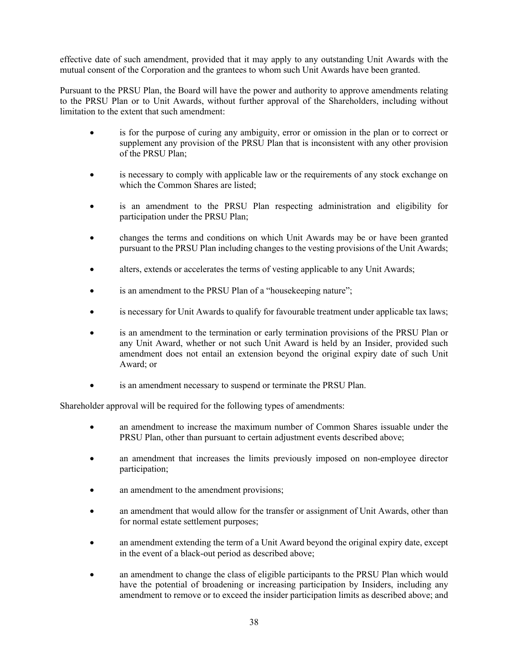effective date of such amendment, provided that it may apply to any outstanding Unit Awards with the mutual consent of the Corporation and the grantees to whom such Unit Awards have been granted.

Pursuant to the PRSU Plan, the Board will have the power and authority to approve amendments relating to the PRSU Plan or to Unit Awards, without further approval of the Shareholders, including without limitation to the extent that such amendment:

- is for the purpose of curing any ambiguity, error or omission in the plan or to correct or supplement any provision of the PRSU Plan that is inconsistent with any other provision of the PRSU Plan;
- is necessary to comply with applicable law or the requirements of any stock exchange on which the Common Shares are listed:
- is an amendment to the PRSU Plan respecting administration and eligibility for participation under the PRSU Plan;
- changes the terms and conditions on which Unit Awards may be or have been granted pursuant to the PRSU Plan including changes to the vesting provisions of the Unit Awards;
- alters, extends or accelerates the terms of vesting applicable to any Unit Awards;
- is an amendment to the PRSU Plan of a "house keeping nature";
- is necessary for Unit Awards to qualify for favourable treatment under applicable tax laws;
- is an amendment to the termination or early termination provisions of the PRSU Plan or any Unit Award, whether or not such Unit Award is held by an Insider, provided such amendment does not entail an extension beyond the original expiry date of such Unit Award; or
- is an amendment necessary to suspend or terminate the PRSU Plan.

Shareholder approval will be required for the following types of amendments:

- an amendment to increase the maximum number of Common Shares issuable under the PRSU Plan, other than pursuant to certain adjustment events described above;
- an amendment that increases the limits previously imposed on non-employee director participation;
- an amendment to the amendment provisions;
- an amendment that would allow for the transfer or assignment of Unit Awards, other than for normal estate settlement purposes;
- an amendment extending the term of a Unit Award beyond the original expiry date, except in the event of a black-out period as described above;
- an amendment to change the class of eligible participants to the PRSU Plan which would have the potential of broadening or increasing participation by Insiders, including any amendment to remove or to exceed the insider participation limits as described above; and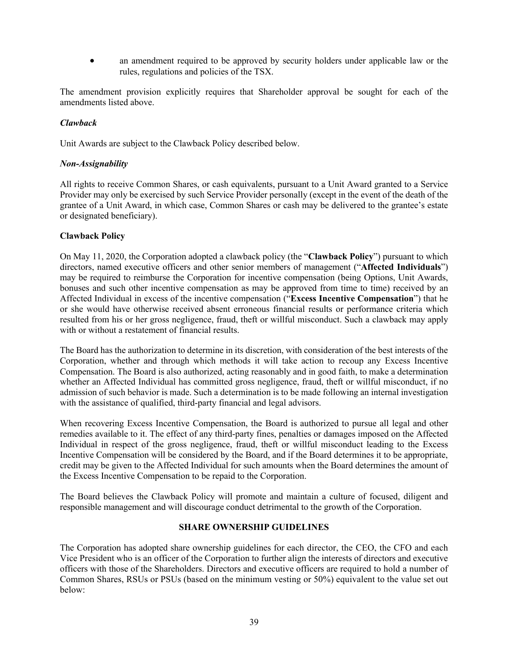• an amendment required to be approved by security holders under applicable law or the rules, regulations and policies of the TSX.

The amendment provision explicitly requires that Shareholder approval be sought for each of the amendments listed above.

#### *Clawback*

Unit Awards are subject to the Clawback Policy described below.

#### *Non-Assignability*

All rights to receive Common Shares, or cash equivalents, pursuant to a Unit Award granted to a Service Provider may only be exercised by such Service Provider personally (except in the event of the death of the grantee of a Unit Award, in which case, Common Shares or cash may be delivered to the grantee's estate or designated beneficiary).

#### **Clawback Policy**

On May 11, 2020, the Corporation adopted a clawback policy (the "**Clawback Policy**") pursuant to which directors, named executive officers and other senior members of management ("**Affected Individuals**") may be required to reimburse the Corporation for incentive compensation (being Options, Unit Awards, bonuses and such other incentive compensation as may be approved from time to time) received by an Affected Individual in excess of the incentive compensation ("**Excess Incentive Compensation**") that he or she would have otherwise received absent erroneous financial results or performance criteria which resulted from his or her gross negligence, fraud, theft or willful misconduct. Such a clawback may apply with or without a restatement of financial results.

The Board has the authorization to determine in its discretion, with consideration of the best interests of the Corporation, whether and through which methods it will take action to recoup any Excess Incentive Compensation. The Board is also authorized, acting reasonably and in good faith, to make a determination whether an Affected Individual has committed gross negligence, fraud, theft or willful misconduct, if no admission of such behavior is made. Such a determination is to be made following an internal investigation with the assistance of qualified, third-party financial and legal advisors.

When recovering Excess Incentive Compensation, the Board is authorized to pursue all legal and other remedies available to it. The effect of any third-party fines, penalties or damages imposed on the Affected Individual in respect of the gross negligence, fraud, theft or willful misconduct leading to the Excess Incentive Compensation will be considered by the Board, and if the Board determines it to be appropriate, credit may be given to the Affected Individual for such amounts when the Board determines the amount of the Excess Incentive Compensation to be repaid to the Corporation.

The Board believes the Clawback Policy will promote and maintain a culture of focused, diligent and responsible management and will discourage conduct detrimental to the growth of the Corporation.

#### **SHARE OWNERSHIP GUIDELINES**

The Corporation has adopted share ownership guidelines for each director, the CEO, the CFO and each Vice President who is an officer of the Corporation to further align the interests of directors and executive officers with those of the Shareholders. Directors and executive officers are required to hold a number of Common Shares, RSUs or PSUs (based on the minimum vesting or 50%) equivalent to the value set out below: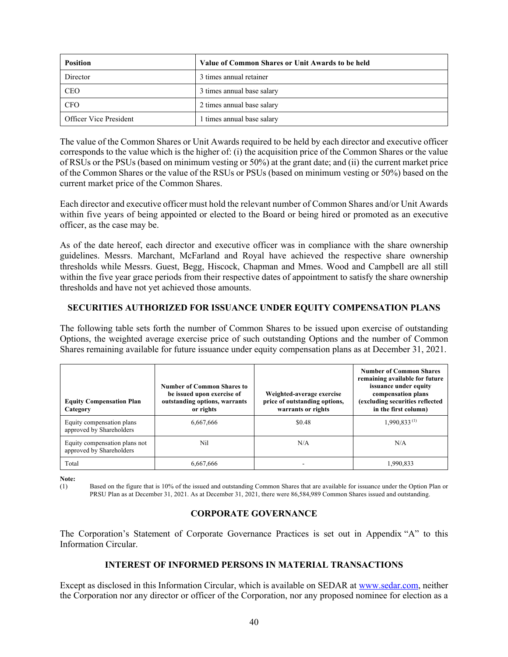| <b>Position</b>        | Value of Common Shares or Unit Awards to be held |
|------------------------|--------------------------------------------------|
| Director               | 3 times annual retainer                          |
| <b>CEO</b>             | 3 times annual base salary                       |
| <b>CFO</b>             | 2 times annual base salary                       |
| Officer Vice President | 1 times annual base salary                       |

The value of the Common Shares or Unit Awards required to be held by each director and executive officer corresponds to the value which is the higher of: (i) the acquisition price of the Common Shares or the value of RSUs or the PSUs (based on minimum vesting or 50%) at the grant date; and (ii) the current market price of the Common Shares or the value of the RSUs or PSUs (based on minimum vesting or 50%) based on the current market price of the Common Shares.

Each director and executive officer must hold the relevant number of Common Shares and/or Unit Awards within five years of being appointed or elected to the Board or being hired or promoted as an executive officer, as the case may be.

As of the date hereof, each director and executive officer was in compliance with the share ownership guidelines. Messrs. Marchant, McFarland and Royal have achieved the respective share ownership thresholds while Messrs. Guest, Begg, Hiscock, Chapman and Mmes. Wood and Campbell are all still within the five year grace periods from their respective dates of appointment to satisfy the share ownership thresholds and have not yet achieved those amounts.

# **SECURITIES AUTHORIZED FOR ISSUANCE UNDER EQUITY COMPENSATION PLANS**

The following table sets forth the number of Common Shares to be issued upon exercise of outstanding Options, the weighted average exercise price of such outstanding Options and the number of Common Shares remaining available for future issuance under equity compensation plans as at December 31, 2021.

| <b>Equity Compensation Plan</b><br>Category               | Number of Common Shares to<br>be issued upon exercise of<br>outstanding options, warrants<br>or rights | Weighted-average exercise<br>price of outstanding options,<br>warrants or rights | <b>Number of Common Shares</b><br>remaining available for future<br>issuance under equity<br>compensation plans<br>(excluding securities reflected<br>in the first column) |
|-----------------------------------------------------------|--------------------------------------------------------------------------------------------------------|----------------------------------------------------------------------------------|----------------------------------------------------------------------------------------------------------------------------------------------------------------------------|
| Equity compensation plans<br>approved by Shareholders     | 6,667,666                                                                                              | \$0.48                                                                           | $1,990,833^{(1)}$                                                                                                                                                          |
| Equity compensation plans not<br>approved by Shareholders | Nil                                                                                                    | N/A                                                                              | N/A                                                                                                                                                                        |
| Total                                                     | 6.667.666                                                                                              |                                                                                  | 1,990,833                                                                                                                                                                  |

**Note:**

(1) Based on the figure that is 10% of the issued and outstanding Common Shares that are available for issuance under the Option Plan or PRSU Plan as at December 31, 2021. As at December 31, 2021, there were 86,584,989 Common Shares issued and outstanding.

# **CORPORATE GOVERNANCE**

The Corporation's Statement of Corporate Governance Practices is set out in Appendix "A" to this Information Circular.

#### **INTEREST OF INFORMED PERSONS IN MATERIAL TRANSACTIONS**

Except as disclosed in this Information Circular, which is available on SEDAR at www.sedar.com, neither the Corporation nor any director or officer of the Corporation, nor any proposed nominee for election as a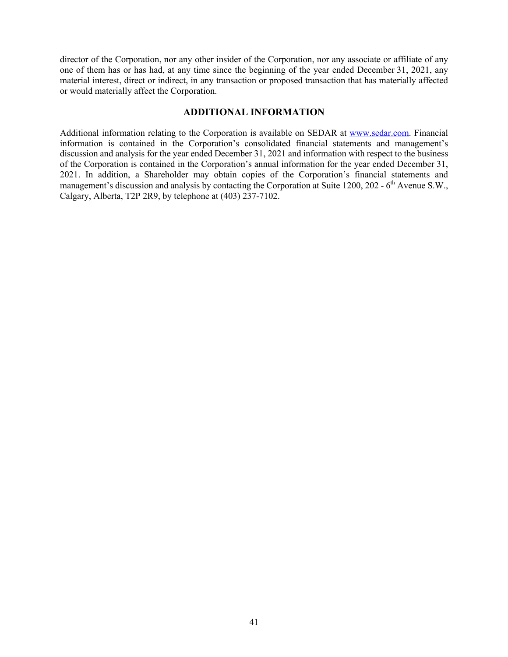director of the Corporation, nor any other insider of the Corporation, nor any associate or affiliate of any one of them has or has had, at any time since the beginning of the year ended December 31, 2021, any material interest, direct or indirect, in any transaction or proposed transaction that has materially affected or would materially affect the Corporation.

#### **ADDITIONAL INFORMATION**

Additional information relating to the Corporation is available on SEDAR at www.sedar.com. Financial information is contained in the Corporation's consolidated financial statements and management's discussion and analysis for the year ended December 31, 2021 and information with respect to the business of the Corporation is contained in the Corporation's annual information for the year ended December 31, 2021. In addition, a Shareholder may obtain copies of the Corporation's financial statements and management's discussion and analysis by contacting the Corporation at Suite 1200, 202 -  $6<sup>th</sup>$  Avenue S.W., Calgary, Alberta, T2P 2R9, by telephone at (403) 237-7102.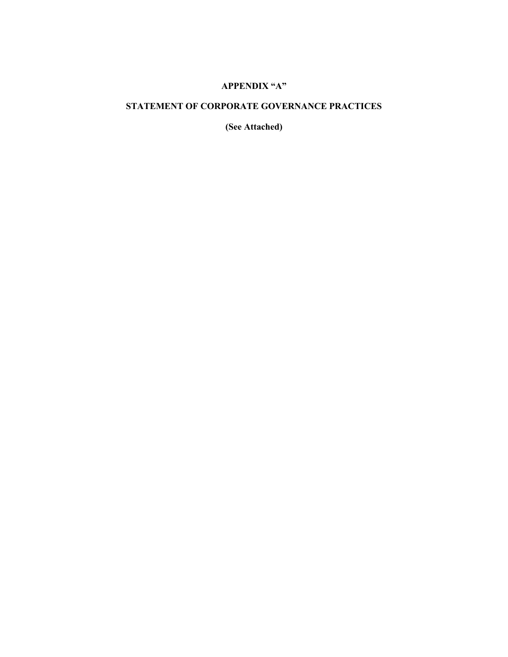# **APPENDIX "A"**

# **STATEMENT OF CORPORATE GOVERNANCE PRACTICES**

**(See Attached)**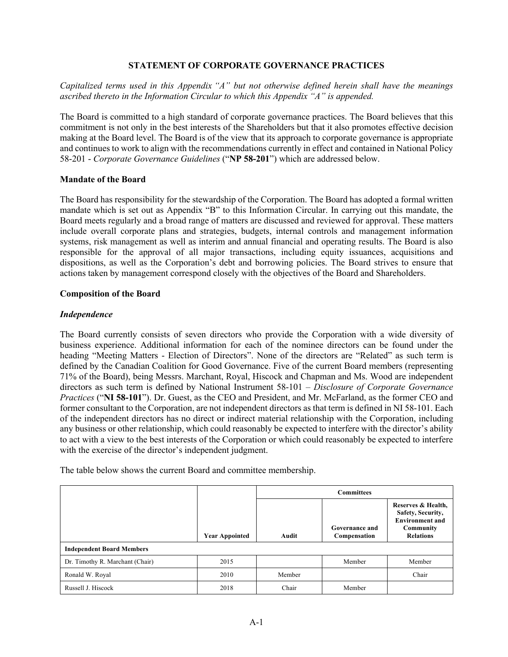#### **STATEMENT OF CORPORATE GOVERNANCE PRACTICES**

#### *Capitalized terms used in this Appendix "A" but not otherwise defined herein shall have the meanings ascribed thereto in the Information Circular to which this Appendix "A" is appended.*

The Board is committed to a high standard of corporate governance practices. The Board believes that this commitment is not only in the best interests of the Shareholders but that it also promotes effective decision making at the Board level. The Board is of the view that its approach to corporate governance is appropriate and continues to work to align with the recommendations currently in effect and contained in National Policy 58-201 - *Corporate Governance Guidelines* ("**NP 58-201**") which are addressed below.

#### **Mandate of the Board**

The Board has responsibility for the stewardship of the Corporation. The Board has adopted a formal written mandate which is set out as Appendix "B" to this Information Circular. In carrying out this mandate, the Board meets regularly and a broad range of matters are discussed and reviewed for approval. These matters include overall corporate plans and strategies, budgets, internal controls and management information systems, risk management as well as interim and annual financial and operating results. The Board is also responsible for the approval of all major transactions, including equity issuances, acquisitions and dispositions, as well as the Corporation's debt and borrowing policies. The Board strives to ensure that actions taken by management correspond closely with the objectives of the Board and Shareholders.

#### **Composition of the Board**

#### *Independence*

The Board currently consists of seven directors who provide the Corporation with a wide diversity of business experience. Additional information for each of the nominee directors can be found under the heading "Meeting Matters - Election of Directors". None of the directors are "Related" as such term is defined by the Canadian Coalition for Good Governance. Five of the current Board members (representing 71% of the Board), being Messrs. Marchant, Royal, Hiscock and Chapman and Ms. Wood are independent directors as such term is defined by National Instrument 58-101 – *Disclosure of Corporate Governance Practices* ("**NI 58-101**"). Dr. Guest, as the CEO and President, and Mr. McFarland, as the former CEO and former consultant to the Corporation, are not independent directors as that term is defined in NI 58-101. Each of the independent directors has no direct or indirect material relationship with the Corporation, including any business or other relationship, which could reasonably be expected to interfere with the director's ability to act with a view to the best interests of the Corporation or which could reasonably be expected to interfere with the exercise of the director's independent judgment.

The table below shows the current Board and committee membership.

|                                  |                       | <b>Committees</b> |                                |                                                                                                    |
|----------------------------------|-----------------------|-------------------|--------------------------------|----------------------------------------------------------------------------------------------------|
|                                  | <b>Year Appointed</b> | Audit             | Governance and<br>Compensation | Reserves & Health,<br>Safety, Security,<br><b>Environment and</b><br>Community<br><b>Relations</b> |
| <b>Independent Board Members</b> |                       |                   |                                |                                                                                                    |
| Dr. Timothy R. Marchant (Chair)  | 2015                  |                   | Member                         | Member                                                                                             |
| Ronald W. Royal                  | 2010                  | Member            |                                | Chair                                                                                              |
| Russell J. Hiscock               | 2018                  | Chair             | Member                         |                                                                                                    |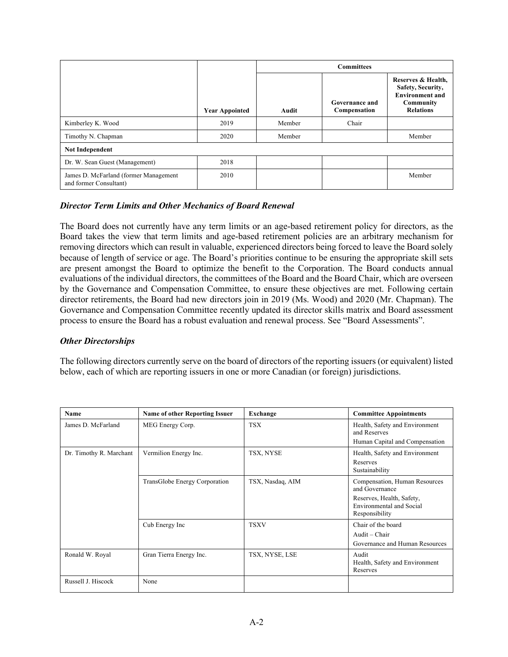|                                                                 |                       | <b>Committees</b> |                                |                                                                                                    |
|-----------------------------------------------------------------|-----------------------|-------------------|--------------------------------|----------------------------------------------------------------------------------------------------|
|                                                                 | <b>Year Appointed</b> | Audit             | Governance and<br>Compensation | Reserves & Health,<br>Safety, Security,<br><b>Environment and</b><br>Community<br><b>Relations</b> |
| Kimberley K. Wood                                               | 2019                  | Member            | Chair                          |                                                                                                    |
| Timothy N. Chapman                                              | 2020                  | Member            |                                | Member                                                                                             |
| <b>Not Independent</b>                                          |                       |                   |                                |                                                                                                    |
| Dr. W. Sean Guest (Management)                                  | 2018                  |                   |                                |                                                                                                    |
| James D. McFarland (former Management<br>and former Consultant) | 2010                  |                   |                                | Member                                                                                             |

# *Director Term Limits and Other Mechanics of Board Renewal*

The Board does not currently have any term limits or an age-based retirement policy for directors, as the Board takes the view that term limits and age-based retirement policies are an arbitrary mechanism for removing directors which can result in valuable, experienced directors being forced to leave the Board solely because of length of service or age. The Board's priorities continue to be ensuring the appropriate skill sets are present amongst the Board to optimize the benefit to the Corporation. The Board conducts annual evaluations of the individual directors, the committees of the Board and the Board Chair, which are overseen by the Governance and Compensation Committee, to ensure these objectives are met. Following certain director retirements, the Board had new directors join in 2019 (Ms. Wood) and 2020 (Mr. Chapman). The Governance and Compensation Committee recently updated its director skills matrix and Board assessment process to ensure the Board has a robust evaluation and renewal process. See "Board Assessments".

#### *Other Directorships*

The following directors currently serve on the board of directors of the reporting issuers (or equivalent) listed below, each of which are reporting issuers in one or more Canadian (or foreign) jurisdictions.

| Name                    | <b>Name of other Reporting Issuer</b> | Exchange         | <b>Committee Appointments</b>                                                                                              |
|-------------------------|---------------------------------------|------------------|----------------------------------------------------------------------------------------------------------------------------|
| James D. McFarland      | MEG Energy Corp.                      | <b>TSX</b>       | Health, Safety and Environment<br>and Reserves<br>Human Capital and Compensation                                           |
| Dr. Timothy R. Marchant | Vermilion Energy Inc.                 | TSX, NYSE        | Health, Safety and Environment<br>Reserves<br>Sustainability                                                               |
|                         | TransGlobe Energy Corporation         | TSX, Nasdaq, AIM | Compensation, Human Resources<br>and Governance<br>Reserves, Health, Safety,<br>Environmental and Social<br>Responsibility |
|                         | Cub Energy Inc                        | <b>TSXV</b>      | Chair of the board<br>Audit - Chair<br>Governance and Human Resources                                                      |
| Ronald W. Royal         | Gran Tierra Energy Inc.               | TSX, NYSE, LSE   | Audit<br>Health, Safety and Environment<br>Reserves                                                                        |
| Russell J. Hiscock      | None                                  |                  |                                                                                                                            |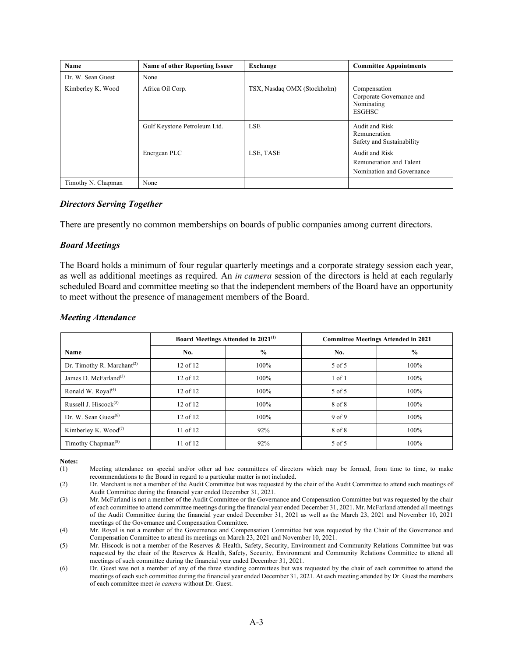| Name               | <b>Name of other Reporting Issuer</b> | Exchange                    | <b>Committee Appointments</b>                                           |
|--------------------|---------------------------------------|-----------------------------|-------------------------------------------------------------------------|
| Dr. W. Sean Guest  | None                                  |                             |                                                                         |
| Kimberley K. Wood  | Africa Oil Corp.                      | TSX, Nasdaq OMX (Stockholm) | Compensation<br>Corporate Governance and<br>Nominating<br><b>ESGHSC</b> |
|                    | Gulf Keystone Petroleum Ltd.          | <b>LSE</b>                  | Audit and Risk<br>Remuneration<br>Safety and Sustainability             |
|                    | Energean PLC                          | LSE, TASE                   | Audit and Risk<br>Remuneration and Talent<br>Nomination and Governance  |
| Timothy N. Chapman | None                                  |                             |                                                                         |

#### *Directors Serving Together*

There are presently no common memberships on boards of public companies among current directors.

#### *Board Meetings*

The Board holds a minimum of four regular quarterly meetings and a corporate strategy session each year, as well as additional meetings as required. An *in camera* session of the directors is held at each regularly scheduled Board and committee meeting so that the independent members of the Board have an opportunity to meet without the presence of management members of the Board.

|                                             | Board Meetings Attended in 2021 <sup>(1)</sup> |               | <b>Committee Meetings Attended in 2021</b> |               |
|---------------------------------------------|------------------------------------------------|---------------|--------------------------------------------|---------------|
| Name                                        | No.                                            | $\frac{0}{0}$ | No.                                        | $\frac{0}{0}$ |
| Dr. Timothy R. Marchant <sup>(2)</sup>      | 12 of 12                                       | 100%          | 5 of 5                                     | 100%          |
| James D. McFarland $(3)$                    | 12 of 12                                       | 100%          | $1$ of $1$                                 | 100%          |
| Ronald W. Royal <sup>(4)</sup>              | 12 of 12                                       | 100%          | 5 of 5                                     | 100%          |
| Russell J. Hiscock $(5)$                    | 12 of 12                                       | 100%          | 8 of 8                                     | 100%          |
| Dr. W. Sean Guest $^{(6)}$                  | 12 of 12                                       | 100%          | 9 <sub>of</sub> 9                          | 100%          |
| Kimberley K. Wood <sup>(7)</sup>            | 11 of 12                                       | 92%           | 8 of 8                                     | 100%          |
| Timothy Chapman <sup><math>(8)</math></sup> | 11 of 12                                       | 92%           | 5 of 5                                     | 100%          |

#### *Meeting Attendance*

**Notes:**<br>(1)

Meeting attendance on special and/or other ad hoc committees of directors which may be formed, from time to time, to make recommendations to the Board in regard to a particular matter is not included.

(2) Dr. Marchant is not a member of the Audit Committee but was requested by the chair of the Audit Committee to attend such meetings of Audit Committee during the financial year ended December 31, 2021.

(3) Mr. McFarland is not a member of the Audit Committee or the Governance and Compensation Committee but was requested by the chair of each committee to attend committee meetings during the financial year ended December 31, 2021. Mr. McFarland attended all meetings of the Audit Committee during the financial year ended December 31, 2021 as well as the March 23, 2021 and November 10, 2021 meetings of the Governance and Compensation Committee.

(4) Mr. Royal is not a member of the Governance and Compensation Committee but was requested by the Chair of the Governance and Compensation Committee to attend its meetings on March 23, 2021 and November 10, 2021.

(5) Mr. Hiscock is not a member of the Reserves & Health, Safety, Security, Environment and Community Relations Committee but was requested by the chair of the Reserves & Health, Safety, Security, Environment and Community Relations Committee to attend all meetings of such committee during the financial year ended December 31, 2021.

(6) Dr. Guest was not a member of any of the three standing committees but was requested by the chair of each committee to attend the meetings of each such committee during the financial year ended December 31, 2021. At each meeting attended by Dr. Guest the members of each committee meet *in camera* without Dr. Guest.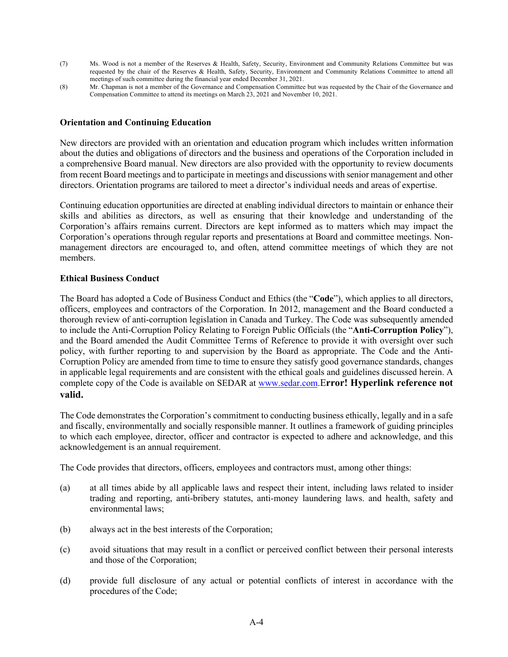- (7) Ms. Wood is not a member of the Reserves & Health, Safety, Security, Environment and Community Relations Committee but was requested by the chair of the Reserves & Health, Safety, Security, Environment and Community Relations Committee to attend all meetings of such committee during the financial year ended December 31, 2021.
- (8) Mr. Chapman is not a member of the Governance and Compensation Committee but was requested by the Chair of the Governance and Compensation Committee to attend its meetings on March 23, 2021 and November 10, 2021.

#### **Orientation and Continuing Education**

New directors are provided with an orientation and education program which includes written information about the duties and obligations of directors and the business and operations of the Corporation included in a comprehensive Board manual. New directors are also provided with the opportunity to review documents from recent Board meetings and to participate in meetings and discussions with senior management and other directors. Orientation programs are tailored to meet a director's individual needs and areas of expertise.

Continuing education opportunities are directed at enabling individual directors to maintain or enhance their skills and abilities as directors, as well as ensuring that their knowledge and understanding of the Corporation's affairs remains current. Directors are kept informed as to matters which may impact the Corporation's operations through regular reports and presentations at Board and committee meetings. Nonmanagement directors are encouraged to, and often, attend committee meetings of which they are not members.

#### **Ethical Business Conduct**

The Board has adopted a Code of Business Conduct and Ethics (the "**Code**"), which applies to all directors, officers, employees and contractors of the Corporation. In 2012, management and the Board conducted a thorough review of anti-corruption legislation in Canada and Turkey. The Code was subsequently amended to include the Anti-Corruption Policy Relating to Foreign Public Officials (the "**Anti-Corruption Policy**"), and the Board amended the Audit Committee Terms of Reference to provide it with oversight over such policy, with further reporting to and supervision by the Board as appropriate. The Code and the Anti-Corruption Policy are amended from time to time to ensure they satisfy good governance standards, changes in applicable legal requirements and are consistent with the ethical goals and guidelines discussed herein. A complete copy of the Code is available on SEDAR at www.sedar.com.E**rror! Hyperlink reference not valid.**

The Code demonstrates the Corporation's commitment to conducting business ethically, legally and in a safe and fiscally, environmentally and socially responsible manner. It outlines a framework of guiding principles to which each employee, director, officer and contractor is expected to adhere and acknowledge, and this acknowledgement is an annual requirement.

The Code provides that directors, officers, employees and contractors must, among other things:

- (a) at all times abide by all applicable laws and respect their intent, including laws related to insider trading and reporting, anti-bribery statutes, anti-money laundering laws. and health, safety and environmental laws;
- (b) always act in the best interests of the Corporation;
- (c) avoid situations that may result in a conflict or perceived conflict between their personal interests and those of the Corporation;
- (d) provide full disclosure of any actual or potential conflicts of interest in accordance with the procedures of the Code;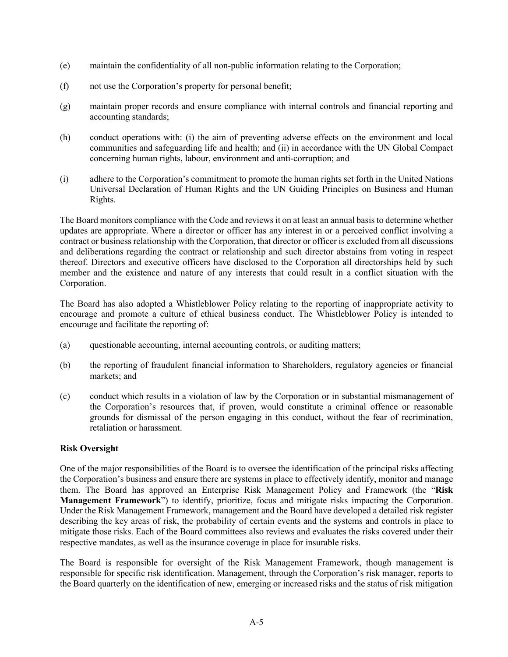- (e) maintain the confidentiality of all non-public information relating to the Corporation;
- (f) not use the Corporation's property for personal benefit;
- (g) maintain proper records and ensure compliance with internal controls and financial reporting and accounting standards;
- (h) conduct operations with: (i) the aim of preventing adverse effects on the environment and local communities and safeguarding life and health; and (ii) in accordance with the UN Global Compact concerning human rights, labour, environment and anti-corruption; and
- (i) adhere to the Corporation's commitment to promote the human rights set forth in the United Nations Universal Declaration of Human Rights and the UN Guiding Principles on Business and Human Rights.

The Board monitors compliance with the Code and reviews it on at least an annual basis to determine whether updates are appropriate. Where a director or officer has any interest in or a perceived conflict involving a contract or business relationship with the Corporation, that director or officer is excluded from all discussions and deliberations regarding the contract or relationship and such director abstains from voting in respect thereof. Directors and executive officers have disclosed to the Corporation all directorships held by such member and the existence and nature of any interests that could result in a conflict situation with the Corporation.

The Board has also adopted a Whistleblower Policy relating to the reporting of inappropriate activity to encourage and promote a culture of ethical business conduct. The Whistleblower Policy is intended to encourage and facilitate the reporting of:

- (a) questionable accounting, internal accounting controls, or auditing matters;
- (b) the reporting of fraudulent financial information to Shareholders, regulatory agencies or financial markets; and
- (c) conduct which results in a violation of law by the Corporation or in substantial mismanagement of the Corporation's resources that, if proven, would constitute a criminal offence or reasonable grounds for dismissal of the person engaging in this conduct, without the fear of recrimination, retaliation or harassment.

# **Risk Oversight**

One of the major responsibilities of the Board is to oversee the identification of the principal risks affecting the Corporation's business and ensure there are systems in place to effectively identify, monitor and manage them. The Board has approved an Enterprise Risk Management Policy and Framework (the "**Risk Management Framework**") to identify, prioritize, focus and mitigate risks impacting the Corporation. Under the Risk Management Framework, management and the Board have developed a detailed risk register describing the key areas of risk, the probability of certain events and the systems and controls in place to mitigate those risks. Each of the Board committees also reviews and evaluates the risks covered under their respective mandates, as well as the insurance coverage in place for insurable risks.

The Board is responsible for oversight of the Risk Management Framework, though management is responsible for specific risk identification. Management, through the Corporation's risk manager, reports to the Board quarterly on the identification of new, emerging or increased risks and the status of risk mitigation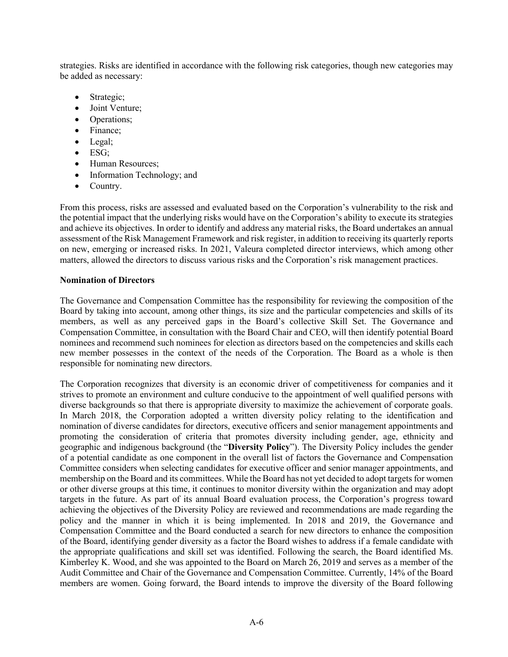strategies. Risks are identified in accordance with the following risk categories, though new categories may be added as necessary:

- Strategic;
- Joint Venture;
- Operations;
- Finance;
- Legal;
- ESG:
- Human Resources;
- Information Technology; and
- Country.

From this process, risks are assessed and evaluated based on the Corporation's vulnerability to the risk and the potential impact that the underlying risks would have on the Corporation's ability to execute its strategies and achieve its objectives. In order to identify and address any material risks, the Board undertakes an annual assessment of the Risk Management Framework and risk register, in addition to receiving its quarterly reports on new, emerging or increased risks. In 2021, Valeura completed director interviews, which among other matters, allowed the directors to discuss various risks and the Corporation's risk management practices.

# **Nomination of Directors**

The Governance and Compensation Committee has the responsibility for reviewing the composition of the Board by taking into account, among other things, its size and the particular competencies and skills of its members, as well as any perceived gaps in the Board's collective Skill Set. The Governance and Compensation Committee, in consultation with the Board Chair and CEO, will then identify potential Board nominees and recommend such nominees for election as directors based on the competencies and skills each new member possesses in the context of the needs of the Corporation. The Board as a whole is then responsible for nominating new directors.

The Corporation recognizes that diversity is an economic driver of competitiveness for companies and it strives to promote an environment and culture conducive to the appointment of well qualified persons with diverse backgrounds so that there is appropriate diversity to maximize the achievement of corporate goals. In March 2018, the Corporation adopted a written diversity policy relating to the identification and nomination of diverse candidates for directors, executive officers and senior management appointments and promoting the consideration of criteria that promotes diversity including gender, age, ethnicity and geographic and indigenous background (the "**Diversity Policy**"). The Diversity Policy includes the gender of a potential candidate as one component in the overall list of factors the Governance and Compensation Committee considers when selecting candidates for executive officer and senior manager appointments, and membership on the Board and its committees. While the Board has not yet decided to adopt targets for women or other diverse groups at this time, it continues to monitor diversity within the organization and may adopt targets in the future. As part of its annual Board evaluation process, the Corporation's progress toward achieving the objectives of the Diversity Policy are reviewed and recommendations are made regarding the policy and the manner in which it is being implemented. In 2018 and 2019, the Governance and Compensation Committee and the Board conducted a search for new directors to enhance the composition of the Board, identifying gender diversity as a factor the Board wishes to address if a female candidate with the appropriate qualifications and skill set was identified. Following the search, the Board identified Ms. Kimberley K. Wood, and she was appointed to the Board on March 26, 2019 and serves as a member of the Audit Committee and Chair of the Governance and Compensation Committee. Currently, 14% of the Board members are women. Going forward, the Board intends to improve the diversity of the Board following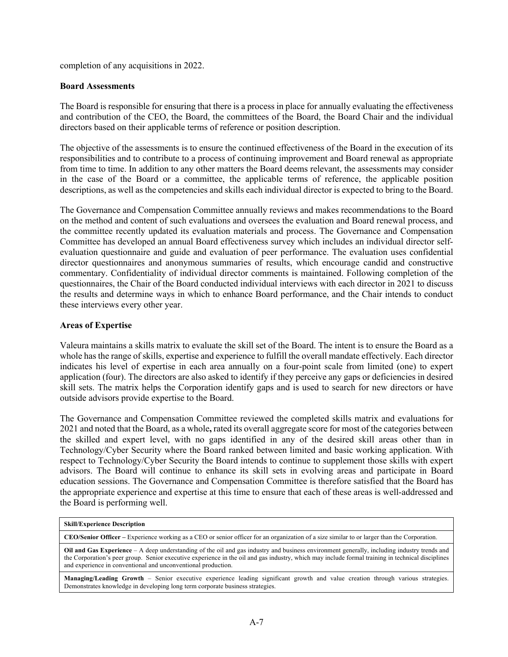completion of any acquisitions in 2022.

#### **Board Assessments**

The Board is responsible for ensuring that there is a process in place for annually evaluating the effectiveness and contribution of the CEO, the Board, the committees of the Board, the Board Chair and the individual directors based on their applicable terms of reference or position description.

The objective of the assessments is to ensure the continued effectiveness of the Board in the execution of its responsibilities and to contribute to a process of continuing improvement and Board renewal as appropriate from time to time. In addition to any other matters the Board deems relevant, the assessments may consider in the case of the Board or a committee, the applicable terms of reference, the applicable position descriptions, as well as the competencies and skills each individual director is expected to bring to the Board.

The Governance and Compensation Committee annually reviews and makes recommendations to the Board on the method and content of such evaluations and oversees the evaluation and Board renewal process, and the committee recently updated its evaluation materials and process. The Governance and Compensation Committee has developed an annual Board effectiveness survey which includes an individual director selfevaluation questionnaire and guide and evaluation of peer performance. The evaluation uses confidential director questionnaires and anonymous summaries of results, which encourage candid and constructive commentary. Confidentiality of individual director comments is maintained. Following completion of the questionnaires, the Chair of the Board conducted individual interviews with each director in 2021 to discuss the results and determine ways in which to enhance Board performance, and the Chair intends to conduct these interviews every other year.

#### **Areas of Expertise**

Valeura maintains a skills matrix to evaluate the skill set of the Board. The intent is to ensure the Board as a whole has the range of skills, expertise and experience to fulfill the overall mandate effectively. Each director indicates his level of expertise in each area annually on a four-point scale from limited (one) to expert application (four). The directors are also asked to identify if they perceive any gaps or deficiencies in desired skill sets. The matrix helps the Corporation identify gaps and is used to search for new directors or have outside advisors provide expertise to the Board.

The Governance and Compensation Committee reviewed the completed skills matrix and evaluations for 2021 and noted that the Board, as a whole**,** rated its overall aggregate score for most of the categories between the skilled and expert level, with no gaps identified in any of the desired skill areas other than in Technology/Cyber Security where the Board ranked between limited and basic working application. With respect to Technology/Cyber Security the Board intends to continue to supplement those skills with expert advisors. The Board will continue to enhance its skill sets in evolving areas and participate in Board education sessions. The Governance and Compensation Committee is therefore satisfied that the Board has the appropriate experience and expertise at this time to ensure that each of these areas is well-addressed and the Board is performing well.

#### **Skill/Experience Description**

**CEO/Senior Officer –** Experience working as a CEO or senior officer for an organization of a size similar to or larger than the Corporation.

**Oil and Gas Experience** – A deep understanding of the oil and gas industry and business environment generally, including industry trends and the Corporation's peer group. Senior executive experience in the oil and gas industry, which may include formal training in technical disciplines and experience in conventional and unconventional production.

**Managing/Leading Growth** – Senior executive experience leading significant growth and value creation through various strategies. Demonstrates knowledge in developing long term corporate business strategies.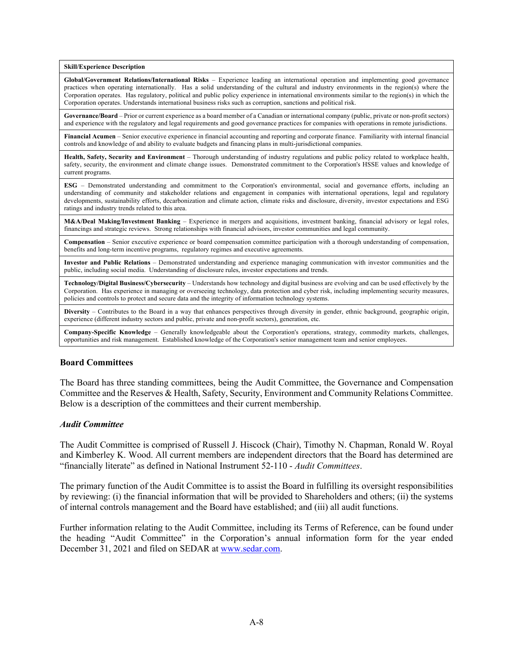**Skill/Experience Description**

**Global/Government Relations/International Risks** – Experience leading an international operation and implementing good governance practices when operating internationally. Has a solid understanding of the cultural and industry environments in the region(s) where the Corporation operates. Has regulatory, political and public policy experience in international environments similar to the region(s) in which the Corporation operates. Understands international business risks such as corruption, sanctions and political risk.

**Governance/Board** – Prior or current experience as a board member of a Canadian or international company (public, private or non-profit sectors) and experience with the regulatory and legal requirements and good governance practices for companies with operations in remote jurisdictions.

**Financial Acumen** – Senior executive experience in financial accounting and reporting and corporate finance. Familiarity with internal financial controls and knowledge of and ability to evaluate budgets and financing plans in multi-jurisdictional companies.

**Health, Safety, Security and Environment** – Thorough understanding of industry regulations and public policy related to workplace health, safety, security, the environment and climate change issues. Demonstrated commitment to the Corporation's HSSE values and knowledge of current programs.

**ESG** – Demonstrated understanding and commitment to the Corporation's environmental, social and governance efforts, including an understanding of community and stakeholder relations and engagement in companies with international operations, legal and regulatory developments, sustainability efforts, decarbonization and climate action, climate risks and disclosure, diversity, investor expectations and ESG ratings and industry trends related to this area.

**M&A/Deal Making/Investment Banking** – Experience in mergers and acquisitions, investment banking, financial advisory or legal roles, financings and strategic reviews. Strong relationships with financial advisors, investor communities and legal community.

**Compensation** – Senior executive experience or board compensation committee participation with a thorough understanding of compensation, benefits and long-term incentive programs, regulatory regimes and executive agreements.

**Investor and Public Relations** – Demonstrated understanding and experience managing communication with investor communities and the public, including social media. Understanding of disclosure rules, investor expectations and trends.

**Technology/Digital Business/Cybersecurity** – Understands how technology and digital business are evolving and can be used effectively by the Corporation. Has experience in managing or overseeing technology, data protection and cyber risk, including implementing security measures, policies and controls to protect and secure data and the integrity of information technology systems.

**Diversity** – Contributes to the Board in a way that enhances perspectives through diversity in gender, ethnic background, geographic origin, experience (different industry sectors and public, private and non-profit sectors), generation, etc.

**Company-Specific Knowledge** – Generally knowledgeable about the Corporation's operations, strategy, commodity markets, challenges, opportunities and risk management. Established knowledge of the Corporation's senior management team and senior employees.

#### **Board Committees**

The Board has three standing committees, being the Audit Committee, the Governance and Compensation Committee and the Reserves & Health, Safety, Security, Environment and Community Relations Committee. Below is a description of the committees and their current membership.

#### *Audit Committee*

The Audit Committee is comprised of Russell J. Hiscock (Chair), Timothy N. Chapman, Ronald W. Royal and Kimberley K. Wood. All current members are independent directors that the Board has determined are "financially literate" as defined in National Instrument 52-110 - *Audit Committees*.

The primary function of the Audit Committee is to assist the Board in fulfilling its oversight responsibilities by reviewing: (i) the financial information that will be provided to Shareholders and others; (ii) the systems of internal controls management and the Board have established; and (iii) all audit functions.

Further information relating to the Audit Committee, including its Terms of Reference, can be found under the heading "Audit Committee" in the Corporation's annual information form for the year ended December 31, 2021 and filed on SEDAR at www.sedar.com.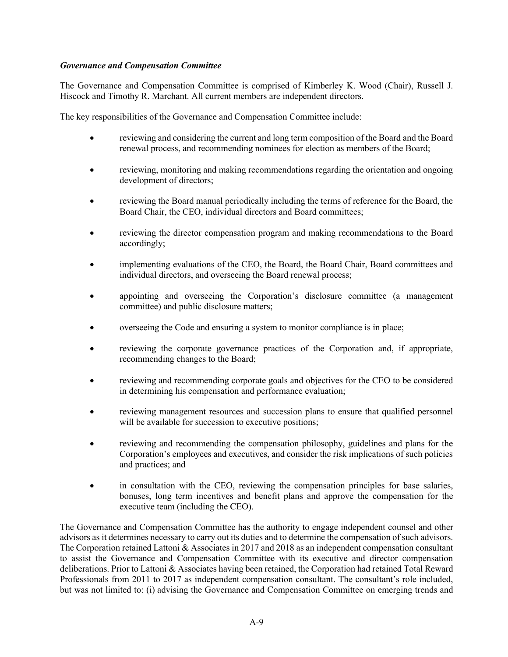#### *Governance and Compensation Committee*

The Governance and Compensation Committee is comprised of Kimberley K. Wood (Chair), Russell J. Hiscock and Timothy R. Marchant. All current members are independent directors.

The key responsibilities of the Governance and Compensation Committee include:

- reviewing and considering the current and long term composition of the Board and the Board renewal process, and recommending nominees for election as members of the Board;
- reviewing, monitoring and making recommendations regarding the orientation and ongoing development of directors;
- reviewing the Board manual periodically including the terms of reference for the Board, the Board Chair, the CEO, individual directors and Board committees;
- reviewing the director compensation program and making recommendations to the Board accordingly;
- implementing evaluations of the CEO, the Board, the Board Chair, Board committees and individual directors, and overseeing the Board renewal process;
- appointing and overseeing the Corporation's disclosure committee (a management committee) and public disclosure matters;
- overseeing the Code and ensuring a system to monitor compliance is in place;
- reviewing the corporate governance practices of the Corporation and, if appropriate, recommending changes to the Board;
- reviewing and recommending corporate goals and objectives for the CEO to be considered in determining his compensation and performance evaluation;
- reviewing management resources and succession plans to ensure that qualified personnel will be available for succession to executive positions;
- reviewing and recommending the compensation philosophy, guidelines and plans for the Corporation's employees and executives, and consider the risk implications of such policies and practices; and
- in consultation with the CEO, reviewing the compensation principles for base salaries, bonuses, long term incentives and benefit plans and approve the compensation for the executive team (including the CEO).

The Governance and Compensation Committee has the authority to engage independent counsel and other advisors as it determines necessary to carry out its duties and to determine the compensation of such advisors. The Corporation retained Lattoni & Associates in 2017 and 2018 as an independent compensation consultant to assist the Governance and Compensation Committee with its executive and director compensation deliberations. Prior to Lattoni & Associates having been retained, the Corporation had retained Total Reward Professionals from 2011 to 2017 as independent compensation consultant. The consultant's role included, but was not limited to: (i) advising the Governance and Compensation Committee on emerging trends and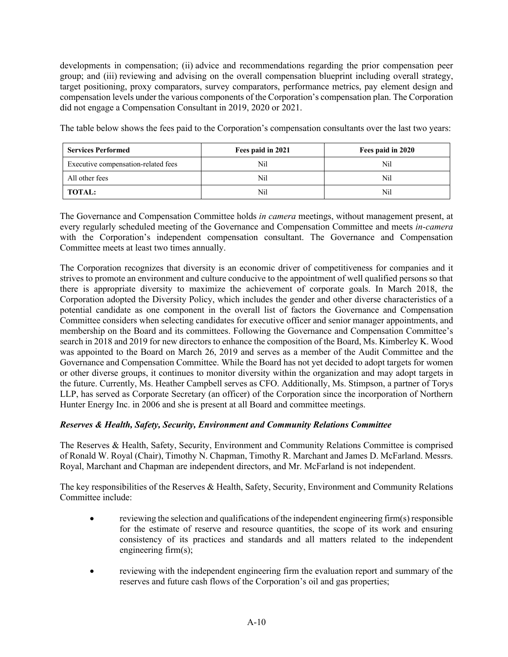developments in compensation; (ii) advice and recommendations regarding the prior compensation peer group; and (iii) reviewing and advising on the overall compensation blueprint including overall strategy, target positioning, proxy comparators, survey comparators, performance metrics, pay element design and compensation levels under the various components of the Corporation's compensation plan. The Corporation did not engage a Compensation Consultant in 2019, 2020 or 2021.

The table below shows the fees paid to the Corporation's compensation consultants over the last two years:

| <b>Services Performed</b>           | Fees paid in 2021 | Fees paid in 2020 |  |
|-------------------------------------|-------------------|-------------------|--|
| Executive compensation-related fees | Nil               | Nil               |  |
| All other fees                      | Nï                | Nil               |  |
| <b>TOTAL:</b>                       | Nï                | Nil               |  |

The Governance and Compensation Committee holds *in camera* meetings, without management present, at every regularly scheduled meeting of the Governance and Compensation Committee and meets *in-camera* with the Corporation's independent compensation consultant. The Governance and Compensation Committee meets at least two times annually.

The Corporation recognizes that diversity is an economic driver of competitiveness for companies and it strives to promote an environment and culture conducive to the appointment of well qualified persons so that there is appropriate diversity to maximize the achievement of corporate goals. In March 2018, the Corporation adopted the Diversity Policy, which includes the gender and other diverse characteristics of a potential candidate as one component in the overall list of factors the Governance and Compensation Committee considers when selecting candidates for executive officer and senior manager appointments, and membership on the Board and its committees. Following the Governance and Compensation Committee's search in 2018 and 2019 for new directors to enhance the composition of the Board, Ms. Kimberley K. Wood was appointed to the Board on March 26, 2019 and serves as a member of the Audit Committee and the Governance and Compensation Committee. While the Board has not yet decided to adopt targets for women or other diverse groups, it continues to monitor diversity within the organization and may adopt targets in the future. Currently, Ms. Heather Campbell serves as CFO. Additionally, Ms. Stimpson, a partner of Torys LLP, has served as Corporate Secretary (an officer) of the Corporation since the incorporation of Northern Hunter Energy Inc. in 2006 and she is present at all Board and committee meetings.

# *Reserves & Health, Safety, Security, Environment and Community Relations Committee*

The Reserves & Health, Safety, Security, Environment and Community Relations Committee is comprised of Ronald W. Royal (Chair), Timothy N. Chapman, Timothy R. Marchant and James D. McFarland. Messrs. Royal, Marchant and Chapman are independent directors, and Mr. McFarland is not independent.

The key responsibilities of the Reserves & Health, Safety, Security, Environment and Community Relations Committee include:

- reviewing the selection and qualifications of the independent engineering firm(s) responsible for the estimate of reserve and resource quantities, the scope of its work and ensuring consistency of its practices and standards and all matters related to the independent engineering firm(s);
- reviewing with the independent engineering firm the evaluation report and summary of the reserves and future cash flows of the Corporation's oil and gas properties;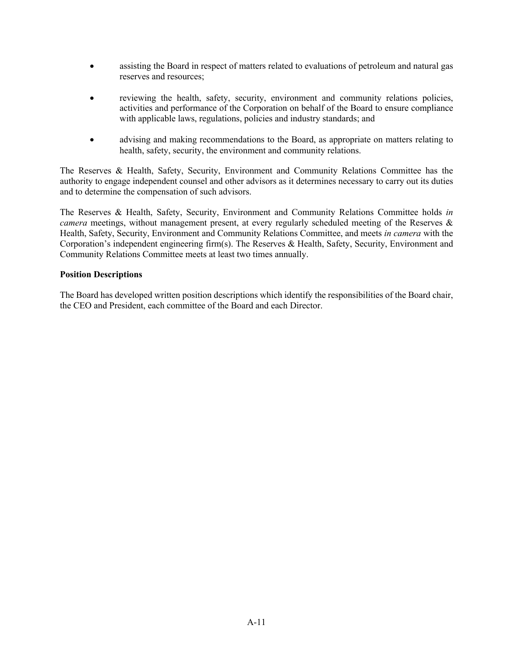- assisting the Board in respect of matters related to evaluations of petroleum and natural gas reserves and resources;
- reviewing the health, safety, security, environment and community relations policies, activities and performance of the Corporation on behalf of the Board to ensure compliance with applicable laws, regulations, policies and industry standards; and
- advising and making recommendations to the Board, as appropriate on matters relating to health, safety, security, the environment and community relations.

The Reserves & Health, Safety, Security, Environment and Community Relations Committee has the authority to engage independent counsel and other advisors as it determines necessary to carry out its duties and to determine the compensation of such advisors.

The Reserves & Health, Safety, Security, Environment and Community Relations Committee holds *in camera* meetings, without management present, at every regularly scheduled meeting of the Reserves & Health, Safety, Security, Environment and Community Relations Committee, and meets *in camera* with the Corporation's independent engineering firm(s). The Reserves & Health, Safety, Security, Environment and Community Relations Committee meets at least two times annually.

#### **Position Descriptions**

The Board has developed written position descriptions which identify the responsibilities of the Board chair, the CEO and President, each committee of the Board and each Director.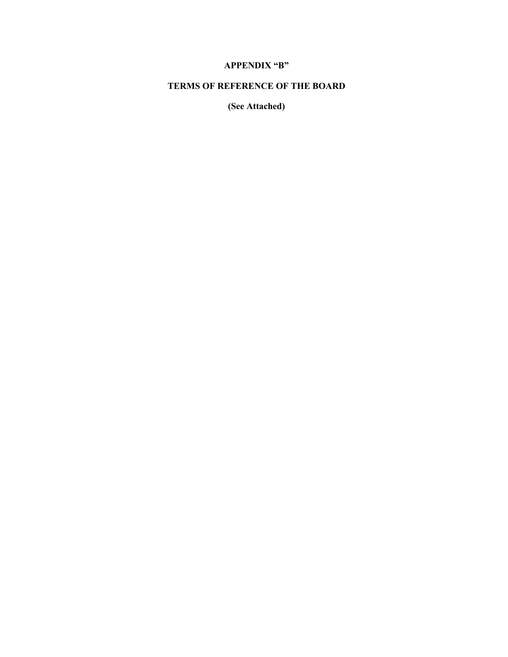# **APPENDIX "B"**

# **TERMS OF REFERENCE OF THE BOARD**

**(See Attached)**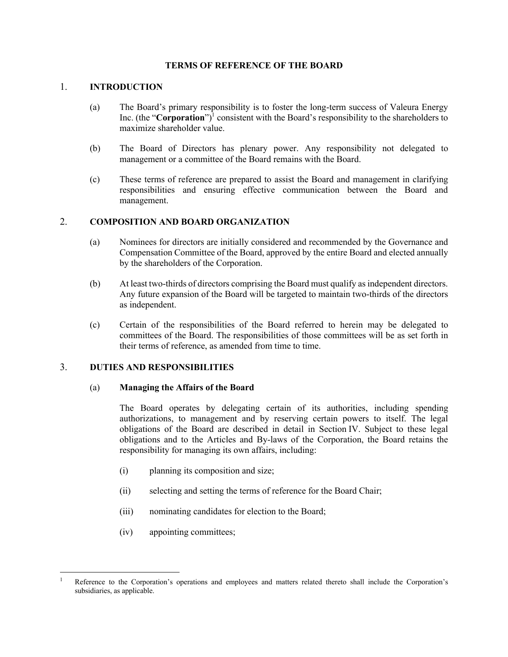#### **TERMS OF REFERENCE OF THE BOARD**

#### 1. **INTRODUCTION**

- (a) The Board's primary responsibility is to foster the long-term success of Valeura Energy Inc. (the "**Corporation**") <sup>1</sup> consistent with the Board's responsibility to the shareholders to maximize shareholder value.
- (b) The Board of Directors has plenary power. Any responsibility not delegated to management or a committee of the Board remains with the Board.
- (c) These terms of reference are prepared to assist the Board and management in clarifying responsibilities and ensuring effective communication between the Board and management.

#### 2. **COMPOSITION AND BOARD ORGANIZATION**

- (a) Nominees for directors are initially considered and recommended by the Governance and Compensation Committee of the Board, approved by the entire Board and elected annually by the shareholders of the Corporation.
- (b) At least two-thirds of directors comprising the Board must qualify as independent directors. Any future expansion of the Board will be targeted to maintain two-thirds of the directors as independent.
- (c) Certain of the responsibilities of the Board referred to herein may be delegated to committees of the Board. The responsibilities of those committees will be as set forth in their terms of reference, as amended from time to time.

#### 3. **DUTIES AND RESPONSIBILITIES**

#### (a) **Managing the Affairs of the Board**

The Board operates by delegating certain of its authorities, including spending authorizations, to management and by reserving certain powers to itself. The legal obligations of the Board are described in detail in Section IV. Subject to these legal obligations and to the Articles and By-laws of the Corporation, the Board retains the responsibility for managing its own affairs, including:

- (i) planning its composition and size;
- (ii) selecting and setting the terms of reference for the Board Chair;
- (iii) nominating candidates for election to the Board;
- (iv) appointing committees;

Reference to the Corporation's operations and employees and matters related thereto shall include the Corporation's subsidiaries, as applicable.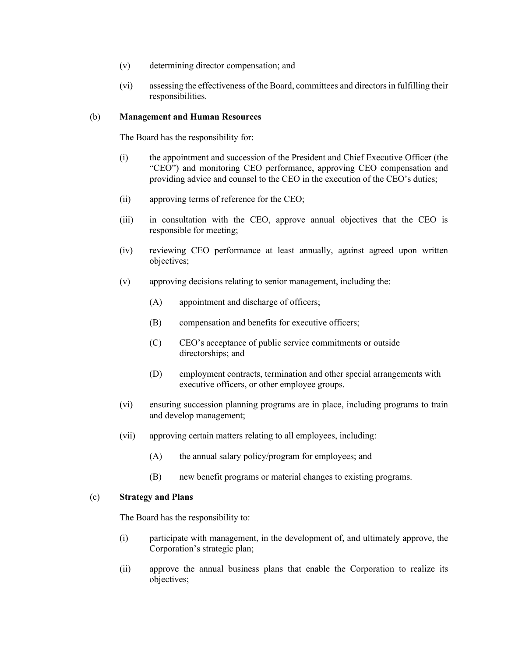- (v) determining director compensation; and
- (vi) assessing the effectiveness of the Board, committees and directors in fulfilling their responsibilities.

#### (b) **Management and Human Resources**

The Board has the responsibility for:

- (i) the appointment and succession of the President and Chief Executive Officer (the "CEO") and monitoring CEO performance, approving CEO compensation and providing advice and counsel to the CEO in the execution of the CEO's duties;
- (ii) approving terms of reference for the CEO;
- (iii) in consultation with the CEO, approve annual objectives that the CEO is responsible for meeting;
- (iv) reviewing CEO performance at least annually, against agreed upon written objectives;
- (v) approving decisions relating to senior management, including the:
	- (A) appointment and discharge of officers;
	- (B) compensation and benefits for executive officers;
	- (C) CEO's acceptance of public service commitments or outside directorships; and
	- (D) employment contracts, termination and other special arrangements with executive officers, or other employee groups.
- (vi) ensuring succession planning programs are in place, including programs to train and develop management;
- (vii) approving certain matters relating to all employees, including:
	- (A) the annual salary policy/program for employees; and
	- (B) new benefit programs or material changes to existing programs.

#### (c) **Strategy and Plans**

The Board has the responsibility to:

- (i) participate with management, in the development of, and ultimately approve, the Corporation's strategic plan;
- (ii) approve the annual business plans that enable the Corporation to realize its objectives;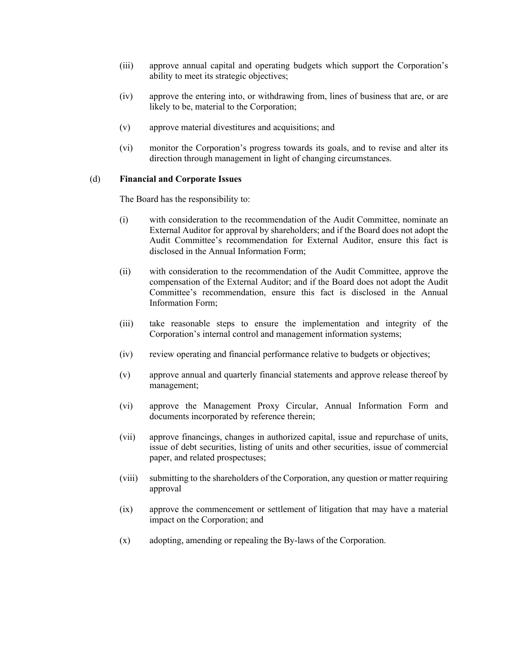- (iii) approve annual capital and operating budgets which support the Corporation's ability to meet its strategic objectives;
- (iv) approve the entering into, or withdrawing from, lines of business that are, or are likely to be, material to the Corporation;
- (v) approve material divestitures and acquisitions; and
- (vi) monitor the Corporation's progress towards its goals, and to revise and alter its direction through management in light of changing circumstances.

#### (d) **Financial and Corporate Issues**

The Board has the responsibility to:

- (i) with consideration to the recommendation of the Audit Committee, nominate an External Auditor for approval by shareholders; and if the Board does not adopt the Audit Committee's recommendation for External Auditor, ensure this fact is disclosed in the Annual Information Form;
- (ii) with consideration to the recommendation of the Audit Committee, approve the compensation of the External Auditor; and if the Board does not adopt the Audit Committee's recommendation, ensure this fact is disclosed in the Annual Information Form;
- (iii) take reasonable steps to ensure the implementation and integrity of the Corporation's internal control and management information systems;
- (iv) review operating and financial performance relative to budgets or objectives;
- (v) approve annual and quarterly financial statements and approve release thereof by management;
- (vi) approve the Management Proxy Circular, Annual Information Form and documents incorporated by reference therein;
- (vii) approve financings, changes in authorized capital, issue and repurchase of units, issue of debt securities, listing of units and other securities, issue of commercial paper, and related prospectuses;
- (viii) submitting to the shareholders of the Corporation, any question or matter requiring approval
- (ix) approve the commencement or settlement of litigation that may have a material impact on the Corporation; and
- (x) adopting, amending or repealing the By-laws of the Corporation.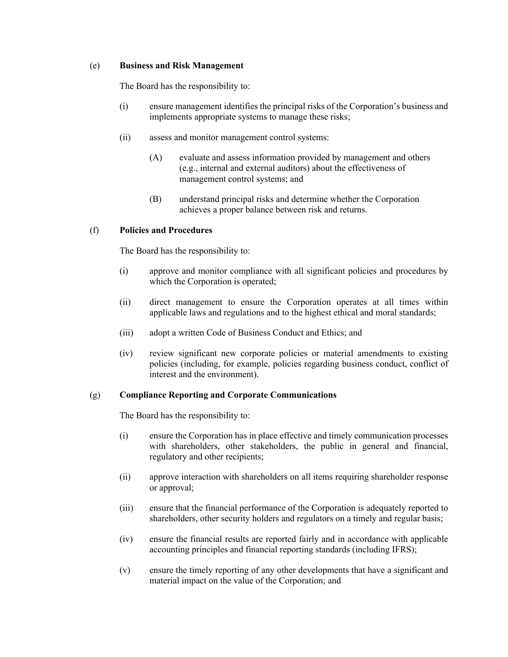#### (e) **Business and Risk Management**

The Board has the responsibility to:

- (i) ensure management identifies the principal risks of the Corporation's business and implements appropriate systems to manage these risks;
- (ii) assess and monitor management control systems:
	- (A) evaluate and assess information provided by management and others (e.g., internal and external auditors) about the effectiveness of management control systems; and
	- (B) understand principal risks and determine whether the Corporation achieves a proper balance between risk and returns.

#### (f) **Policies and Procedures**

The Board has the responsibility to:

- (i) approve and monitor compliance with all significant policies and procedures by which the Corporation is operated;
- (ii) direct management to ensure the Corporation operates at all times within applicable laws and regulations and to the highest ethical and moral standards;
- (iii) adopt a written Code of Business Conduct and Ethics; and
- (iv) review significant new corporate policies or material amendments to existing policies (including, for example, policies regarding business conduct, conflict of interest and the environment).

#### (g) **Compliance Reporting and Corporate Communications**

The Board has the responsibility to:

- (i) ensure the Corporation has in place effective and timely communication processes with shareholders, other stakeholders, the public in general and financial, regulatory and other recipients;
- (ii) approve interaction with shareholders on all items requiring shareholder response or approval;
- (iii) ensure that the financial performance of the Corporation is adequately reported to shareholders, other security holders and regulators on a timely and regular basis;
- (iv) ensure the financial results are reported fairly and in accordance with applicable accounting principles and financial reporting standards (including IFRS);
- (v) ensure the timely reporting of any other developments that have a significant and material impact on the value of the Corporation; and